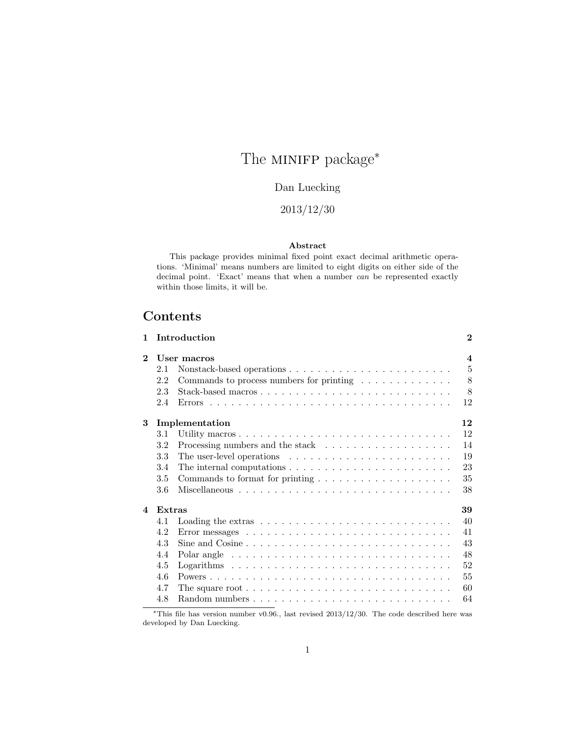# The MINIFP package<sup>\*</sup>

## Dan Luecking

## 2013/12/30

#### Abstract

This package provides minimal fixed point exact decimal arithmetic operations. 'Minimal' means numbers are limited to eight digits on either side of the decimal point. 'Exact' means that when a number can be represented exactly within those limits, it will be.

## Contents

| 1              |         | Introduction                                                                            | $\mathbf{2}$            |
|----------------|---------|-----------------------------------------------------------------------------------------|-------------------------|
| $\mathbf 2$    |         | User macros                                                                             | $\overline{\mathbf{4}}$ |
|                | 2.1     |                                                                                         | $\overline{5}$          |
|                | 2.2     | Commands to process numbers for printing $\ldots \ldots \ldots \ldots$                  | 8                       |
|                | 2.3     |                                                                                         | 8                       |
|                | 2.4     |                                                                                         | 12                      |
| 3              |         | Implementation                                                                          | 12                      |
|                | 3.1     |                                                                                         | 12                      |
|                | $3.2\,$ |                                                                                         | 14                      |
|                | 3.3     | The user-level operations $\dots \dots \dots \dots \dots \dots \dots \dots$             | 19                      |
|                | 3.4     | The internal computations $\dots \dots \dots \dots \dots \dots \dots \dots \dots$       | 23                      |
|                | 3.5     | Commands to format for printing $\ldots \ldots \ldots \ldots \ldots \ldots$             | 35                      |
|                | 3.6     |                                                                                         | 38                      |
| $\overline{4}$ | Extras  |                                                                                         | 39                      |
|                | 4.1     |                                                                                         | 40                      |
|                | 4.2     |                                                                                         | 41                      |
|                | 4.3     | Sine and $Cosine \ldots \ldots \ldots \ldots \ldots \ldots \ldots \ldots \ldots \ldots$ | 43                      |
|                | 4.4     |                                                                                         | 48                      |
|                | 4.5     |                                                                                         | 52                      |
|                | 4.6     |                                                                                         | 55                      |
|                | 4.7     | The square root $\ldots \ldots \ldots \ldots \ldots \ldots \ldots \ldots \ldots \ldots$ | 60                      |
|                | 4.8     |                                                                                         | 64                      |
|                |         |                                                                                         |                         |

This file has version number v0.96., last revised 2013/12/30. The code described here was developed by Dan Luecking.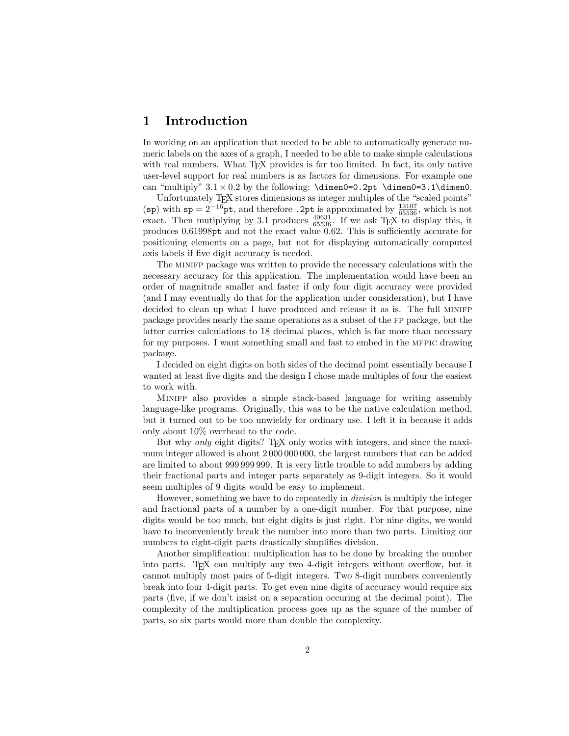## 1 Introduction

In working on an application that needed to be able to automatically generate numeric labels on the axes of a graph, I needed to be able to make simple calculations with real numbers. What T<sub>EX</sub> provides is far too limited. In fact, its only native user-level support for real numbers is as factors for dimensions. For example one can "multiply"  $3.1 \times 0.2$  by the following:  $\dimen0=0.2pt \dimen0=3.1\dimen0$ .

Unfortunately T<sub>E</sub>X stores dimensions as integer multiples of the "scaled points" (sp) with  $sp = 2^{-16}$ pt, and therefore . 2pt is approximated by  $\frac{13107}{65536}$ , which is not exact. Then mutiplying by 3.1 produces  $\frac{40631}{65536}$ . If we ask T<sub>E</sub>X to display this, it produces 0.61998pt and not the exact value 0.62. This is sufficiently accurate for positioning elements on a page, but not for displaying automatically computed axis labels if five digit accuracy is needed.

The minifp package was written to provide the necessary calculations with the necessary accuracy for this application. The implementation would have been an order of magnitude smaller and faster if only four digit accuracy were provided (and I may eventually do that for the application under consideration), but I have decided to clean up what I have produced and release it as is. The full minifp package provides nearly the same operations as a subset of the fp package, but the latter carries calculations to 18 decimal places, which is far more than necessary for my purposes. I want something small and fast to embed in the mfpic drawing package.

I decided on eight digits on both sides of the decimal point essentially because I wanted at least five digits and the design I chose made multiples of four the easiest to work with.

Minifp also provides a simple stack-based language for writing assembly language-like programs. Originally, this was to be the native calculation method, but it turned out to be too unwieldy for ordinary use. I left it in because it adds only about 10% overhead to the code.

But why only eight digits? T<sub>E</sub>X only works with integers, and since the maximum integer allowed is about 2 000 000 000, the largest numbers that can be added are limited to about 999 999 999. It is very little trouble to add numbers by adding their fractional parts and integer parts separately as 9-digit integers. So it would seem multiples of 9 digits would be easy to implement.

However, something we have to do repeatedly in division is multiply the integer and fractional parts of a number by a one-digit number. For that purpose, nine digits would be too much, but eight digits is just right. For nine digits, we would have to inconveniently break the number into more than two parts. Limiting our numbers to eight-digit parts drastically simplifies division.

Another simplification: multiplication has to be done by breaking the number into parts. TEX can multiply any two 4-digit integers without overflow, but it cannot multiply most pairs of 5-digit integers. Two 8-digit numbers conveniently break into four 4-digit parts. To get even nine digits of accuracy would require six parts (five, if we don't insist on a separation occuring at the decimal point). The complexity of the multiplication process goes up as the square of the number of parts, so six parts would more than double the complexity.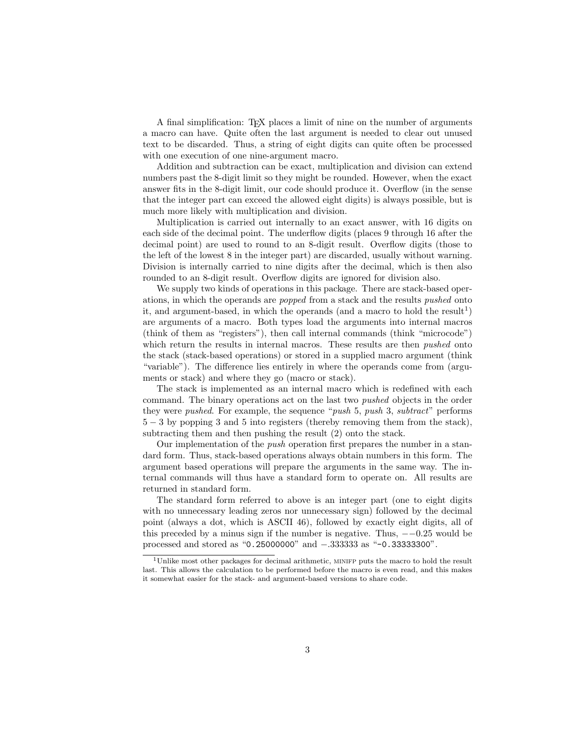A final simplification: T<sub>E</sub>X places a limit of nine on the number of arguments a macro can have. Quite often the last argument is needed to clear out unused text to be discarded. Thus, a string of eight digits can quite often be processed with one execution of one nine-argument macro.

Addition and subtraction can be exact, multiplication and division can extend numbers past the 8-digit limit so they might be rounded. However, when the exact answer fits in the 8-digit limit, our code should produce it. Overflow (in the sense that the integer part can exceed the allowed eight digits) is always possible, but is much more likely with multiplication and division.

Multiplication is carried out internally to an exact answer, with 16 digits on each side of the decimal point. The underflow digits (places 9 through 16 after the decimal point) are used to round to an 8-digit result. Overflow digits (those to the left of the lowest 8 in the integer part) are discarded, usually without warning. Division is internally carried to nine digits after the decimal, which is then also rounded to an 8-digit result. Overflow digits are ignored for division also.

We supply two kinds of operations in this package. There are stack-based operations, in which the operands are popped from a stack and the results pushed onto it, and argument-based, in which the operands (and a macro to hold the result<sup>1</sup>) are arguments of a macro. Both types load the arguments into internal macros (think of them as "registers"), then call internal commands (think "microcode") which return the results in internal macros. These results are then *pushed* onto the stack (stack-based operations) or stored in a supplied macro argument (think "variable"). The difference lies entirely in where the operands come from (arguments or stack) and where they go (macro or stack).

The stack is implemented as an internal macro which is redefined with each command. The binary operations act on the last two pushed objects in the order they were pushed. For example, the sequence "push 5, push 3, subtract" performs 5 − 3 by popping 3 and 5 into registers (thereby removing them from the stack), subtracting them and then pushing the result (2) onto the stack.

Our implementation of the push operation first prepares the number in a standard form. Thus, stack-based operations always obtain numbers in this form. The argument based operations will prepare the arguments in the same way. The internal commands will thus have a standard form to operate on. All results are returned in standard form.

The standard form referred to above is an integer part (one to eight digits with no unnecessary leading zeros nor unnecessary sign) followed by the decimal point (always a dot, which is ASCII 46), followed by exactly eight digits, all of this preceded by a minus sign if the number is negative. Thus,  $-0.25$  would be processed and stored as "0.25000000" and −.333333 as "-0.33333300".

 $1$ Unlike most other packages for decimal arithmetic, MINIFP puts the macro to hold the result last. This allows the calculation to be performed before the macro is even read, and this makes it somewhat easier for the stack- and argument-based versions to share code.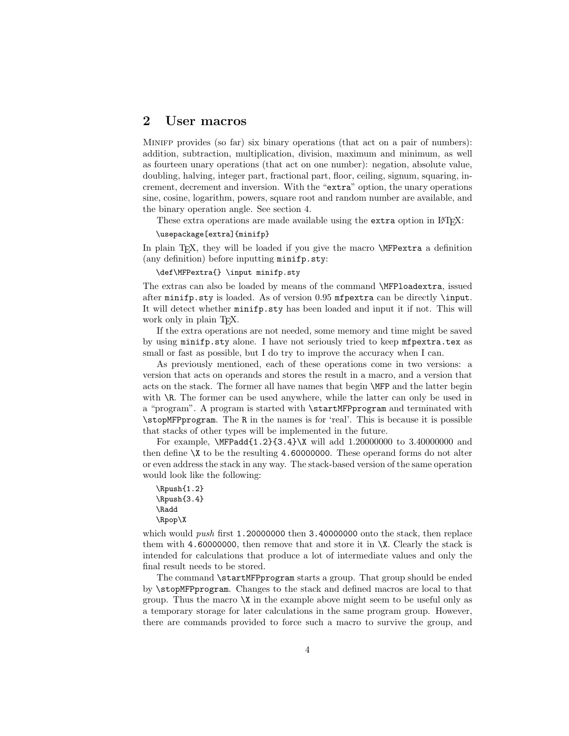## 2 User macros

Minifp provides (so far) six binary operations (that act on a pair of numbers): addition, subtraction, multiplication, division, maximum and minimum, as well as fourteen unary operations (that act on one number): negation, absolute value, doubling, halving, integer part, fractional part, floor, ceiling, signum, squaring, increment, decrement and inversion. With the "extra" option, the unary operations sine, cosine, logarithm, powers, square root and random number are available, and the binary operation angle. See section 4.

These extra operations are made available using the extra option in L<sup>AT</sup>EX:

#### \usepackage[extra]{minifp}

In plain T<sub>EX</sub>, they will be loaded if you give the macro **\MFPextra** a definition (any definition) before inputting minifp.sty:

\def\MFPextra{} \input minifp.sty

The extras can also be loaded by means of the command \MFPloadextra, issued after minifp.sty is loaded. As of version 0.95 mfpextra can be directly \input. It will detect whether minifp.sty has been loaded and input it if not. This will work only in plain T<sub>E</sub>X.

If the extra operations are not needed, some memory and time might be saved by using minifp.sty alone. I have not seriously tried to keep mfpextra.tex as small or fast as possible, but I do try to improve the accuracy when I can.

As previously mentioned, each of these operations come in two versions: a version that acts on operands and stores the result in a macro, and a version that acts on the stack. The former all have names that begin \MFP and the latter begin with  $\mathcal{R}$ . The former can be used anywhere, while the latter can only be used in a "program". A program is started with \startMFPprogram and terminated with \stopMFPprogram. The R in the names is for 'real'. This is because it is possible that stacks of other types will be implemented in the future.

For example, \MFPadd{1.2}{3.4}\X will add 1.20000000 to 3.40000000 and then define \X to be the resulting 4.60000000. These operand forms do not alter or even address the stack in any way. The stack-based version of the same operation would look like the following:

```
\Rpush{1.2}
\Rpush{3.4}
\Radd
\Rpop\X
```
which would *push* first 1.20000000 then  $3.40000000$  onto the stack, then replace them with 4.60000000, then remove that and store it in  $X$ . Clearly the stack is intended for calculations that produce a lot of intermediate values and only the final result needs to be stored.

The command **\startMFPprogram** starts a group. That group should be ended by \stopMFPprogram. Changes to the stack and defined macros are local to that group. Thus the macro  $X$  in the example above might seem to be useful only as a temporary storage for later calculations in the same program group. However, there are commands provided to force such a macro to survive the group, and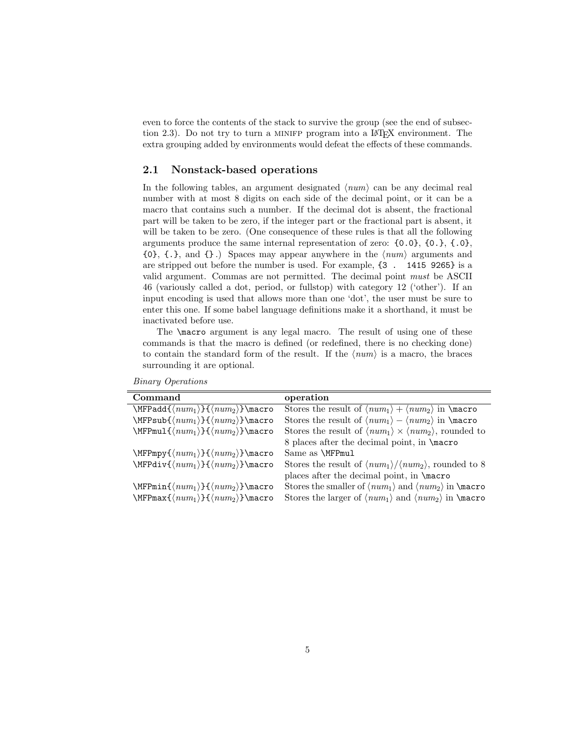even to force the contents of the stack to survive the group (see the end of subsection 2.3). Do not try to turn a MINIFP program into a LAT<sub>EX</sub> environment. The extra grouping added by environments would defeat the effects of these commands.

#### 2.1 Nonstack-based operations

In the following tables, an argument designated  $\langle num \rangle$  can be any decimal real number with at most 8 digits on each side of the decimal point, or it can be a macro that contains such a number. If the decimal dot is absent, the fractional part will be taken to be zero, if the integer part or the fractional part is absent, it will be taken to be zero. (One consequence of these rules is that all the following arguments produce the same internal representation of zero: {0.0}, {0.}, {.0},  ${0}, {1}$ , and  ${1}$ . Spaces may appear anywhere in the  $\langle num \rangle$  arguments and are stripped out before the number is used. For example, {3 . 1415 9265} is a valid argument. Commas are not permitted. The decimal point must be ASCII 46 (variously called a dot, period, or fullstop) with category 12 ('other'). If an input encoding is used that allows more than one 'dot', the user must be sure to enter this one. If some babel language definitions make it a shorthand, it must be inactivated before use.

The \macro argument is any legal macro. The result of using one of these commands is that the macro is defined (or redefined, there is no checking done) to contain the standard form of the result. If the  $\langle num \rangle$  is a macro, the braces surrounding it are optional.

| Command                                                           | operation                                                                                            |
|-------------------------------------------------------------------|------------------------------------------------------------------------------------------------------|
| $\MFPadd{ \langle num_1 \rangle } {\langle num_2 \rangle }$ macro | Stores the result of $\langle num_1 \rangle + \langle num_2 \rangle$ in $\langle$ macro              |
| $\MFPsub{num1 } {\langle num2 \} \text{macro}$                    | Stores the result of $\langle num_1 \rangle - \langle num_2 \rangle$ in $\langle man_1 \rangle$      |
| $\MFPmul({num_1}\$ { $\langle num_2\rangle$ } $\m{$ acro          | Stores the result of $\langle num_1 \rangle \times \langle num_2 \rangle$ , rounded to               |
|                                                                   | 8 places after the decimal point, in \macro                                                          |
| $\MFPmpy{\langle num_1 \rangle} {\langle num_2 \rangle}$ } aacro  | Same as \MFPmul                                                                                      |
| $\MFPdiv{\langle num_1 \rangle} {\langle num_2 \rangle}$ } \macro | Stores the result of $\langle num_1 \rangle / \langle num_2 \rangle$ , rounded to 8                  |
|                                                                   | places after the decimal point, in \macro                                                            |
| $\MFPmin{ \langle num_1 \rangle } {\langle num_2 \rangle }$ macro | Stores the smaller of $\langle num_1 \rangle$ and $\langle num_2 \rangle$ in $\langle man_3 \rangle$ |
| $\MFPmax({num_1}{\{\langle num_2 \rangle\}}$ macro                | Stores the larger of $\langle num_1 \rangle$ and $\langle num_2 \rangle$ in $\langle man_3 \rangle$  |

Binary Operations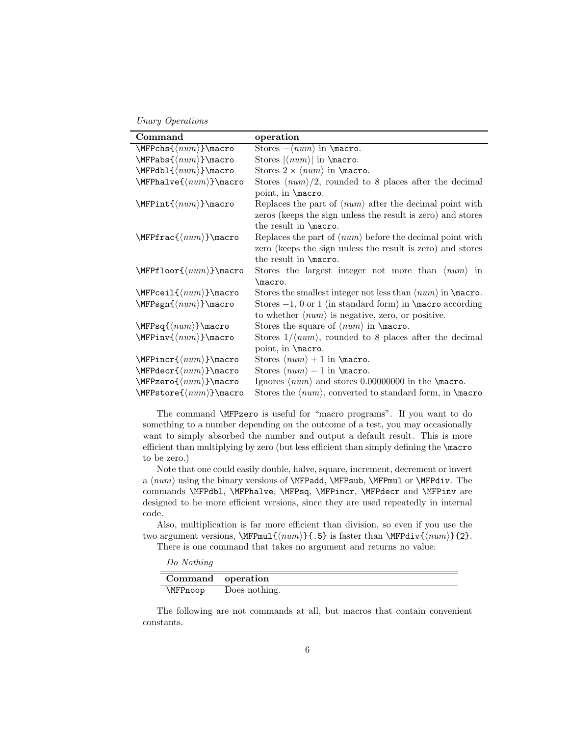Unary Operations

| Command                                       | operation                                                                               |
|-----------------------------------------------|-----------------------------------------------------------------------------------------|
| $\overline{\MFPchs}{\max}$                    | Stores $-\langle num \rangle$ in $\text{macro.}$                                        |
| $\MFPabs({num})\text{macro}$                  | Stores $ \langle num \rangle $ in $\text{macro.}$                                       |
| $\MFPdbl({num})\$ acro                        | Stores $2 \times \langle num \rangle$ in \macro.                                        |
| $\MFP$ halve $\{\langle num \rangle\}$ \macro | Stores $\langle num \rangle/2$ , rounded to 8 places after the decimal                  |
|                                               | point, in <i>\macro</i> .                                                               |
| $\MFPint({num})\$ acro                        | Replaces the part of $\langle num \rangle$ after the decimal point with                 |
|                                               | zeros (keeps the sign unless the result is zero) and stores                             |
|                                               | the result in \macro.                                                                   |
| $\MFPfrac{\langle num \rangle}{\text{macro}}$ | Replaces the part of $\langle num \rangle$ before the decimal point with                |
|                                               | zero (keeps the sign unless the result is zero) and stores                              |
|                                               | the result in \macro.                                                                   |
| $\MFPfloor\{num\}\$ acro                      | Stores the largest integer not more than $\langle num \rangle$ in                       |
|                                               | \macro.                                                                                 |
| $\MFPceil({num})\$ acro                       | Stores the smallest integer not less than $\langle num \rangle$ in $\langle macro.$     |
| $\MFPsgn({num})\text{macro}$                  | Stores $-1$ , 0 or 1 (in standard form) in <b>\macro</b> according                      |
|                                               | to whether $\langle num \rangle$ is negative, zero, or positive.                        |
| $\MFPsq({num})\$ acro                         | Stores the square of $\langle num \rangle$ in $\text{macro.}$                           |
| $\MFPinv({num})$ macro                        | Stores $1/(num)$ , rounded to 8 places after the decimal                                |
|                                               | point, in <i>\macro</i> .                                                               |
| $\MFPincr({num})\$ acro                       | Stores $\langle num \rangle + 1$ in $\text{macro.}$                                     |
| $\MFPdecr\{\langle num \rangle\}$ macro       | Stores $\langle num \rangle - 1$ in $\text{macro.}$                                     |
| $\MFPzero({num})\$ acro                       | Ignores $\langle num \rangle$ and stores 0.00000000 in the <b>\macro</b> .              |
| $\MFPstore{\langle num \rangle}$ }\macro      | Stores the $\langle num \rangle$ , converted to standard form, in $\langle man \rangle$ |

The command \MFPzero is useful for "macro programs". If you want to do something to a number depending on the outcome of a test, you may occasionally want to simply absorbed the number and output a default result. This is more efficient than multiplying by zero (but less efficient than simply defining the \macro to be zero.)

Note that one could easily double, halve, square, increment, decrement or invert a  $\langle num \rangle$  using the binary versions of \MFPadd, \MFPsub, \MFPmul or \MFPdiv. The commands \MFPdbl, \MFPhalve, \MFPsq, \MFPincr, \MFPdecr and \MFPinv are designed to be more efficient versions, since they are used repeatedly in internal code.

Also, multiplication is far more efficient than division, so even if you use the two argument versions,  $\MFPmul{\num}{f.5}$  is faster than  $\MFPdiv{\num}{f2}.$ There is one command that takes no argument and returns no value:

Do Nothing

| Command operation |               |
|-------------------|---------------|
| <b>\MFPnoop</b>   | Does nothing. |

The following are not commands at all, but macros that contain convenient constants.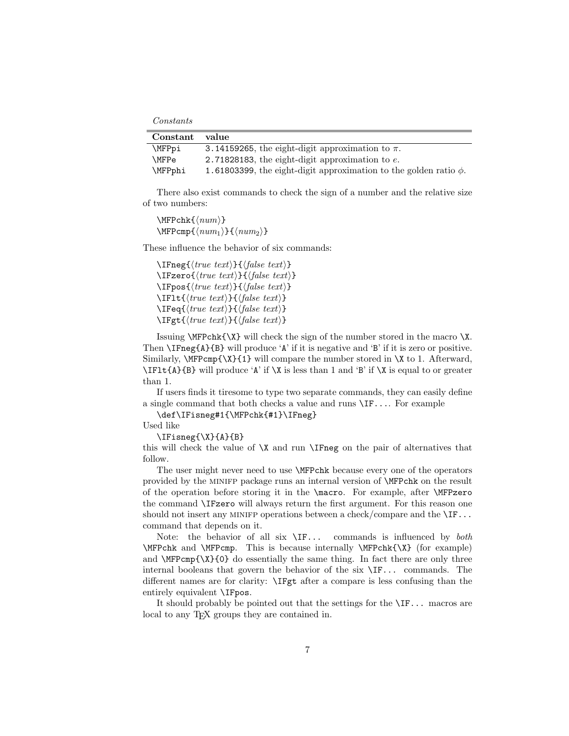Constants

| Constant value |                                                                        |
|----------------|------------------------------------------------------------------------|
| \MFPpi         | 3.14159265, the eight-digit approximation to $\pi$ .                   |
| \MFPe          | 2.71828183, the eight-digit approximation to $e$ .                     |
| \MFPphi        | 1.61803399, the eight-digit approximation to the golden ratio $\phi$ . |

There also exist commands to check the sign of a number and the relative size of two numbers:

 $\MFPchk{\langle num \rangle}$  $\MFPcmp{\langle num_1\rangle}{\langle num_2\rangle}$ 

These influence the behavior of six commands:

 $\I{True}$ { $\{true \text{ text}\}$ }{ $\{false \text{ text}\}$ }  $\I{Fzero}{\langle true \ text \rangle}{\lbrace false \ text \rbrace}$  $\langle \text{true } text \rangle$ }{ $\langle \text{false } text \rangle$ }  $\I{IFlt}{\langle true \text{ } text \rangle}{\langle false \text{ } text \rangle}$  $\I{Feq}{\langle true \ text \rangle}{\lbrace false \ text \rbrace}$  $\left\langle \text{true } text \right\rangle$ }{ $\langle \text{false } text \rangle$ }

Issuing \MFPchk{\X} will check the sign of the number stored in the macro \X. Then  $\I{Fneg{A}}{B}$  will produce 'A' if it is negative and 'B' if it is zero or positive. Similarly,  $\M{FPcmp{\X}_{1}}$  will compare the number stored in  $\X$  to 1. Afterward,  $\I{Flt{A}{B}$  will produce 'A' if  $X$  is less than 1 and 'B' if  $X$  is equal to or greater than 1.

If users finds it tiresome to type two separate commands, they can easily define a single command that both checks a value and runs \IF.... For example

\def\IFisneg#1{\MFPchk{#1}\IFneg}

Used like

\IFisneg{\X}{A}{B}

this will check the value of  $X$  and run  $\I$ Fneg on the pair of alternatives that follow.

The user might never need to use \MFPchk because every one of the operators provided by the minifp package runs an internal version of \MFPchk on the result of the operation before storing it in the \macro. For example, after \MFPzero the command \IFzero will always return the first argument. For this reason one should not insert any MINIFP operations between a check/compare and the  $\I\Gamma$ ... command that depends on it.

Note: the behavior of all six  $\Gamma$ ... commands is influenced by *both* \MFPchk and \MFPcmp. This is because internally \MFPchk{\X} (for example) and  $\MFPcmp{\X}{0}$  do essentially the same thing. In fact there are only three internal booleans that govern the behavior of the six \IF... commands. The different names are for clarity: \IFgt after a compare is less confusing than the entirely equivalent \IFpos.

It should probably be pointed out that the settings for the \IF... macros are local to any TEX groups they are contained in.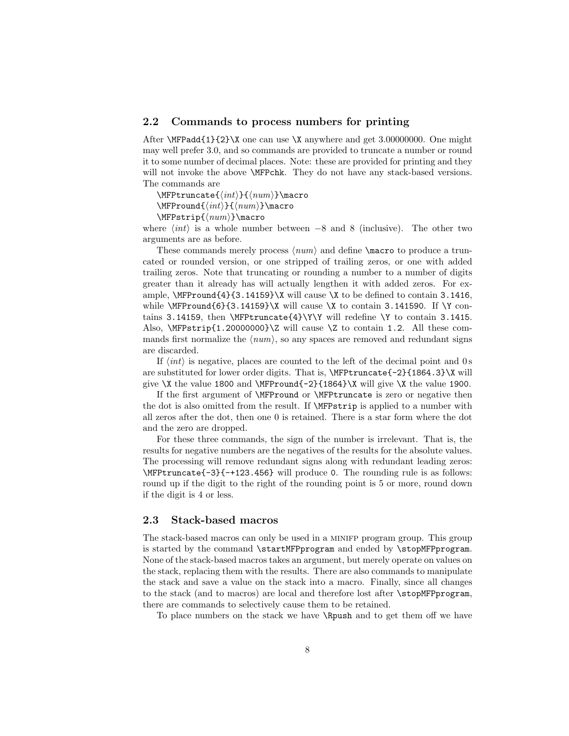#### 2.2 Commands to process numbers for printing

After  $\M{Padd{1}{2}\X$  one can use  $X$  anywhere and get 3.00000000. One might may well prefer 3.0, and so commands are provided to truncate a number or round it to some number of decimal places. Note: these are provided for printing and they will not invoke the above \MFPchk. They do not have any stack-based versions. The commands are

 $\MFP$ truncate $\{\langle int \rangle\}$ { $\langle num \rangle\}$ }

 $\MFPround{\int{int}{\cdot}$ 

 $\MFPstrip({num})\mathcal{$ 

where  $\langle int \rangle$  is a whole number between −8 and 8 (inclusive). The other two arguments are as before.

These commands merely process  $\langle num \rangle$  and define  $\langle norm \rangle$  and produce a truncated or rounded version, or one stripped of trailing zeros, or one with added trailing zeros. Note that truncating or rounding a number to a number of digits greater than it already has will actually lengthen it with added zeros. For example,  $\MFPround{4}{3.14159}\X$  will cause  $X$  to be defined to contain 3.1416, while  $\MFPround{6}{3.14159}\X$  will cause  $X$  to contain 3.141590. If  $Y$  contains 3.14159, then \MFPtruncate{4}\Y\Y will redefine \Y to contain 3.1415. Also,  $MFP^{strip}\{1.20000000\}Z$  will cause  $Z$  to contain 1.2. All these commands first normalize the  $\langle num \rangle$ , so any spaces are removed and redundant signs are discarded.

If  $\langle int \rangle$  is negative, places are counted to the left of the decimal point and 0 s are substituted for lower order digits. That is, \MFPtruncate{-2}{1864.3}\X will give  $X$  the value 1800 and  $\MFPround{-2}{1864}\X$  will give  $X$  the value 1900.

If the first argument of \MFPround or \MFPtruncate is zero or negative then the dot is also omitted from the result. If \MFPstrip is applied to a number with all zeros after the dot, then one 0 is retained. There is a star form where the dot and the zero are dropped.

For these three commands, the sign of the number is irrelevant. That is, the results for negative numbers are the negatives of the results for the absolute values. The processing will remove redundant signs along with redundant leading zeros: \MFPtruncate{-3}{-+123.456} will produce 0. The rounding rule is as follows: round up if the digit to the right of the rounding point is 5 or more, round down if the digit is 4 or less.

#### 2.3 Stack-based macros

The stack-based macros can only be used in a minifp program group. This group is started by the command \startMFPprogram and ended by \stopMFPprogram. None of the stack-based macros takes an argument, but merely operate on values on the stack, replacing them with the results. There are also commands to manipulate the stack and save a value on the stack into a macro. Finally, since all changes to the stack (and to macros) are local and therefore lost after \stopMFPprogram, there are commands to selectively cause them to be retained.

To place numbers on the stack we have \Rpush and to get them off we have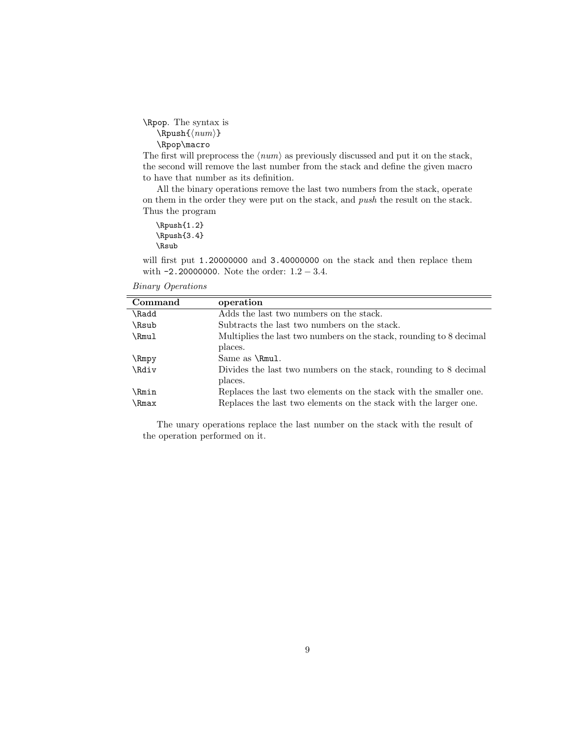\Rpop. The syntax is  $\Rpush{\langle num \rangle}$ \Rpop\macro

The first will preprocess the  $\langle num \rangle$  as previously discussed and put it on the stack, the second will remove the last number from the stack and define the given macro to have that number as its definition.

All the binary operations remove the last two numbers from the stack, operate on them in the order they were put on the stack, and push the result on the stack. Thus the program

\Rpush{1.2} \Rpush{3.4} \Rsub

will first put 1.20000000 and 3.40000000 on the stack and then replace them with -2.20000000. Note the order: 1.2 − 3.4.

| operation                                                                                                                             |
|---------------------------------------------------------------------------------------------------------------------------------------|
| Adds the last two numbers on the stack.                                                                                               |
| Subtracts the last two numbers on the stack.                                                                                          |
| Multiplies the last two numbers on the stack, rounding to 8 decimal                                                                   |
| places.                                                                                                                               |
| Same as $\mathrm{Rmul}$ .                                                                                                             |
| Divides the last two numbers on the stack, rounding to 8 decimal<br>places.                                                           |
| Replaces the last two elements on the stack with the smaller one.<br>Replaces the last two elements on the stack with the larger one. |
|                                                                                                                                       |

Binary Operations

The unary operations replace the last number on the stack with the result of the operation performed on it.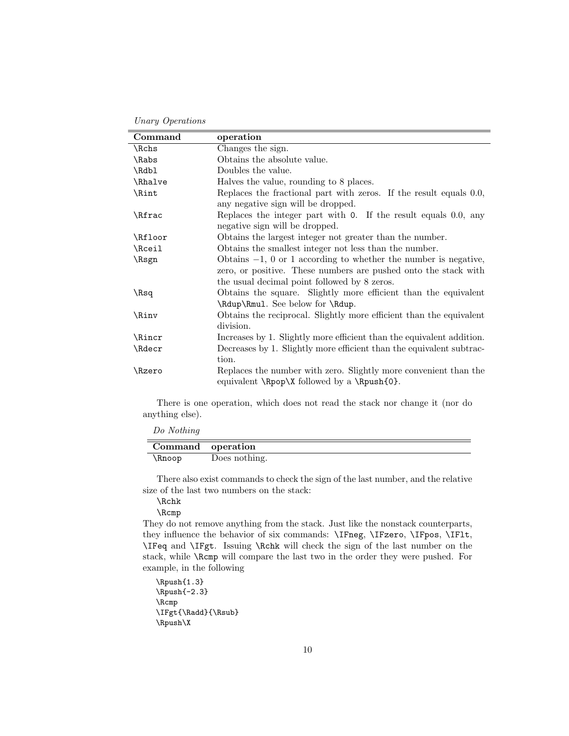Unary Operations

| Command   | operation                                                             |
|-----------|-----------------------------------------------------------------------|
| \Rchs     | Changes the sign.                                                     |
| \Rabs     | Obtains the absolute value.                                           |
| \Rdbl     | Doubles the value.                                                    |
| \Rhalve   | Halves the value, rounding to 8 places.                               |
| \Rint     | Replaces the fractional part with zeros. If the result equals 0.0,    |
|           | any negative sign will be dropped.                                    |
| \Rfrac    | Replaces the integer part with $0$ . If the result equals 0.0, any    |
|           | negative sign will be dropped.                                        |
| \Rfloor   | Obtains the largest integer not greater than the number.              |
| \Rceil    | Obtains the smallest integer not less than the number.                |
| \Rsgn     | Obtains $-1$ , 0 or 1 according to whether the number is negative,    |
|           | zero, or positive. These numbers are pushed onto the stack with       |
|           | the usual decimal point followed by 8 zeros.                          |
| $\lambda$ | Obtains the square. Slightly more efficient than the equivalent       |
|           | \Rdup\Rmul. See below for \Rdup.                                      |
| \Rinv     | Obtains the reciprocal. Slightly more efficient than the equivalent   |
|           | division.                                                             |
| \Rincr    | Increases by 1. Slightly more efficient than the equivalent addition. |
| \Rdecr    | Decreases by 1. Slightly more efficient than the equivalent subtrac-  |
|           | tion.                                                                 |
| \Rzero    | Replaces the number with zero. Slightly more convenient than the      |
|           | equivalent $\npop\X$ followed by a $\Rpush{0}.$                       |
|           |                                                                       |

There is one operation, which does not read the stack nor change it (nor do anything else).

Do Nothing

| Command operation |               |
|-------------------|---------------|
| \Rnoop            | Does nothing. |

There also exist commands to check the sign of the last number, and the relative size of the last two numbers on the stack:

\Rchk \Rcmp

They do not remove anything from the stack. Just like the nonstack counterparts, they influence the behavior of six commands: \IFneg, \IFzero, \IFpos, \IF1t, \IFeq and \IFgt. Issuing \Rchk will check the sign of the last number on the stack, while \Rcmp will compare the last two in the order they were pushed. For example, in the following

\Rpush{1.3} \Rpush{-2.3} \Rcmp \IFgt{\Radd}{\Rsub} \Rpush\X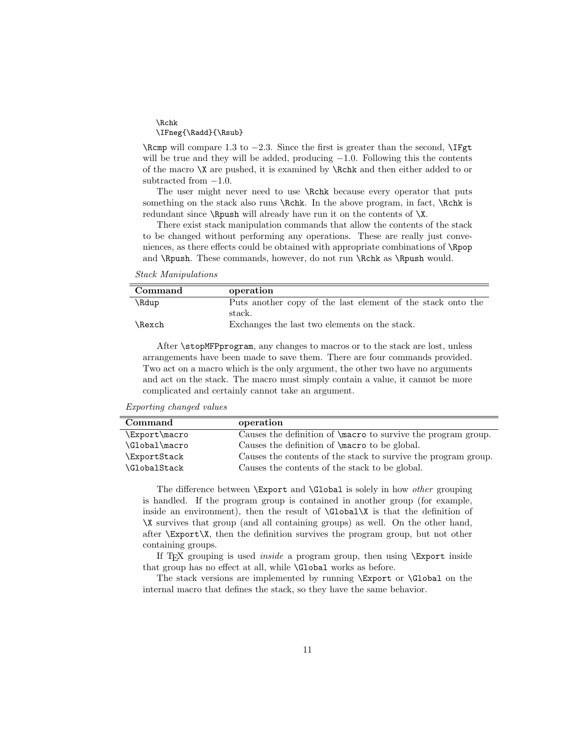\Rchk \IFneg{\Radd}{\Rsub}

\Rcmp will compare 1.3 to −2.3. Since the first is greater than the second, \IFgt will be true and they will be added, producing  $-1.0$ . Following this the contents of the macro \X are pushed, it is examined by \Rchk and then either added to or subtracted from  $-1.0$ .

The user might never need to use **\Rchk** because every operator that puts something on the stack also runs  $\Rchk$ . In the above program, in fact,  $\Rchk$  is redundant since \Rpush will already have run it on the contents of \X.

There exist stack manipulation commands that allow the contents of the stack to be changed without performing any operations. These are really just conveniences, as there effects could be obtained with appropriate combinations of **\Rpop** and \Rpush. These commands, however, do not run \Rchk as \Rpush would.

Stack Manipulations

| Command | operation                                                   |
|---------|-------------------------------------------------------------|
| \Rdup   | Puts another copy of the last element of the stack onto the |
|         | stack.                                                      |
| \Rexch  | Exchanges the last two elements on the stack.               |

After \stopMFPprogram, any changes to macros or to the stack are lost, unless arrangements have been made to save them. There are four commands provided. Two act on a macro which is the only argument, the other two have no arguments and act on the stack. The macro must simply contain a value, it cannot be more complicated and certainly cannot take an argument.

| <i>Exporting changed values</i> |  |
|---------------------------------|--|
|                                 |  |

| Command       | operation                                                            |
|---------------|----------------------------------------------------------------------|
| \Export\macro | Causes the definition of <b>\macro</b> to survive the program group. |
| \Global\macro | Causes the definition of <b>\macro</b> to be global.                 |
| \ExportStack  | Causes the contents of the stack to survive the program group.       |
| \GlobalStack  | Causes the contents of the stack to be global.                       |

The difference between **\Export** and **\Global** is solely in how *other* grouping is handled. If the program group is contained in another group (for example, inside an environment), then the result of  $\Gamma$  X is that the definition of \X survives that group (and all containing groups) as well. On the other hand, after  $\text{Export}\X$ , then the definition survives the program group, but not other containing groups.

If T<sub>EX</sub> grouping is used *inside* a program group, then using  $\Export$  inside that group has no effect at all, while \Global works as before.

The stack versions are implemented by running \Export or \Global on the internal macro that defines the stack, so they have the same behavior.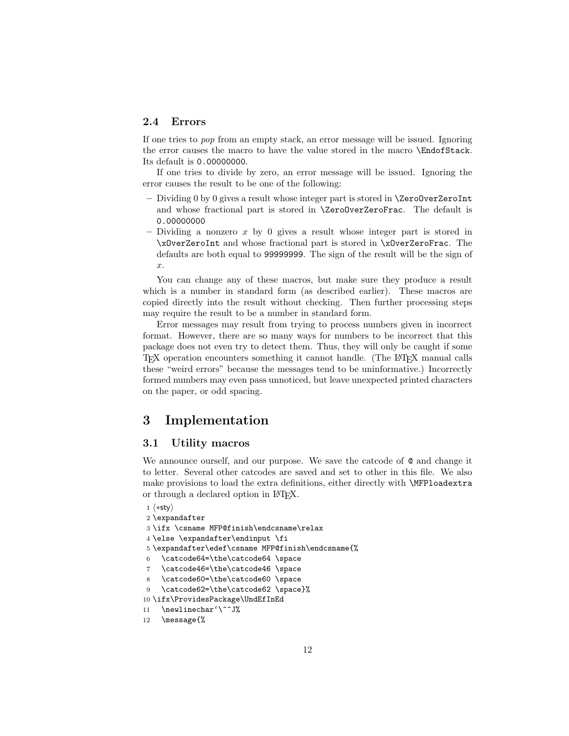## 2.4 Errors

If one tries to pop from an empty stack, an error message will be issued. Ignoring the error causes the macro to have the value stored in the macro \EndofStack. Its default is 0.00000000.

If one tries to divide by zero, an error message will be issued. Ignoring the error causes the result to be one of the following:

- Dividing  $0$  by  $0$  gives a result whose integer part is stored in  $\Zer{\o}OverZeroInt$ and whose fractional part is stored in \ZeroOverZeroFrac. The default is 0.00000000
- Dividing a nonzero x by 0 gives a result whose integer part is stored in \xOverZeroInt and whose fractional part is stored in \xOverZeroFrac. The defaults are both equal to 99999999. The sign of the result will be the sign of x.

You can change any of these macros, but make sure they produce a result which is a number in standard form (as described earlier). These macros are copied directly into the result without checking. Then further processing steps may require the result to be a number in standard form.

Error messages may result from trying to process numbers given in incorrect format. However, there are so many ways for numbers to be incorrect that this package does not even try to detect them. Thus, they will only be caught if some TEX operation encounters something it cannot handle. (The LATEX manual calls these "weird errors" because the messages tend to be uninformative.) Incorrectly formed numbers may even pass unnoticed, but leave unexpected printed characters on the paper, or odd spacing.

## 3 Implementation

#### 3.1 Utility macros

We announce ourself, and our purpose. We save the catcode of  $\&$  and change it to letter. Several other catcodes are saved and set to other in this file. We also make provisions to load the extra definitions, either directly with \MFPloadextra or through a declared option in LATEX.

```
1 \langle *sty \rangle2 \expandafter
3 \ifx \csname MFP@finish\endcsname\relax
4 \else \expandafter\endinput \fi
5 \expandafter\edef\csname MFP@finish\endcsname{%
6 \catcode64=\the\catcode64 \space
7 \catcode46=\the\catcode46 \space
8 \catcode60=\the\catcode60 \space
9 \catcode62=\the\catcode62 \space}%
10 \ifx\ProvidesPackage\UndEfInEd
11 \newlinechar'\^^J%
12 \message{%
```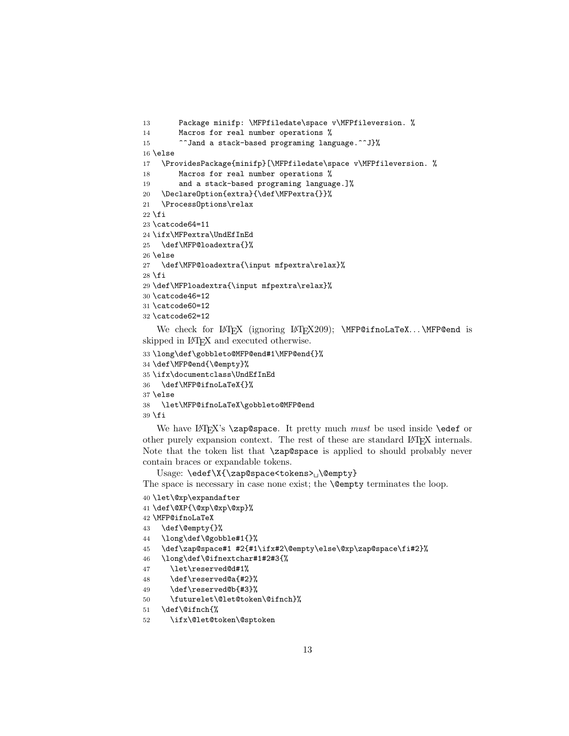```
13 Package minifp: \MFPfiledate\space v\MFPfileversion. %
14 Macros for real number operations %
15 ^^Jand a stack-based programing language.^^J}%
16 \else
17 \ProvidesPackage{minifp}[\MFPfiledate\space v\MFPfileversion. %
18 Macros for real number operations %
19 and a stack-based programing language.]%
20 \DeclareOption{extra}{\def\MFPextra{}}%
21 \ProcessOptions\relax
22 \fi
23 \catcode64=11
24 \ifx\MFPextra\UndEfInEd
25 \def\MFP@loadextra{}%
26 \else
27 \def\MFP@loadextra{\input mfpextra\relax}%
28 \fi
29 \def\MFPloadextra{\input mfpextra\relax}%
30 \catcode46=12
31 \catcode60=12
32 \catcode62=12
```
We check for LAT<sub>F</sub>X (ignoring LAT<sub>F</sub>X209); \MFP@ifnoLaTeX...\MFP@end is skipped in L<sup>AT</sup>EX and executed otherwise.

```
33 \long\def\gobbleto@MFP@end#1\MFP@end{}%
34 \def\MFP@end{\@empty}%
35 \ifx\documentclass\UndEfInEd
36 \def\MFP@ifnoLaTeX{}%
37 \else
38 \let\MFP@ifnoLaTeX\gobbleto@MFP@end
39 \fi
```
We have LAT<sub>F</sub>X's \zap@space. It pretty much *must* be used inside \edef or other purely expansion context. The rest of these are standard LATEX internals. Note that the token list that \zap@space is applied to should probably never contain braces or expandable tokens.

Usage:  $\ede f \X{\zeta}$  \cap@space<tokens>  $\ldots$ 

The space is necessary in case none exist; the **\@empty** terminates the loop.

```
40 \let\@xp\expandafter
```
- \def\@XP{\@xp\@xp\@xp}%
- \MFP@ifnoLaTeX
- \def\@empty{}%
- \long\def\@gobble#1{}%
- \def\zap@space#1 #2{#1\ifx#2\@empty\else\@xp\zap@space\fi#2}%
- \long\def\@ifnextchar#1#2#3{%
- \let\reserved@d#1%
- \def\reserved@a{#2}%
- \def\reserved@b{#3}%
- \futurelet\@let@token\@ifnch}%
- \def\@ifnch{%
- \ifx\@let@token\@sptoken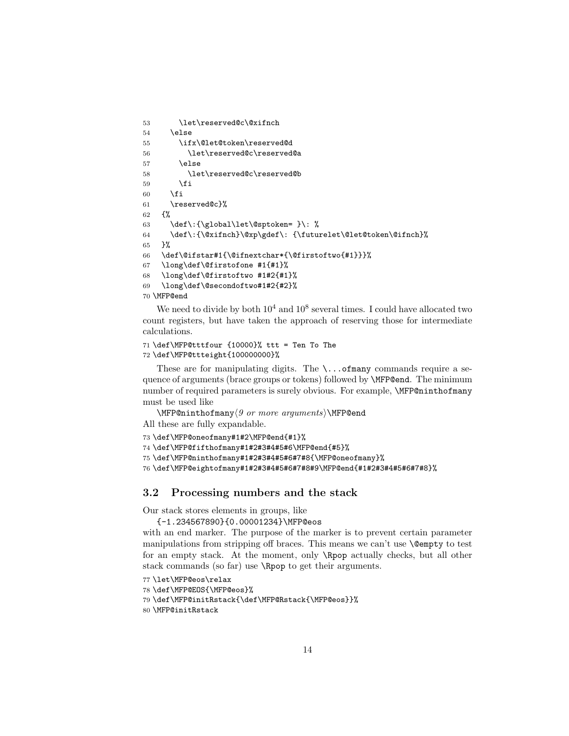```
53 \let\reserved@c\@xifnch
54 \else
55 \ifx\@let@token\reserved@d
56 \let\reserved@c\reserved@a
57 \else
58 \let\reserved@c\reserved@b
59 \overline{f}60 \overline{\text{f}i}61 \reserved@c}%
62 {%
63 \def\:{\global\let\@sptoken= }\: %
64 \def\:{\@xifnch}\@xp\gdef\: {\futurelet\@let@token\@ifnch}%
65 }%
66 \def\@ifstar#1{\@ifnextchar*{\@firstoftwo{#1}}}%
67 \long\def\@firstofone #1{#1}%
68 \long\def\@firstoftwo #1#2{#1}%
69 \long\def\@secondoftwo#1#2{#2}%
70 \MFP@end
```
We need to divide by both  $10^4$  and  $10^8$  several times. I could have allocated two count registers, but have taken the approach of reserving those for intermediate calculations.

```
71 \def\MFP@tttfour {10000}% ttt = Ten To The
72 \def\MFP@ttteight{100000000}%
```
These are for manipulating digits. The  $\ldots$  of many commands require a sequence of arguments (brace groups or tokens) followed by \MFP@end. The minimum number of required parameters is surely obvious. For example, \MFP@ninthofmany must be used like

 $\MFP@ninthofmany\langle 9 \text{ or more arguments}\rangle\$ 

All these are fully expandable.

```
73 \def\MFP@oneofmany#1#2\MFP@end{#1}%
```

```
74 \def\MFP@fifthofmany#1#2#3#4#5#6\MFP@end{#5}%
```
75 \def\MFP@ninthofmany#1#2#3#4#5#6#7#8{\MFP@oneofmany}%

76 \def\MFP@eightofmany#1#2#3#4#5#6#7#8#9\MFP@end{#1#2#3#4#5#6#7#8}%

#### 3.2 Processing numbers and the stack

Our stack stores elements in groups, like

```
{-1.234567890}{0.00001234}\MFP@eos
```
with an end marker. The purpose of the marker is to prevent certain parameter manipulations from stripping off braces. This means we can't use **\@empty** to test for an empty stack. At the moment, only \Rpop actually checks, but all other stack commands (so far) use \Rpop to get their arguments.

```
77 \let\MFP@eos\relax
```

```
78 \def\MFP@EOS{\MFP@eos}%
```
79 \def\MFP@initRstack{\def\MFP@Rstack{\MFP@eos}}%

```
80 \MFP@initRstack
```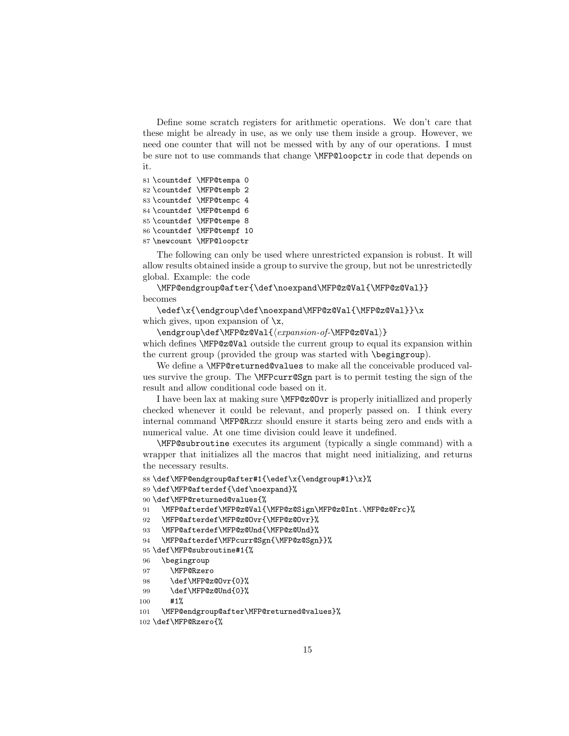Define some scratch registers for arithmetic operations. We don't care that these might be already in use, as we only use them inside a group. However, we need one counter that will not be messed with by any of our operations. I must be sure not to use commands that change \MFP@loopctr in code that depends on it.

```
81 \countdef \MFP@tempa 0
82 \countdef \MFP@tempb 2
83 \countdef \MFP@tempc 4
84 \countdef \MFP@tempd 6
85 \countdef \MFP@tempe 8
86 \countdef \MFP@tempf 10
87 \newcount \MFP@loopctr
```
The following can only be used where unrestricted expansion is robust. It will allow results obtained inside a group to survive the group, but not be unrestrictedly global. Example: the code

\MFP@endgroup@after{\def\noexpand\MFP@z@Val{\MFP@z@Val}} becomes

\edef\x{\endgroup\def\noexpand\MFP@z@Val{\MFP@z@Val}}\x which gives, upon expansion of  $\chi$ ,

\endgroup\def\MFP@z@Val{ $\langle expansion-of\text{-}\texttt{MFP@z@Val}\rangle$ 

which defines **\MFP@z@Val** outside the current group to equal its expansion within the current group (provided the group was started with \begingroup).

We define a **\MFP@returned@values** to make all the conceivable produced values survive the group. The **\MFPcurr**@Sgn part is to permit testing the sign of the result and allow conditional code based on it.

I have been lax at making sure \MFP@z@Ovr is properly initiallized and properly checked whenever it could be relevant, and properly passed on. I think every internal command \MFP@Rxxx should ensure it starts being zero and ends with a numerical value. At one time division could leave it undefined.

\MFP@subroutine executes its argument (typically a single command) with a wrapper that initializes all the macros that might need initializing, and returns the necessary results.

```
88 \def\MFP@endgroup@after#1{\edef\x{\endgroup#1}\x}%
```

```
89 \def\MFP@afterdef{\def\noexpand}%
```

```
90 \def\MFP@returned@values{%
```

```
91 \MFP@afterdef\MFP@z@Val{\MFP@z@Sign\MFP@z@Int.\MFP@z@Frc}%
```

```
92 \MFP@afterdef\MFP@z@Ovr{\MFP@z@Ovr}%
```

```
93 \MFP@afterdef\MFP@z@Und{\MFP@z@Und}%
```

```
94 \MFP@afterdef\MFPcurr@Sgn{\MFP@z@Sgn}}%
```

```
95 \def\MFP@subroutine#1{%
```

```
96 \begingroup
```

```
97 \MFP@Rzero
```

```
98 \def\MFP@z@Ovr{0}%
```

```
99 \def\MFP@z@Und{0}%
```

```
100 #1%
```

```
101 \MFP@endgroup@after\MFP@returned@values}%
```

```
102 \def\MFP@Rzero{%
```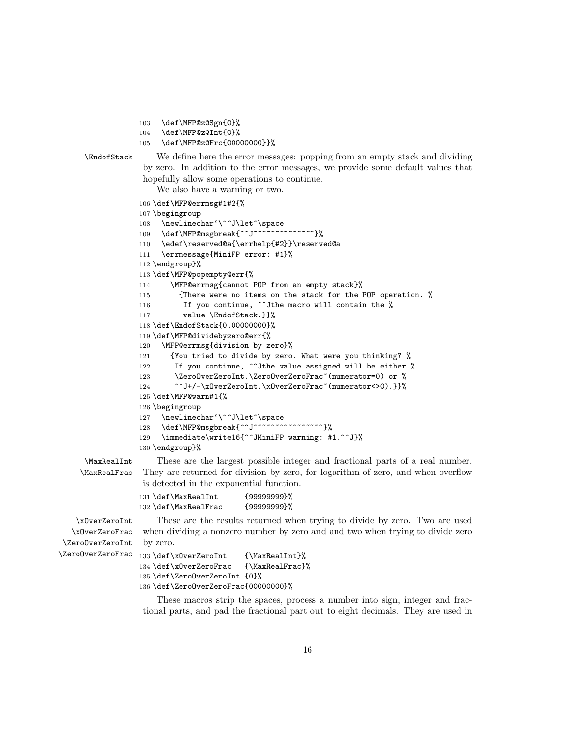- 103 \def\MFP@z@Sgn{0}%
- 104 \def\MFP@z@Int{0}%
- 105 \def\MFP@z@Frc{00000000}}%



\EndofStack We define here the error messages: popping from an empty stack and dividing by zero. In addition to the error messages, we provide some default values that hopefully allow some operations to continue.

We also have a warning or two.

```
106 \def\MFP@errmsg#1#2{%
107 \begingroup
108 \newlinechar'\^^J\let~\space
109 \def\MFP@msgbreak{^^J~~~~~~~~~~~~~~}%
110 \edef\reserved@a{\errhelp{#2}}\reserved@a
111 \errmessage{MiniFP error: #1}%
112 \endgroup}%
113 \def\MFP@popempty@err{%
114 \MFP@errmsg{cannot POP from an empty stack}%
115 {There were no items on the stack for the POP operation. %
116 If you continue, "Jthe macro will contain the %
117 value \EndofStack.}}%
118 \def\EndofStack{0.00000000}%
119 \def\MFP@dividebyzero@err{%
120 \MFP@errmsg{division by zero}%
121 {You tried to divide by zero. What were you thinking? %
122 If you continue, \hat{\phantom{a}} ithe value assigned will be either %
123 \ZeroOverZeroInt.\ZeroOverZeroFrac~(numerator=0) or %
124 ^^J+/-\xOverZeroInt.\xOverZeroFrac~(numerator<>0).}}%
125 \def\MFP@warn#1{%
126 \begingroup
127 \newlinechar'\^^J\let~\space
128 \def\MFP@msgbreak{^^J~~~~~~~~~~~~~~~~}%
129 \immediate\write16{^^JMiniFP warning: #1.^^J}%
130 \endgroup}%
```
\MaxRealInt These are the largest possible integer and fractional parts of a real number. \MaxRealFrac They are returned for division by zero, for logarithm of zero, and when overflow is detected in the exponential function.

| 131 \def\MaxRealInt  | {9999999}% |
|----------------------|------------|
| 132 \def\MaxRealFrac | {9999999}% |

\xOverZeroInt These are the results returned when trying to divide by zero. Two are used \xOverZeroFrac when dividing a nonzero number by zero and and two when trying to divide zero \ZeroOverZeroInt by zero.

```
\ZeroOverZeroFrac 133 \def\xOverZeroInt {\MaxRealInt}%
                  134 \def\xOverZeroFrac {\MaxRealFrac}%
                  135 \def\ZeroOverZeroInt {0}%
                  136 \def\ZeroOverZeroFrac{00000000}%
```
These macros strip the spaces, process a number into sign, integer and fractional parts, and pad the fractional part out to eight decimals. They are used in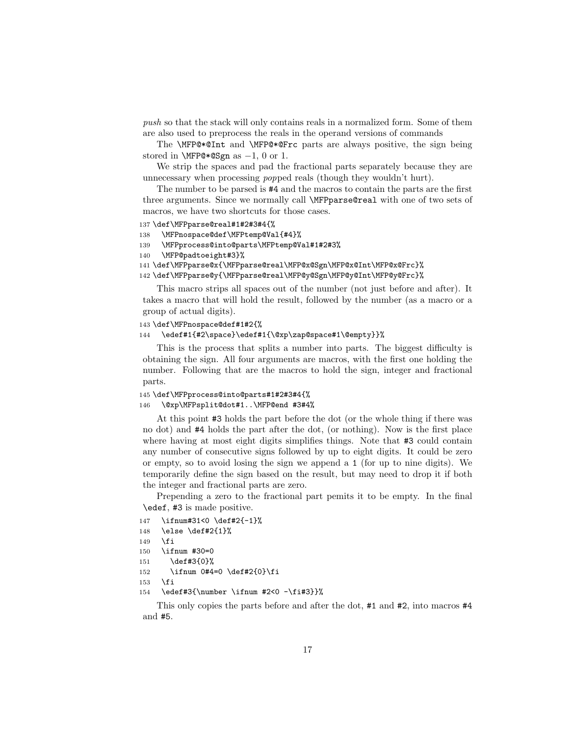push so that the stack will only contains reals in a normalized form. Some of them are also used to preprocess the reals in the operand versions of commands

The \MFP@\*@Int and \MFP@\*@Frc parts are always positive, the sign being stored in  $MFP@*@Sgn$  as  $-1$ , 0 or 1.

We strip the spaces and pad the fractional parts separately because they are unnecessary when processing popped reals (though they wouldn't hurt).

The number to be parsed is #4 and the macros to contain the parts are the first three arguments. Since we normally call \MFPparse@real with one of two sets of macros, we have two shortcuts for those cases.

```
137 \def\MFPparse@real#1#2#3#4{%
```

```
138 \MFPnospace@def\MFPtemp@Val{#4}%
```

```
139 \MFPprocess@into@parts\MFPtemp@Val#1#2#3%
```

```
140 \MFP@padtoeight#3}%
```
141 \def\MFPparse@x{\MFPparse@real\MFP@x@Sgn\MFP@x@Int\MFP@x@Frc}%

```
142 \def\MFPparse@y{\MFPparse@real\MFP@y@Sgn\MFP@y@Int\MFP@y@Frc}%
```
This macro strips all spaces out of the number (not just before and after). It takes a macro that will hold the result, followed by the number (as a macro or a group of actual digits).

#### 143 \def\MFPnospace@def#1#2{%

```
144 \edef#1{#2\space}\edef#1{\@xp\zap@space#1\@empty}}%
```
This is the process that splits a number into parts. The biggest difficulty is obtaining the sign. All four arguments are macros, with the first one holding the number. Following that are the macros to hold the sign, integer and fractional parts.

```
145 \def\MFPprocess@into@parts#1#2#3#4{%
146 \@xp\MFPsplit@dot#1..\MFP@end #3#4%
```
At this point #3 holds the part before the dot (or the whole thing if there was no dot) and #4 holds the part after the dot, (or nothing). Now is the first place where having at most eight digits simplifies things. Note that  $#3$  could contain any number of consecutive signs followed by up to eight digits. It could be zero or empty, so to avoid losing the sign we append a 1 (for up to nine digits). We temporarily define the sign based on the result, but may need to drop it if both the integer and fractional parts are zero.

Prepending a zero to the fractional part pemits it to be empty. In the final \edef, #3 is made positive.

```
147 \ifnum#31<0 \def#2{-1}%
148 \else \def#2{1}%
149 \fi
150 \ifnum #30=0
```

```
151 \def#3{0}%
```

```
152 \ifnum 0#4=0 \def#2{0}\fi
```

```
153 \fi
```

```
154 \edef#3{\number \ifnum #2<0 -\fi#3}}%
```
This only copies the parts before and after the dot, #1 and #2, into macros #4 and #5.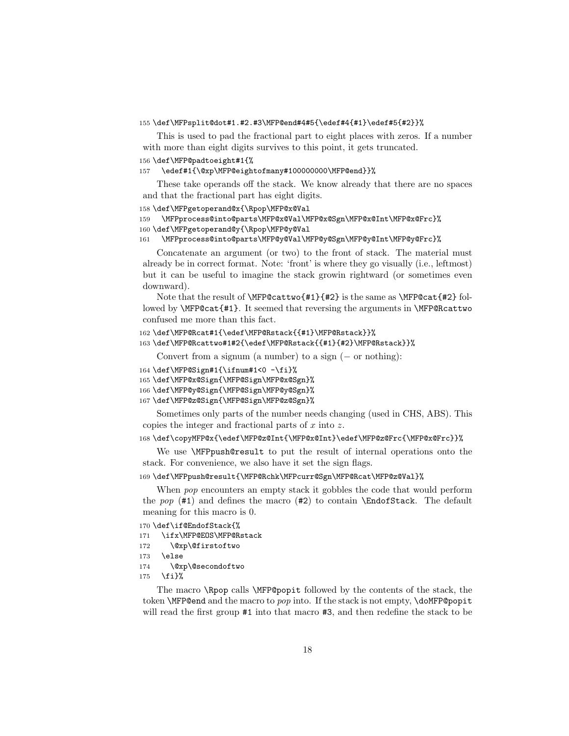#### 155 \def\MFPsplit@dot#1.#2.#3\MFP@end#4#5{\edef#4{#1}\edef#5{#2}}%

This is used to pad the fractional part to eight places with zeros. If a number with more than eight digits survives to this point, it gets truncated.

#### 156 \def\MFP@padtoeight#1{%

```
157 \edef#1{\@xp\MFP@eightofmany#100000000\MFP@end}}%
```
These take operands off the stack. We know already that there are no spaces and that the fractional part has eight digits.

```
158 \def\MFPgetoperand@x{\Rpop\MFP@x@Val
```

```
159 \MFPprocess@into@parts\MFP@x@Val\MFP@x@Sgn\MFP@x@Int\MFP@x@Frc}%
160 \def\MFPgetoperand@y{\Rpop\MFP@y@Val
```
161 \MFPprocess@into@parts\MFP@y@Val\MFP@y@Sgn\MFP@y@Int\MFP@y@Frc}%

Concatenate an argument (or two) to the front of stack. The material must already be in correct format. Note: 'front' is where they go visually (i.e., leftmost) but it can be useful to imagine the stack growin rightward (or sometimes even downward).

Note that the result of \MFP@cattwo{#1}{#2} is the same as \MFP@cat{#2} followed by \MFP@cat{#1}. It seemed that reversing the arguments in \MFP@Rcattwo confused me more than this fact.

```
162 \def\MFP@Rcat#1{\edef\MFP@Rstack{{#1}\MFP@Rstack}}%
```

```
163 \def\MFP@Rcattwo#1#2{\edef\MFP@Rstack{{#1}{#2}\MFP@Rstack}}%
```
Convert from a signum (a number) to a sign  $(-$  or nothing):

```
164 \def\MFP@Sign#1{\ifnum#1<0 -\fi}%
```

```
165 \def\MFP@x@Sign{\MFP@Sign\MFP@x@Sgn}%
```

```
166 \def\MFP@y@Sign{\MFP@Sign\MFP@y@Sgn}%
```

```
167 \def\MFP@z@Sign{\MFP@Sign\MFP@z@Sgn}%
```
Sometimes only parts of the number needs changing (used in CHS, ABS). This copies the integer and fractional parts of  $x$  into  $z$ .

```
168 \def\copyMFP@x{\edef\MFP@z@Int{\MFP@x@Int}\edef\MFP@z@Frc{\MFP@x@Frc}}%
```
We use \MFPpush@result to put the result of internal operations onto the stack. For convenience, we also have it set the sign flags.

169 \def\MFPpush@result{\MFP@Rchk\MFPcurr@Sgn\MFP@Rcat\MFP@z@Val}%

When *pop* encounters an empty stack it gobbles the code that would perform the pop  $(\#1)$  and defines the macro  $(\#2)$  to contain **\EndofStack**. The default meaning for this macro is 0.

```
170 \def\if@EndofStack{%
```

```
171 \ifx\MFP@EOS\MFP@Rstack
```

```
172 \@xp\@firstoftwo
```

```
173 \else
```
174 \@xp\@secondoftwo

```
175 \fi}%
```
The macro \Rpop calls \MFP@popit followed by the contents of the stack, the token **\MFP@end** and the macro to *pop* into. If the stack is not empty, **\doMFP@popit** will read the first group #1 into that macro #3, and then redefine the stack to be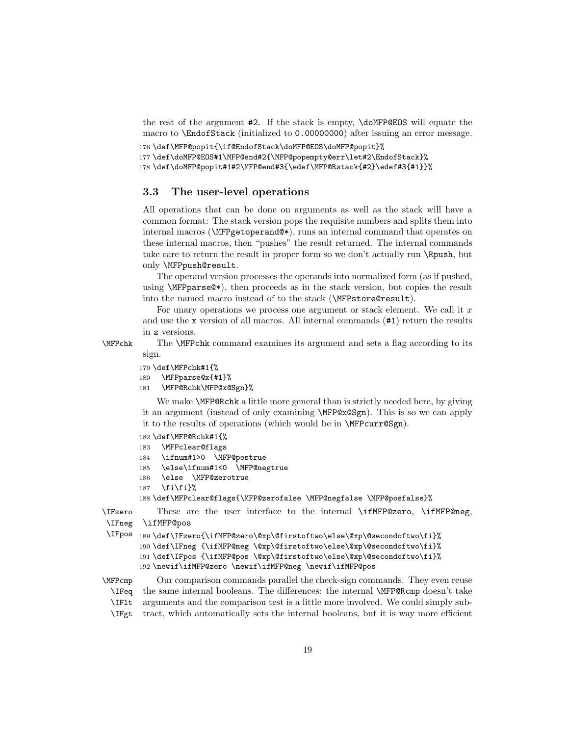the rest of the argument #2. If the stack is empty, \doMFP@EOS will equate the macro to \EndofStack (initialized to 0.00000000) after issuing an error message.

```
176 \def\MFP@popit{\if@EndofStack\doMFP@EOS\doMFP@popit}%
177 \def\doMFP@EOS#1\MFP@end#2{\MFP@popempty@err\let#2\EndofStack}%
178 \def\doMFP@popit#1#2\MFP@end#3{\edef\MFP@Rstack{#2}\edef#3{#1}}%
```
#### 3.3 The user-level operations

All operations that can be done on arguments as well as the stack will have a common format: The stack version pops the requisite numbers and splits them into internal macros (\MFPgetoperand@\*), runs an internal command that operates on these internal macros, then "pushes" the result returned. The internal commands take care to return the result in proper form so we don't actually run \Rpush, but only \MFPpush@result.

The operand version processes the operands into normalized form (as if pushed, using \MFPparse@\*), then proceeds as in the stack version, but copies the result into the named macro instead of to the stack (\MFPstore@result).

For unary operations we process one argument or stack element. We call it  $x$ and use the x version of all macros. All internal commands (#1) return the results in z versions.

\MFPchk The \MFPchk command examines its argument and sets a flag according to its sign.

- 179 \def\MFPchk#1{%
- 180 \MFPparse@x{#1}%
- 181 \MFP@Rchk\MFP@x@Sgn}%

We make **\MFP@Rchk** a little more general than is strictly needed here, by giving it an argument (instead of only examining \MFP@x@Sgn). This is so we can apply it to the results of operations (which would be in \MFPcurr@Sgn).

- 182 \def\MFP@Rchk#1{%
- 183 \MFPclear@flags
- 184 \ifnum#1>0 \MFP@postrue
- 185 \else\ifnum#1<0 \MFP@negtrue
- 186 \else \MFP@zerotrue
- $187$  \fi\fi}%

188 \def\MFPclear@flags{\MFP@zerofalse \MFP@negfalse \MFP@posfalse}%

\IFzero These are the user interface to the internal \ifMFP@zero, \ifMFP@neg, \IFneg \ifMFP@pos

```
\IFpos
189 \def\IFzero{\ifMFP@zero\@xp\@firstoftwo\else\@xp\@secondoftwo\fi}%
       190 \def\IFneg {\ifMFP@neg \@xp\@firstoftwo\else\@xp\@secondoftwo\fi}%
       191 \def\IFpos {\ifMFP@pos \@xp\@firstoftwo\else\@xp\@secondoftwo\fi}%
       192 \newif\ifMFP@zero \newif\ifMFP@neg \newif\ifMFP@pos
```
\MFPcmp Our comparison commands parallel the check-sign commands. They even reuse \IFeq the same internal booleans. The differences: the internal \MFP@Rcmp doesn't take \IFlt arguments and the comparison test is a little more involved. We could simply sub- \IFgt tract, which automatically sets the internal booleans, but it is way more efficient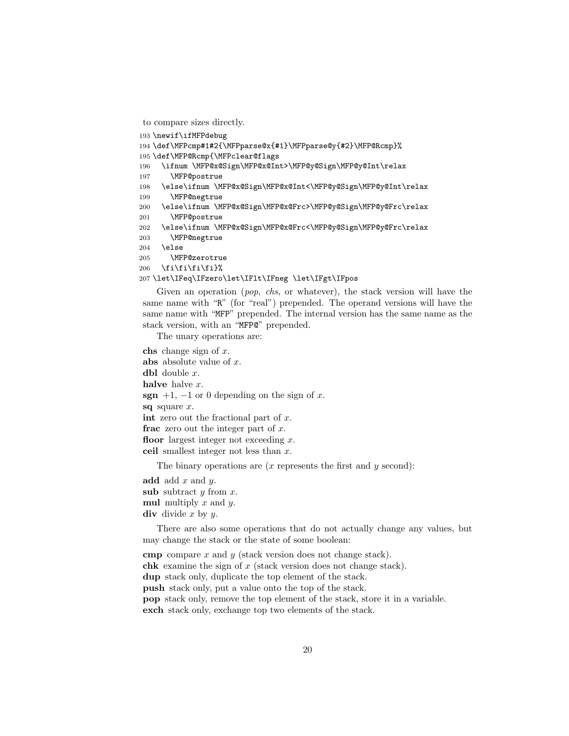```
to compare sizes directly.
```

```
193 \newif\ifMFPdebug
194 \def\MFPcmp#1#2{\MFPparse@x{#1}\MFPparse@y{#2}\MFP@Rcmp}%
```

```
195 \def\MFP@Rcmp{\MFPclear@flags
```

```
196 \ifnum \MFP@x@Sign\MFP@x@Int>\MFP@y@Sign\MFP@y@Int\relax
```

```
197 \MFP@postrue
```

```
198 \else\ifnum \MFP@x@Sign\MFP@x@Int<\MFP@y@Sign\MFP@y@Int\relax
```

```
199 \MFP@negtrue
```

```
200 \else\ifnum \MFP@x@Sign\MFP@x@Frc>\MFP@y@Sign\MFP@y@Frc\relax
201 \MFP@postrue
```

```
202 \else\ifnum \MFP@x@Sign\MFP@x@Frc<\MFP@y@Sign\MFP@y@Frc\relax
```

```
203 \MFP@negtrue
```

```
204 \else
```

```
205 \MFP@zerotrue
```

```
206 \fi\fi\fi\fi}%
```

```
207 \let\IFeq\IFzero\let\IFlt\IFneg \let\IFgt\IFpos
```
Given an operation (*pop, chs,* or whatever), the stack version will have the same name with "R" (for "real") prepended. The operand versions will have the same name with "MFP" prepended. The internal version has the same name as the stack version, with an "MFP@" prepended.

The unary operations are:

```
chs change sign of x.
abs absolute value of x.
dbl double x.
halve halve x.
sgn +1, -1 or 0 depending on the sign of x.
sq square x.
int zero out the fractional part of x.
frac zero out the integer part of x.
floor largest integer not exceeding x.
ceil smallest integer not less than x.
```
The binary operations are  $(x$  represents the first and  $y$  second):

```
add add x and y.
subsubtract y from x.
multiply x and y.
div divide x by y.
```
There are also some operations that do not actually change any values, but may change the stack or the state of some boolean:

cmp compare  $x$  and  $y$  (stack version does not change stack). chk examine the sign of x (stack version does not change stack). dup stack only, duplicate the top element of the stack. push stack only, put a value onto the top of the stack. pop stack only, remove the top element of the stack, store it in a variable. exch stack only, exchange top two elements of the stack.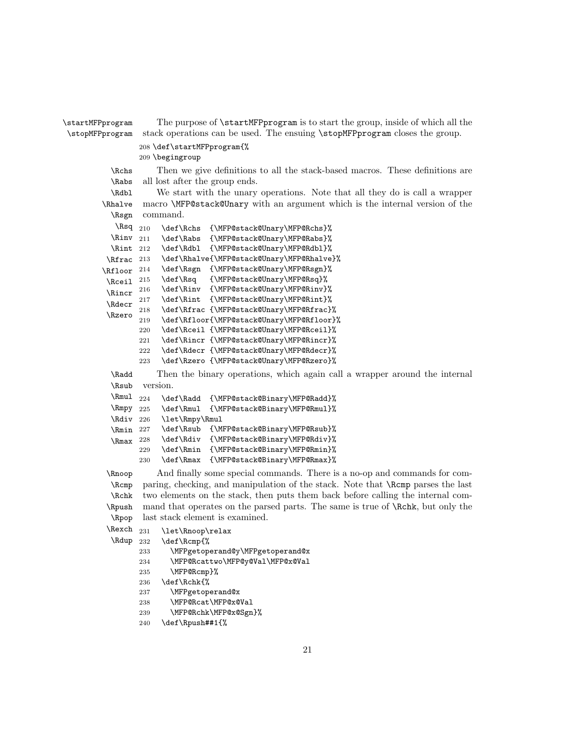```
\startMFPprogram The purpose of \startMFPprogram is to start the group, inside of which all the
\stopMFPprogram stack operations can be used. The ensuing \stopMFPprogram closes the group.
                 208 \def\startMFPprogram{%
                 209 \begingroup
           \Rchs Then we give definitions to all the stack-based macros. These definitions are
           \Rabs
           \Rdbl
         \Rhalve
           \Rsgn
                  all lost after the group ends.
                      We start with the unary operations. Note that all they do is call a wrapper
           \text{Rsq}_{210}\lambdaRinv 211
           \Rint 212
          \Rfrac 213
         \Lambda<sup>214</sup>
          \Rceil ^{215}\Rincr ^{216}\Rdecr
          \Rzero
                  macro \MFP@stack@Unary with an argument which is the internal version of the
                  command.
                      \def\Rchs {\MFP@stack@Unary\MFP@Rchs}%
                      \def\Rabs {\MFP@stack@Unary\MFP@Rabs}%
                      \def\Rdbl {\MFP@stack@Unary\MFP@Rdbl}%
                      \def\Rhalve{\MFP@stack@Unary\MFP@Rhalve}%
                      \def\Rsgn {\MFP@stack@Unary\MFP@Rsgn}%
                      \def\Rsq {\MFP@stack@Unary\MFP@Rsq}%
                      \def\Rinv {\MFP@stack@Unary\MFP@Rinv}%
                 217 \def\Rint {\MFP@stack@Unary\MFP@Rint}%
                 218 \def\Rfrac {\MFP@stack@Unary\MFP@Rfrac}%
                 219 \def\Rfloor{\MFP@stack@Unary\MFP@Rfloor}%
                 220 \def\Rceil {\MFP@stack@Unary\MFP@Rceil}%
                 221 \def\Rincr {\MFP@stack@Unary\MFP@Rincr}%
                 222 \def\Rdecr {\MFP@stack@Unary\MFP@Rdecr}%
                 223 \def\Rzero {\MFP@stack@Unary\MFP@Rzero}%
           \Radd Then the binary operations, which again call a wrapper around the internal
           \Rsub
           \Rmul
           \Rmpy 225
           \Rdiv
           \Rmin 227
           \Rmax
                  version.
                 224 \def\Radd {\MFP@stack@Binary\MFP@Radd}%
                      \def\Rmul {\MFP@stack@Binary\MFP@Rmul}%
                 226 \let\Rmpy\Rmul
                      \def\Rsub {\MFP@stack@Binary\MFP@Rsub}%
                 228 \def\Rdiv {\MFP@stack@Binary\MFP@Rdiv}%
                 229 \def\Rmin {\MFP@stack@Binary\MFP@Rmin}%
                 230 \def\Rmax {\MFP@stack@Binary\MFP@Rmax}%
          \Rnoop And finally some special commands. There is a no-op and commands for com-
           \Rcmp
           \Rchk
          \Rpush
           \Rpop
          \Rexch
           \Rdup 232
                  paring, checking, and manipulation of the stack. Note that \Rcmp parses the last
                  two elements on the stack, then puts them back before calling the internal com-
                  mand that operates on the parsed parts. The same is true of \Rchk, but only the
                  last stack element is examined.
                 231 \let\Rnoop\relax
                      \def\Rcmp{%
                 233 \MFPgetoperand@y\MFPgetoperand@x
                 234 \MFP@Rcattwo\MFP@y@Val\MFP@x@Val
                 235 \MFP@Rcmp}%
                 236 \def\Rchk{%
                 237 \MFPgetoperand@x
                 238 \MFP@Rcat\MFP@x@Val
                 239 \MFP@Rchk\MFP@x@Sgn}%
                 240 \def\Rpush##1{%
```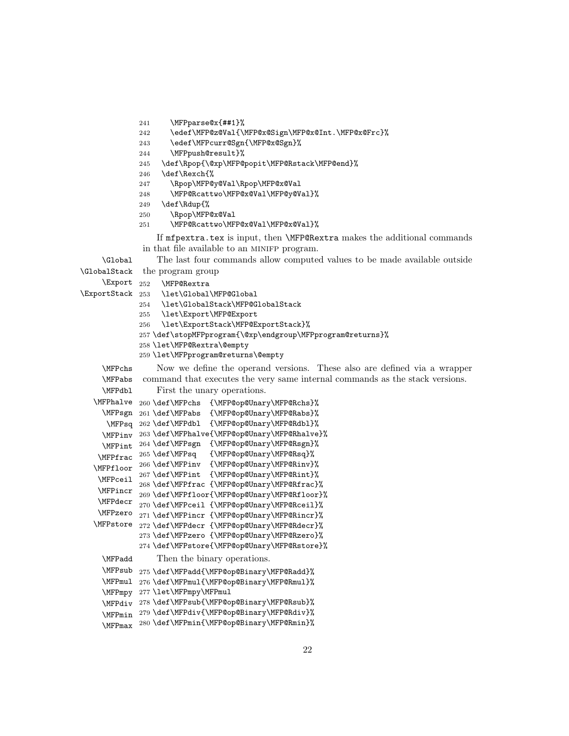```
241 \MFPparse@x{##1}%
```

```
242 \edef\MFP@z@Val{\MFP@x@Sign\MFP@x@Int.\MFP@x@Frc}%
```

```
243 \edef\MFPcurr@Sgn{\MFP@x@Sgn}%
```

```
244 \MFPpush@result}%
```

```
245 \def\Rpop{\@xp\MFP@popit\MFP@Rstack\MFP@end}%
```
- 246 \def\Rexch{%
- 247 \Rpop\MFP@y@Val\Rpop\MFP@x@Val
- 248 \MFP@Rcattwo\MFP@x@Val\MFP@y@Val}%
- 249 \def\Rdup{%
- 250 \Rpop\MFP@x@Val
- 251 \MFP@Rcattwo\MFP@x@Val\MFP@x@Val}%

If mfpextra.tex is input, then \MFP@Rextra makes the additional commands in that file available to an MINIFP program.

```
\Global The last four commands allow computed values to be made available outside
\GlobalStack
the program group
```
\Export 252 \MFP@Rextra

```
\ExportStack
```

```
\let\Global\MFP@Global
```
- 254 \let\GlobalStack\MFP@GlobalStack
- 255 \let\Export\MFP@Export
- 256 \let\ExportStack\MFP@ExportStack}%
- 257 \def\stopMFPprogram{\@xp\endgroup\MFPprogram@returns}%
- 258 \let\MFP@Rextra\@empty
- 259 \let\MFPprogram@returns\@empty

```
\MFPchs Now we define the operand versions. These also are defined via a wrapper
\MFPabs
\MFPdbl
         command that executes the very same internal commands as the stack versions.
            First the unary operations.
```

```
\MFPhalve
260 \def\MFPchs {\MFP@op@Unary\MFP@Rchs}%
  \MFPsgn
261 \def\MFPabs {\MFP@op@Unary\MFP@Rabs}%
   \MFPsq
262 \def\MFPdbl {\MFP@op@Unary\MFP@Rdbl}%
  \MFPinv
263 \def\MFPhalve{\MFP@op@Unary\MFP@Rhalve}%
  \MFPint
264 \def\MFPsgn {\MFP@op@Unary\MFP@Rsgn}%
\MFPfrac 265 \def\MFPsq
\MFPfloor
266 \def\MFPinv {\MFP@op@Unary\MFP@Rinv}%
\MFPceil
 \MFPincr
269 \def\MFPfloor{\MFP@op@Unary\MFP@Rfloor}%
 \MFPdecr
270 \def\MFPceil {\MFP@op@Unary\MFP@Rceil}%
 \MFPzero
271 \def\MFPincr {\MFP@op@Unary\MFP@Rincr}%
\MFPstore
272 \def\MFPdecr {\MFP@op@Unary\MFP@Rdecr}%
                         {\MFP@op@Unary\MFP@Rsq}}267 \def\MFPint {\MFP@op@Unary\MFP@Rint}%
          268 \def\MFPfrac {\MFP@op@Unary\MFP@Rfrac}%
          273 \def\MFPzero {\MFP@op@Unary\MFP@Rzero}%
          274 \def\MFPstore{\MFP@op@Unary\MFP@Rstore}%
 \MFPadd Then the binary operations.
  \MFPsub
275 \def\MFPadd{\MFP@op@Binary\MFP@Radd}%
  \MFPmul
276 \def\MFPmul{\MFP@op@Binary\MFP@Rmul}%
  \MFPmpy
277 \let\MFPmpy\MFPmul
```

```
\MFPdiv
278 \def\MFPsub{\MFP@op@Binary\MFP@Rsub}%
```

```
\MFPmin
279 \def\MFPdiv{\MFP@op@Binary\MFP@Rdiv}%
\MFPmax
280 \def\MFPmin{\MFP@op@Binary\MFP@Rmin}%
```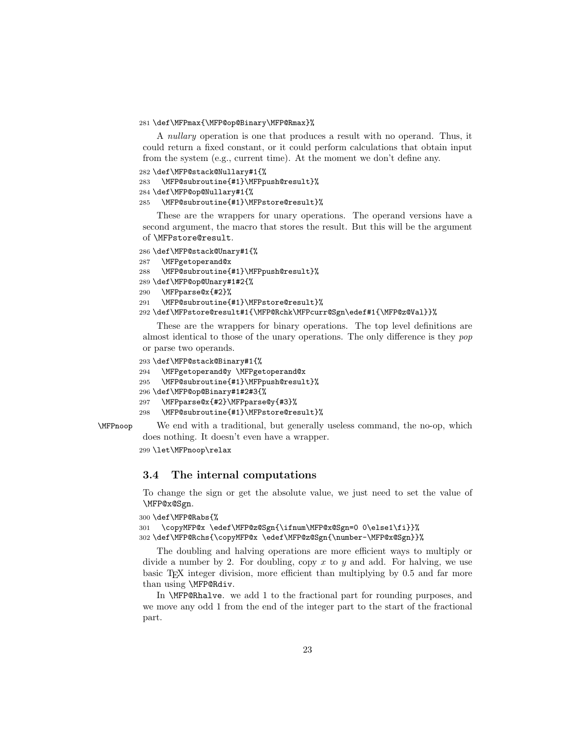281 \def\MFPmax{\MFP@op@Binary\MFP@Rmax}%

A *nullary* operation is one that produces a result with no operand. Thus, it could return a fixed constant, or it could perform calculations that obtain input from the system (e.g., current time). At the moment we don't define any.

```
282 \def\MFP@stack@Nullary#1{%
```

```
283 \MFP@subroutine{#1}\MFPpush@result}%
```

```
284 \def\MFP@op@Nullary#1{%
```

```
285 \MFP@subroutine{#1}\MFPstore@result}%
```
These are the wrappers for unary operations. The operand versions have a second argument, the macro that stores the result. But this will be the argument of \MFPstore@result.

```
286 \def\MFP@stack@Unary#1{%
287 \MFPgetoperand@x
288 \MFP@subroutine{#1}\MFPpush@result}%
289 \def\MFP@op@Unary#1#2{%
290 \MFPparse@x{#2}%
291 \MFP@subroutine{#1}\MFPstore@result}%
292 \def\MFPstore@result#1{\MFP@Rchk\MFPcurr@Sgn\edef#1{\MFP@z@Val}}%
```
These are the wrappers for binary operations. The top level definitions are almost identical to those of the unary operations. The only difference is they pop or parse two operands.

```
293 \def\MFP@stack@Binary#1{%
```

```
294 \MFPgetoperand@y \MFPgetoperand@x
```

```
295 \MFP@subroutine{#1}\MFPpush@result}%
```

```
296 \def\MFP@op@Binary#1#2#3{%
```

```
297 \MFPparse@x{#2}\MFPparse@y{#3}%
```

```
298 \MFP@subroutine{#1}\MFPstore@result}%
```
\MFPnoop We end with a traditional, but generally useless command, the no-op, which does nothing. It doesn't even have a wrapper.

```
299 \let\MFPnoop\relax
```
## 3.4 The internal computations

To change the sign or get the absolute value, we just need to set the value of \MFP@x@Sgn.

```
300 \def\MFP@Rabs{%
301 \copyMFP@x \edef\MFP@z@Sgn{\ifnum\MFP@x@Sgn=0 0\else1\fi}}%
302 \def\MFP@Rchs{\copyMFP@x \edef\MFP@z@Sgn{\number-\MFP@x@Sgn}}%
```
The doubling and halving operations are more efficient ways to multiply or divide a number by 2. For doubling, copy  $x$  to  $y$  and add. For halving, we use basic TEX integer division, more efficient than multiplying by 0.5 and far more than using \MFP@Rdiv.

In \MFP@Rhalve. we add 1 to the fractional part for rounding purposes, and we move any odd 1 from the end of the integer part to the start of the fractional part.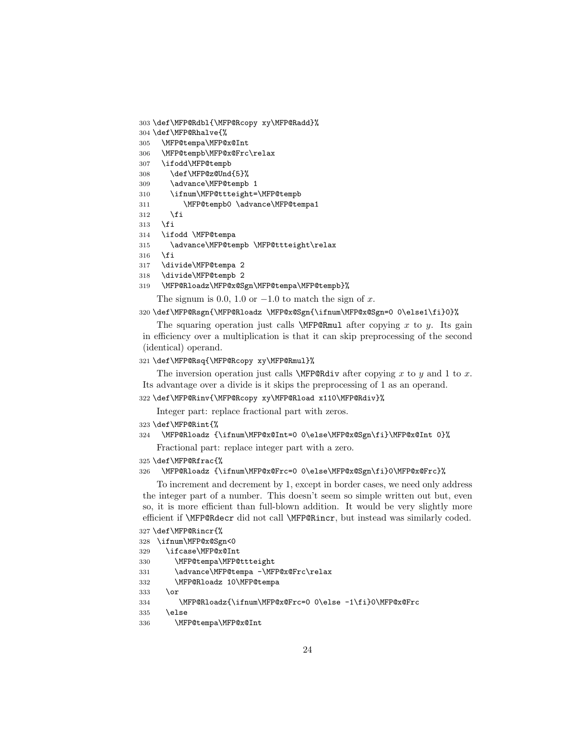```
303 \def\MFP@Rdbl{\MFP@Rcopy xy\MFP@Radd}%
```

```
304 \def\MFP@Rhalve{%
```

```
305 \MFP@tempa\MFP@x@Int
```
\MFP@tempb\MFP@x@Frc\relax

```
307 \ifodd\MFP@tempb
```
- \def\MFP@z@Und{5}%
- \advance\MFP@tempb 1
- \ifnum\MFP@ttteight=\MFP@tempb
- \MFP@tempb0 \advance\MFP@tempa1
- \fi
- \fi
- \ifodd \MFP@tempa
- \advance\MFP@tempb \MFP@ttteight\relax
- \fi
- \divide\MFP@tempa 2
- \divide\MFP@tempb 2
- \MFP@Rloadz\MFP@x@Sgn\MFP@tempa\MFP@tempb}%

The signum is 0.0, 1.0 or  $-1.0$  to match the sign of x.

## \def\MFP@Rsgn{\MFP@Rloadz \MFP@x@Sgn{\ifnum\MFP@x@Sgn=0 0\else1\fi}0}%

The squaring operation just calls **\MFP@Rmul** after copying x to y. Its gain in efficiency over a multiplication is that it can skip preprocessing of the second (identical) operand.

#### \def\MFP@Rsq{\MFP@Rcopy xy\MFP@Rmul}%

The inversion operation just calls  $\MFP@Rdiv$  after copying x to y and 1 to x. Its advantage over a divide is it skips the preprocessing of 1 as an operand.

\def\MFP@Rinv{\MFP@Rcopy xy\MFP@Rload x110\MFP@Rdiv}%

Integer part: replace fractional part with zeros.

\def\MFP@Rint{%

```
324 \MFP@Rloadz {\ifnum\MFP@x@Int=0 0\else\MFP@x@Sgn\fi}\MFP@x@Int 0}%
```
Fractional part: replace integer part with a zero.

\def\MFP@Rfrac{%

\MFP@Rloadz {\ifnum\MFP@x@Frc=0 0\else\MFP@x@Sgn\fi}0\MFP@x@Frc}%

To increment and decrement by 1, except in border cases, we need only address the integer part of a number. This doesn't seem so simple written out but, even so, it is more efficient than full-blown addition. It would be very slightly more efficient if \MFP@Rdecr did not call \MFP@Rincr, but instead was similarly coded.

\def\MFP@Rincr{%

```
328 \ifnum\MFP@x@Sgn<0
```

```
329 \ifcase\MFP@x@Int
```
- \MFP@tempa\MFP@ttteight
- \advance\MFP@tempa -\MFP@x@Frc\relax
- \MFP@Rloadz 10\MFP@tempa
- \or

```
334 \MFP@Rloadz{\ifnum\MFP@x@Frc=0 0\else -1\fi}0\MFP@x@Frc
```
- \else
- \MFP@tempa\MFP@x@Int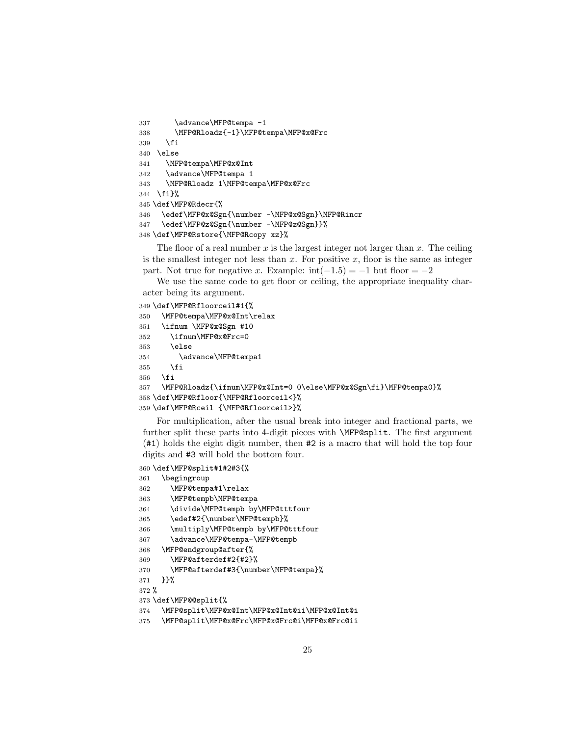```
337 \advance\MFP@tempa -1
338 \MFP@Rloadz{-1}\MFP@tempa\MFP@x@Frc
339 \fi
340 \else
341 \MFP@tempa\MFP@x@Int
342 \advance\MFP@tempa 1
343 \MFP@Rloadz 1\MFP@tempa\MFP@x@Frc
344 \fi}%
345 \def\MFP@Rdecr{%
346 \edef\MFP@x@Sgn{\number -\MFP@x@Sgn}\MFP@Rincr
347 \edef\MFP@z@Sgn{\number -\MFP@z@Sgn}}%
348 \def\MFP@Rstore{\MFP@Rcopy xz}%
```
The floor of a real number  $x$  is the largest integer not larger than  $x$ . The ceiling is the smallest integer not less than  $x$ . For positive  $x$ , floor is the same as integer part. Not true for negative x. Example:  $int(-1.5) = -1$  but floor =  $-2$ 

We use the same code to get floor or ceiling, the appropriate inequality character being its argument.

```
349 \def\MFP@Rfloorceil#1{%
350 \MFP@tempa\MFP@x@Int\relax
351 \ifnum \MFP@x@Sgn #10
352 \ifnum\MFP@x@Frc=0
353 \else
354 \advance\MFP@tempa1
355 \fi
356 \fi
357 \MFP@Rloadz{\ifnum\MFP@x@Int=0 0\else\MFP@x@Sgn\fi}\MFP@tempa0}%
358 \def\MFP@Rfloor{\MFP@Rfloorceil<}%
359 \def\MFP@Rceil {\MFP@Rfloorceil>}%
```
For multiplication, after the usual break into integer and fractional parts, we further split these parts into 4-digit pieces with \MFP@split. The first argument (#1) holds the eight digit number, then #2 is a macro that will hold the top four digits and #3 will hold the bottom four.

```
360 \def\MFP@split#1#2#3{%
```

```
361 \begingroup
362 \MFP@tempa#1\relax
363 \MFP@tempb\MFP@tempa
364 \divide\MFP@tempb by\MFP@tttfour
365 \edef#2{\number\MFP@tempb}%
366 \multiply\MFP@tempb by\MFP@tttfour
367 \advance\MFP@tempa-\MFP@tempb
368 \MFP@endgroup@after{%
369 \MFP@afterdef#2{#2}%
370 \MFP@afterdef#3{\number\MFP@tempa}%
371 }}%
372 %
373 \def\MFP@@split{%
374 \MFP@split\MFP@x@Int\MFP@x@Int@ii\MFP@x@Int@i
375 \MFP@split\MFP@x@Frc\MFP@x@Frc@i\MFP@x@Frc@ii
```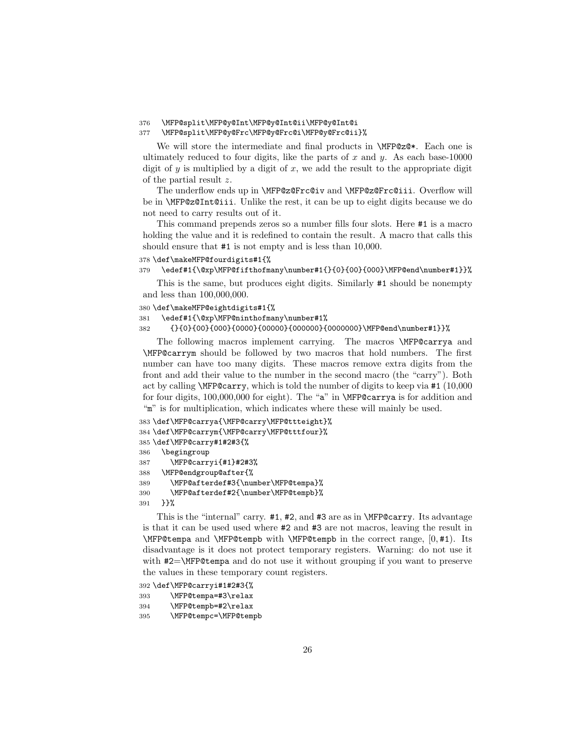## 376 \MFP@split\MFP@y@Int\MFP@y@Int@ii\MFP@y@Int@i

#### 377 \MFP@split\MFP@y@Frc\MFP@y@Frc@i\MFP@y@Frc@ii}%

We will store the intermediate and final products in \MFP@z@\*. Each one is ultimately reduced to four digits, like the parts of  $x$  and  $y$ . As each base-10000 digit of  $y$  is multiplied by a digit of  $x$ , we add the result to the appropriate digit of the partial result z.

The underflow ends up in \MFP@z@Frc@iv and \MFP@z@Frc@iii. Overflow will be in \MFP@z@Int@iii. Unlike the rest, it can be up to eight digits because we do not need to carry results out of it.

This command prepends zeros so a number fills four slots. Here #1 is a macro holding the value and it is redefined to contain the result. A macro that calls this should ensure that #1 is not empty and is less than 10,000.

#### 378 \def\makeMFP@fourdigits#1{%

#### 379 \edef#1{\@xp\MFP@fifthofmany\number#1{}{0}{00}{000}\MFP@end\number#1}}%

This is the same, but produces eight digits. Similarly #1 should be nonempty and less than 100,000,000.

#### 380 \def\makeMFP@eightdigits#1{%

```
381 \edef#1{\@xp\MFP@ninthofmany\number#1%
```
382 {}{0}{00}{000}{0000}{00000}{000000}{0000000}\MFP@end\number#1}}%

The following macros implement carrying. The macros \MFP@carrya and \MFP@carrym should be followed by two macros that hold numbers. The first number can have too many digits. These macros remove extra digits from the front and add their value to the number in the second macro (the "carry"). Both act by calling \MFP@carry, which is told the number of digits to keep via #1 (10,000 for four digits, 100,000,000 for eight). The "a" in \MFP@carrya is for addition and "m" is for multiplication, which indicates where these will mainly be used.

```
383 \def\MFP@carrya{\MFP@carry\MFP@ttteight}%
384 \def\MFP@carrym{\MFP@carry\MFP@tttfour}%
385 \def\MFP@carry#1#2#3{%
386 \begingroup
387 \MFP@carryi{#1}#2#3%
388 \MFP@endgroup@after{%
389 \MFP@afterdef#3{\number\MFP@tempa}%
390 \MFP@afterdef#2{\number\MFP@tempb}%
391 }}%
```
This is the "internal" carry. #1, #2, and #3 are as in \MFP@carry. Its advantage is that it can be used used where #2 and #3 are not macros, leaving the result in \MFP@tempa and \MFP@tempb with \MFP@tempb in the correct range, [0, #1). Its disadvantage is it does not protect temporary registers. Warning: do not use it with #2=\MFP@tempa and do not use it without grouping if you want to preserve the values in these temporary count registers.

```
392 \def\MFP@carryi#1#2#3{%
393 \MFP@tempa=#3\relax
394 \MFP@tempb=#2\relax
```

```
395 \MFP@tempc=\MFP@tempb
```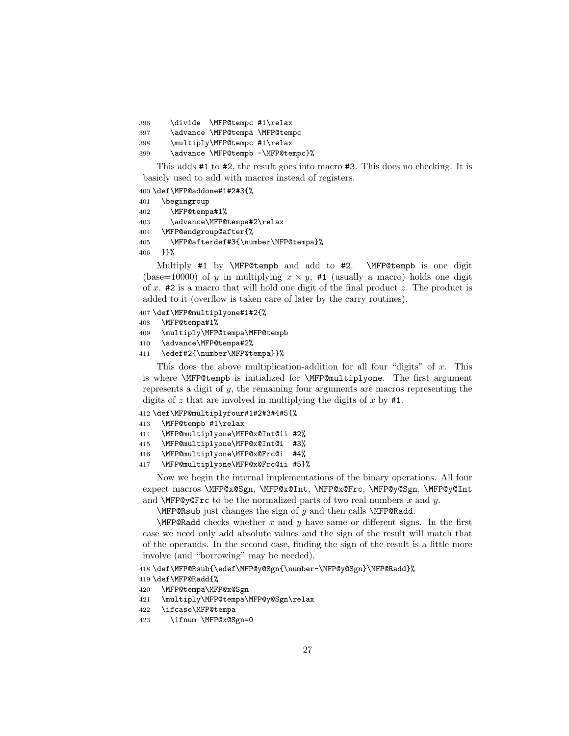\divide \MFP@tempc #1\relax \advance \MFP@tempa \MFP@tempc \multiply\MFP@tempc #1\relax \advance \MFP@tempb -\MFP@tempc}%

This adds #1 to #2, the result goes into macro #3. This does no checking. It is basicly used to add with macros instead of registers.

\def\MFP@addone#1#2#3{%

 \begingroup \MFP@tempa#1% \advance\MFP@tempa#2\relax \MFP@endgroup@after{% \MFP@afterdef#3{\number\MFP@tempa}%

}}%

Multiply #1 by \MFP@tempb and add to #2. \MFP@tempb is one digit (base=10000) of y in multiplying  $x \times y$ , #1 (usually a macro) holds one digit of x.  $\#2$  is a macro that will hold one digit of the final product z. The product is added to it (overflow is taken care of later by the carry routines).

#### \def\MFP@multiplyone#1#2{%

- \MFP@tempa#1%
- \multiply\MFP@tempa\MFP@tempb
- \advance\MFP@tempa#2%
- \edef#2{\number\MFP@tempa}}%

This does the above multiplication-addition for all four "digits" of  $x$ . This is where \MFP@tempb is initialized for \MFP@multiplyone. The first argument represents a digit of y, the remaining four arguments are macros representing the digits of z that are involved in multiplying the digits of x by  $#1$ .

- \def\MFP@multiplyfour#1#2#3#4#5{%
- \MFP@tempb #1\relax
- \MFP@multiplyone\MFP@x@Int@ii #2%
- \MFP@multiplyone\MFP@x@Int@i #3%
- \MFP@multiplyone\MFP@x@Frc@i #4%
- \MFP@multiplyone\MFP@x@Frc@ii #5}%

Now we begin the internal implementations of the binary operations. All four expect macros \MFP@x@Sgn, \MFP@x@Int, \MFP@x@Frc, \MFP@y@Sgn, \MFP@y@Int and **\MFP@y@Frc** to be the normalized parts of two real numbers x and y.

\MFP@Rsub just changes the sign of  $y$  and then calls \MFP@Radd.

 $\M{FPR}$ Radd checks whether x and y have same or different signs. In the first case we need only add absolute values and the sign of the result will match that of the operands. In the second case, finding the sign of the result is a little more involve (and "borrowing" may be needed).

\def\MFP@Rsub{\edef\MFP@y@Sgn{\number-\MFP@y@Sgn}\MFP@Radd}%

```
419 \def\MFP@Radd{%
```
- \MFP@tempa\MFP@x@Sgn
- \multiply\MFP@tempa\MFP@y@Sgn\relax
- \ifcase\MFP@tempa
- \ifnum \MFP@x@Sgn=0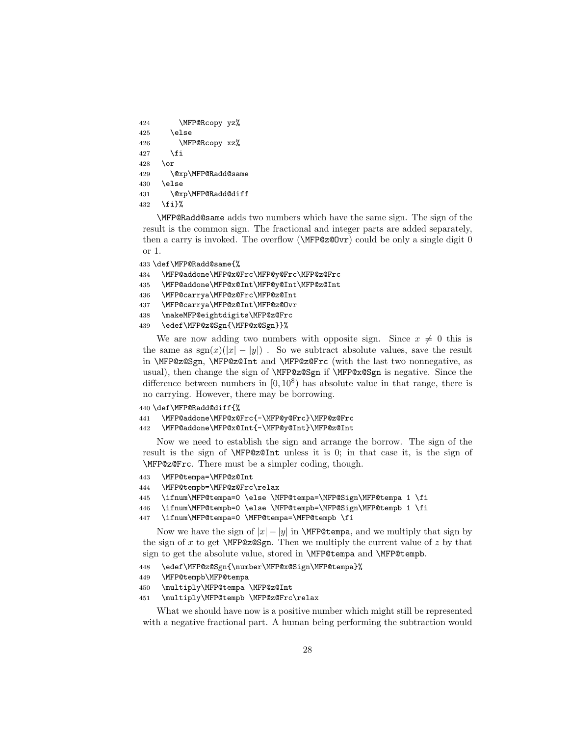```
424 \MFP@Rcopy yz%
425 \else
426 \MFP@Rcopy xz%
427 \fi
428 \or
429 \@xp\MFP@Radd@same
430 \else
431 \@xp\MFP@Radd@diff
432 \fi}%
```
\MFP@Radd@same adds two numbers which have the same sign. The sign of the result is the common sign. The fractional and integer parts are added separately, then a carry is invoked. The overflow (\MFP@z@Ovr) could be only a single digit 0 or 1.

- 433 \def\MFP@Radd@same{%
- 434 \MFP@addone\MFP@x@Frc\MFP@y@Frc\MFP@z@Frc
- 435 \MFP@addone\MFP@x@Int\MFP@y@Int\MFP@z@Int
- 436 \MFP@carrya\MFP@z@Frc\MFP@z@Int
- 437 \MFP@carrya\MFP@z@Int\MFP@z@Ovr
- 438 \makeMFP@eightdigits\MFP@z@Frc
- 439 \edef\MFP@z@Sgn{\MFP@x@Sgn}}%

We are now adding two numbers with opposite sign. Since  $x \neq 0$  this is the same as  $sgn(x)(|x| - |y|)$ . So we subtract absolute values, save the result in \MFP@z@Sgn, \MFP@z@Int and \MFP@z@Frc (with the last two nonnegative, as usual), then change the sign of \MFP@z@Sgn if \MFP@x@Sgn is negative. Since the difference between numbers in  $[0, 10^8)$  has absolute value in that range, there is no carrying. However, there may be borrowing.

```
440 \def\MFP@Radd@diff{%
```
- 441 \MFP@addone\MFP@x@Frc{-\MFP@y@Frc}\MFP@z@Frc
- 442 \MFP@addone\MFP@x@Int{-\MFP@y@Int}\MFP@z@Int

Now we need to establish the sign and arrange the borrow. The sign of the result is the sign of \MFP@z@Int unless it is 0; in that case it, is the sign of \MFP@z@Frc. There must be a simpler coding, though.

```
443 \MFP@tempa=\MFP@z@Int
```
- 444 \MFP@tempb=\MFP@z@Frc\relax
- 445 \ifnum\MFP@tempa=0 \else \MFP@tempa=\MFP@Sign\MFP@tempa 1 \fi
- 446 \ifnum\MFP@tempb=0 \else \MFP@tempb=\MFP@Sign\MFP@tempb 1 \fi
- 447 \ifnum\MFP@tempa=0 \MFP@tempa=\MFP@tempb \fi

Now we have the sign of  $|x| - |y|$  in **\MFP@tempa**, and we multiply that sign by the sign of x to get  $\M{FP@z@Sgn}$ . Then we multiply the current value of z by that sign to get the absolute value, stored in \MFP@tempa and \MFP@tempb.

- 448 \edef\MFP@z@Sgn{\number\MFP@x@Sign\MFP@tempa}%
- 449 \MFP@tempb\MFP@tempa
- 450 \multiply\MFP@tempa \MFP@z@Int
- 451 \multiply\MFP@tempb \MFP@z@Frc\relax

What we should have now is a positive number which might still be represented with a negative fractional part. A human being performing the subtraction would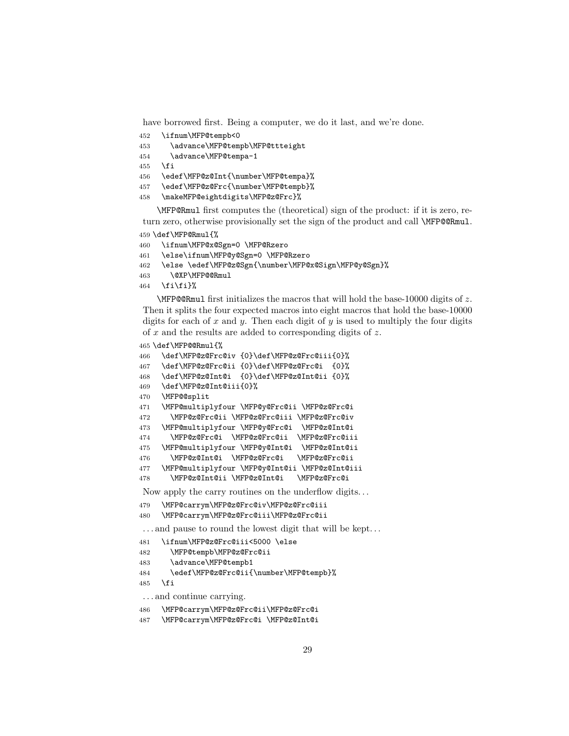have borrowed first. Being a computer, we do it last, and we're done.

- \ifnum\MFP@tempb<0
- \advance\MFP@tempb\MFP@ttteight
- \advance\MFP@tempa-1
- \fi
- \edef\MFP@z@Int{\number\MFP@tempa}%
- \edef\MFP@z@Frc{\number\MFP@tempb}%
- \makeMFP@eightdigits\MFP@z@Frc}%

\MFP@Rmul first computes the (theoretical) sign of the product: if it is zero, return zero, otherwise provisionally set the sign of the product and call **\MFP@@Rmul**.

```
459 \def\MFP@Rmul{%
```

```
460 \ifnum\MFP@x@Sgn=0 \MFP@Rzero
```
- \else\ifnum\MFP@y@Sgn=0 \MFP@Rzero
- \else \edef\MFP@z@Sgn{\number\MFP@x@Sign\MFP@y@Sgn}%
- \@XP\MFP@@Rmul
- \fi\fi}%

 $\Lambda$ MFP@@Rmul first initializes the macros that will hold the base-10000 digits of z. Then it splits the four expected macros into eight macros that hold the base-10000 digits for each of x and y. Then each digit of y is used to multiply the four digits of  $x$  and the results are added to corresponding digits of  $z$ .

```
465 \def\MFP@@Rmul{%
```

```
466 \def\MFP@z@Frc@iv {0}\def\MFP@z@Frc@iii{0}%
467 \def\MFP@z@Frc@ii {0}\def\MFP@z@Frc@i {0}%
468 \def\MFP@z@Int@i {0}\def\MFP@z@Int@ii {0}%
469 \def\MFP@z@Int@iii{0}%
470 \MFP@@split
471 \MFP@multiplyfour \MFP@y@Frc@ii \MFP@z@Frc@i
472 \MFP@z@Frc@ii \MFP@z@Frc@iii \MFP@z@Frc@iv
473 \MFP@multiplyfour \MFP@y@Frc@i \MFP@z@Int@i
474 \MFP@z@Frc@i \MFP@z@Frc@ii \MFP@z@Frc@iii
475 \MFP@multiplyfour \MFP@y@Int@i \MFP@z@Int@ii
476 \MFP@z@Int@i \MFP@z@Frc@i \MFP@z@Frc@ii
477 \MFP@multiplyfour \MFP@y@Int@ii \MFP@z@Int@iii
478 \MFP@z@Int@ii \MFP@z@Int@i \MFP@z@Frc@i
Now apply the carry routines on the underflow digits. . .
479 \MFP@carrym\MFP@z@Frc@iv\MFP@z@Frc@iii
480 \MFP@carrym\MFP@z@Frc@iii\MFP@z@Frc@ii
 ... and pause to round the lowest digit that will be kept...
481 \ifnum\MFP@z@Frc@iii<5000 \else
482 \MFP@tempb\MFP@z@Frc@ii
483 \advance\MFP@tempb1
484 \edef\MFP@z@Frc@ii{\number\MFP@tempb}%
485 \fi
```
. . . and continue carrying.

```
486 \MFP@carrym\MFP@z@Frc@ii\MFP@z@Frc@i
```

```
487 \MFP@carrym\MFP@z@Frc@i \MFP@z@Int@i
```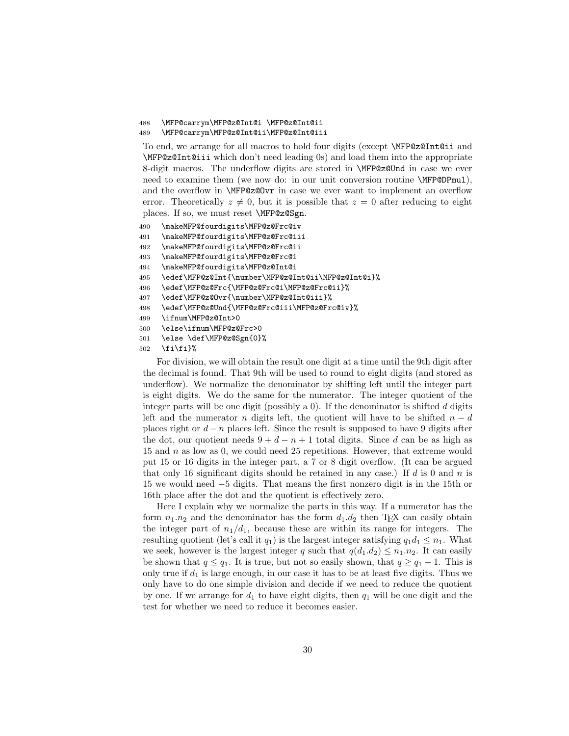## 488 \MFP@carrym\MFP@z@Int@i \MFP@z@Int@ii

```
489 \MFP@carrym\MFP@z@Int@ii\MFP@z@Int@iii
```
To end, we arrange for all macros to hold four digits (except \MFP@z@Int@ii and \MFP@z@Int@iii which don't need leading 0s) and load them into the appropriate 8-digit macros. The underflow digits are stored in \MFP@z@Und in case we ever need to examine them (we now do: in our unit conversion routine \MFP@DPmul), and the overflow in \MFP@z@Ovr in case we ever want to implement an overflow error. Theoretically  $z \neq 0$ , but it is possible that  $z = 0$  after reducing to eight places. If so, we must reset \MFP@z@Sgn.

- 490 \makeMFP@fourdigits\MFP@z@Frc@iv
- 491 \makeMFP@fourdigits\MFP@z@Frc@iii
- 492 \makeMFP@fourdigits\MFP@z@Frc@ii
- 493 \makeMFP@fourdigits\MFP@z@Frc@i
- 494 \makeMFP@fourdigits\MFP@z@Int@i
- 495 \edef\MFP@z@Int{\number\MFP@z@Int@ii\MFP@z@Int@i}%
- 496 \edef\MFP@z@Frc{\MFP@z@Frc@i\MFP@z@Frc@ii}%
- 497 \edef\MFP@z@Ovr{\number\MFP@z@Int@iii}%
- 498 \edef\MFP@z@Und{\MFP@z@Frc@iii\MFP@z@Frc@iv}%
- 499 \ifnum\MFP@z@Int>0
- 500 \else\ifnum\MFP@z@Frc>0
- 501 \else \def\MFP@z@Sgn{0}%
- 502 \fi\fi}%

For division, we will obtain the result one digit at a time until the 9th digit after the decimal is found. That 9th will be used to round to eight digits (and stored as underflow). We normalize the denominator by shifting left until the integer part is eight digits. We do the same for the numerator. The integer quotient of the integer parts will be one digit (possibly a 0). If the denominator is shifted d digits left and the numerator n digits left, the quotient will have to be shifted  $n - d$ places right or  $d - n$  places left. Since the result is supposed to have 9 digits after the dot, our quotient needs  $9 + d - n + 1$  total digits. Since d can be as high as 15 and n as low as 0, we could need 25 repetitions. However, that extreme would put 15 or 16 digits in the integer part, a 7 or 8 digit overflow. (It can be argued that only 16 significant digits should be retained in any case.) If d is 0 and n is 15 we would need −5 digits. That means the first nonzero digit is in the 15th or 16th place after the dot and the quotient is effectively zero.

Here I explain why we normalize the parts in this way. If a numerator has the form  $n_1 \n_2$  and the denominator has the form  $d_1 \n_2$  then T<sub>E</sub>X can easily obtain the integer part of  $n_1/d_1$ , because these are within its range for integers. The resulting quotient (let's call it  $q_1$ ) is the largest integer satisfying  $q_1d_1 \leq n_1$ . What we seek, however is the largest integer q such that  $q(d_1.d_2) \leq n_1.n_2$ . It can easily be shown that  $q \leq q_1$ . It is true, but not so easily shown, that  $q \geq q_1 - 1$ . This is only true if  $d_1$  is large enough, in our case it has to be at least five digits. Thus we only have to do one simple division and decide if we need to reduce the quotient by one. If we arrange for  $d_1$  to have eight digits, then  $q_1$  will be one digit and the test for whether we need to reduce it becomes easier.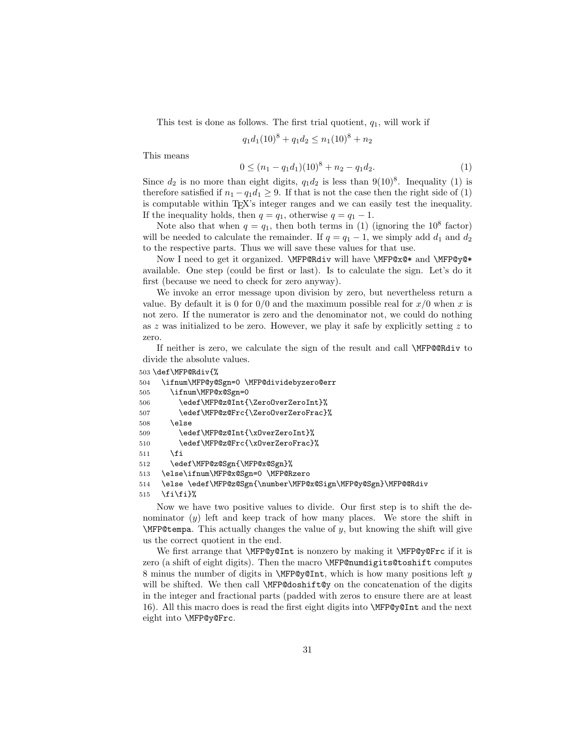This test is done as follows. The first trial quotient,  $q_1$ , will work if

$$
q_1 d_1 (10)^8 + q_1 d_2 \le n_1 (10)^8 + n_2
$$

This means

$$
0 \le (n_1 - q_1 d_1)(10)^8 + n_2 - q_1 d_2. \tag{1}
$$

Since  $d_2$  is no more than eight digits,  $q_1d_2$  is less than  $9(10)^8$ . Inequality (1) is therefore satisfied if  $n_1 - q_1 d_1 \geq 9$ . If that is not the case then the right side of (1) is computable within TEX's integer ranges and we can easily test the inequality. If the inequality holds, then  $q = q_1$ , otherwise  $q = q_1 - 1$ .

Note also that when  $q = q_1$ , then both terms in (1) (ignoring the 10<sup>8</sup> factor) will be needed to calculate the remainder. If  $q = q_1 - 1$ , we simply add  $d_1$  and  $d_2$ to the respective parts. Thus we will save these values for that use.

Now I need to get it organized. \MFP@Rdiv will have \MFP@x@\* and \MFP@y@\* available. One step (could be first or last). Is to calculate the sign. Let's do it first (because we need to check for zero anyway).

We invoke an error message upon division by zero, but nevertheless return a value. By default it is 0 for  $0/0$  and the maximum possible real for  $x/0$  when x is not zero. If the numerator is zero and the denominator not, we could do nothing as  $z$  was initialized to be zero. However, we play it safe by explicitly setting  $z$  to zero.

If neither is zero, we calculate the sign of the result and call \MFP@@Rdiv to divide the absolute values.

```
503 \def\MFP@Rdiv{%
504 \ifnum\MFP@y@Sgn=0 \MFP@dividebyzero@err
505 \ifnum\MFP@x@Sgn=0
506 \edef\MFP@z@Int{\ZeroOverZeroInt}%
507 \edef\MFP@z@Frc{\ZeroOverZeroFrac}%
508 \else
509 \edef\MFP@z@Int{\xOverZeroInt}%
510 \edef\MFP@z@Frc{\xOverZeroFrac}%
511 \fi
512 \edef\MFP@z@Sgn{\MFP@x@Sgn}%
513 \else\ifnum\MFP@x@Sgn=0 \MFP@Rzero
514 \else \edef\MFP@z@Sgn{\number\MFP@x@Sign\MFP@y@Sgn}\MFP@@Rdiv
```
515  $\tilde{\tilde{\mathbf{f}}}$ 

Now we have two positive values to divide. Our first step is to shift the denominator (y) left and keep track of how many places. We store the shift in  $\MFP@tempa$ . This actually changes the value of y, but knowing the shift will give us the correct quotient in the end.

We first arrange that **\MFP@y@Int** is nonzero by making it **\MFP@y@Frc** if it is zero (a shift of eight digits). Then the macro \MFP@numdigits@toshift computes 8 minus the number of digits in  $\MFPQv@Int$ , which is how many positions left y will be shifted. We then call **\MFP@doshift@y** on the concatenation of the digits in the integer and fractional parts (padded with zeros to ensure there are at least 16). All this macro does is read the first eight digits into \MFP@y@Int and the next eight into \MFP@y@Frc.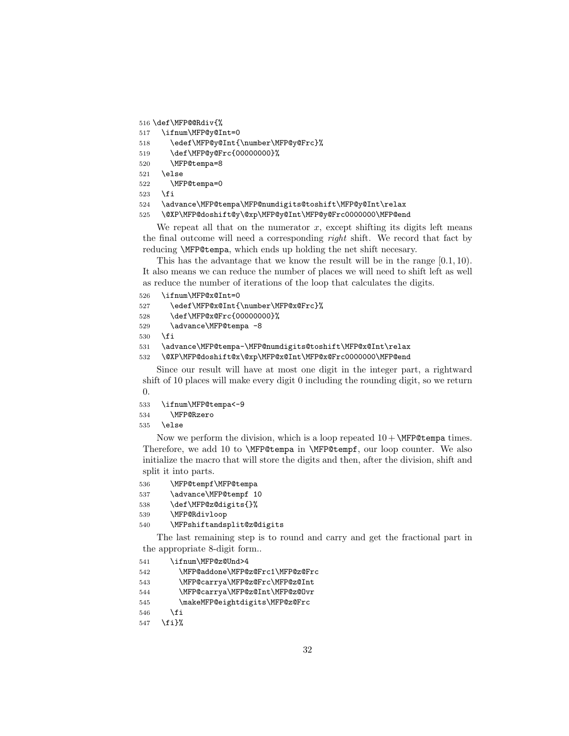```
516 \def\MFP@@Rdiv{%
```

```
517 \ifnum\MFP@y@Int=0
```

```
518 \edef\MFP@y@Int{\number\MFP@y@Frc}%
```

```
519 \def\MFP@y@Frc{00000000}%
```

```
520 \MFP@tempa=8
```

```
521 \else
```

```
522 \MFP@tempa=0
```

```
523 \fi
```
\advance\MFP@tempa\MFP@numdigits@toshift\MFP@y@Int\relax

```
525 \@XP\MFP@doshift@y\@xp\MFP@y@Int\MFP@y@Frc0000000\MFP@end
```
We repeat all that on the numerator  $x$ , except shifting its digits left means the final outcome will need a corresponding right shift. We record that fact by reducing \MFP@tempa, which ends up holding the net shift necesary.

This has the advantage that we know the result will be in the range [0.1, 10). It also means we can reduce the number of places we will need to shift left as well as reduce the number of iterations of the loop that calculates the digits.

```
526 \ifnum\MFP@x@Int=0
```

```
527 \edef\MFP@x@Int{\number\MFP@x@Frc}%
```
- \def\MFP@x@Frc{00000000}%
- 529 \advance\MFP@tempa -8
- \fi

```
531 \advance\MFP@tempa-\MFP@numdigits@toshift\MFP@x@Int\relax
```
\@XP\MFP@doshift@x\@xp\MFP@x@Int\MFP@x@Frc0000000\MFP@end

Since our result will have at most one digit in the integer part, a rightward shift of 10 places will make every digit 0 including the rounding digit, so we return 0.

- \ifnum\MFP@tempa<-9
- \MFP@Rzero

```
535 \else
```
Now we perform the division, which is a loop repeated  $10 + \text{MFP@tempa times}.$ Therefore, we add 10 to \MFP@tempa in \MFP@tempf, our loop counter. We also initialize the macro that will store the digits and then, after the division, shift and split it into parts.

```
536 \MFP@tempf\MFP@tempa
```

```
537 \advance\MFP@tempf 10
```

```
538 \def\MFP@z@digits{}%
```

```
539 \MFP@Rdivloop
```

```
540 \MFPshiftandsplit@z@digits
```
The last remaining step is to round and carry and get the fractional part in the appropriate 8-digit form..

```
541 \ifnum\MFP@z@Und>4
```

```
542 \MFP@addone\MFP@z@Frc1\MFP@z@Frc
```

```
543 \MFP@carrya\MFP@z@Frc\MFP@z@Int
```

```
544 \MFP@carrya\MFP@z@Int\MFP@z@Ovr
```

```
545 \makeMFP@eightdigits\MFP@z@Frc
```

```
546 \overrightarrow{f}
```

```
547 \fi}%
```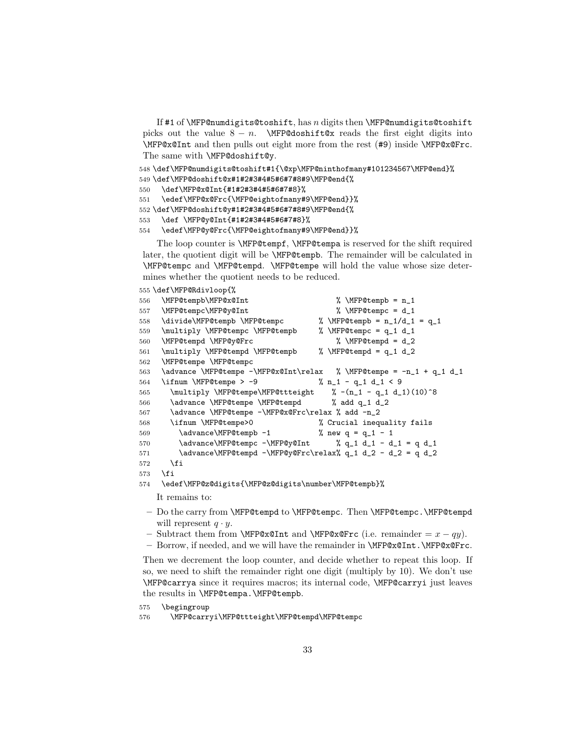If #1 of \MFP@numdigits@toshift, has  $n$  digits then \MFP@numdigits@toshift picks out the value  $8 - n$ . \MFP@doshift@x reads the first eight digits into \MFP@x@Int and then pulls out eight more from the rest (#9) inside \MFP@x@Frc. The same with \MFP@doshift@y.

```
548 \def\MFP@numdigits@toshift#1{\@xp\MFP@ninthofmany#101234567\MFP@end}%
```

```
549 \def\MFP@doshift@x#1#2#3#4#5#6#7#8#9\MFP@end{%
```

```
550 \def\MFP@x@Int{#1#2#3#4#5#6#7#8}%
```

```
551 \edef\MFP@x@Frc{\MFP@eightofmany#9\MFP@end}}%
```

```
552 \def\MFP@doshift@y#1#2#3#4#5#6#7#8#9\MFP@end{%
```

```
553 \def \MFP@y@Int{#1#2#3#4#5#6#7#8}%
```

```
554 \edef\MFP@y@Frc{\MFP@eightofmany#9\MFP@end}}%
```
The loop counter is \MFP@tempf, \MFP@tempa is reserved for the shift required later, the quotient digit will be \MFP@tempb. The remainder will be calculated in \MFP@tempc and \MFP@tempd. \MFP@tempe will hold the value whose size determines whether the quotient needs to be reduced.

```
555 \def\MFP@Rdivloop{%
```

```
556 \MFP@tempb\MFP@x@Int % \MFP@tempb = n_1
557 \MFP@tempc\MFP@y@Int % \MFP@tempc = d_1
558 \divide\MFP@tempb \MFP@tempc % \MFP@tempb = n_1/d_1 = q_1
559 \multiply \MFP@tempc \MFP@tempb % \MFP@tempc = q_1 d_1
560 \MFP@tempd \MFP@y@Frc % \MFP@tempd = d_2
561 \multiply \MFP@tempd \MFP@tempb % \MFP@tempd = q_1 d_2
562 \MFP@tempe \MFP@tempc
563 \advance \MFP@tempe -\MFP@x@Int\relax % \MFP@tempe = -n_1 + q_1 d_1564 \ifnum \MFP@tempe > -9 \% n_1 - q_1 d_1 < 9
565 \multiply \MFP@tempe\MFP@ttteight % -(n_1 - q_1 d_1)(10)^8566 \advance \MFP@tempe \MFP@tempd % add q_1 d_2
567 \advance \MFP@tempe -\MFP@x@Frc\relax % add -n_2
568 \ifnum \MFP@tempe>0 % Crucial inequality fails
569 \advance\MFP@tempb -1 % new q = q_1 - 1570 \advance\MFP@tempc -\MFP@y@Int % q_1 d_1 - d_1 = q d_1
571 \advance\MFP@tempd -\MFP@y@Frc\relax% q_1 d_2 - d_2 = q d_2
572 \fi
573 \fi
574 \edef\MFP@z@digits{\MFP@z@digits\number\MFP@tempb}%
```
It remains to:

- Do the carry from \MFP@tempd to \MFP@tempc. Then \MFP@tempc.\MFP@tempd will represent  $q \cdot y$ .
- Subtract them from  $\MFP@x@Int$  and  $\MFP@x@Frc$  (i.e. remainder =  $x qy$ ).
- Borrow, if needed, and we will have the remainder in \MFP@x@Int.\MFP@x@Frc.

Then we decrement the loop counter, and decide whether to repeat this loop. If so, we need to shift the remainder right one digit (multiply by 10). We don't use \MFP@carrya since it requires macros; its internal code, \MFP@carryi just leaves the results in \MFP@tempa.\MFP@tempb.

```
575 \begingroup
```

```
576 \MFP@carryi\MFP@ttteight\MFP@tempd\MFP@tempc
```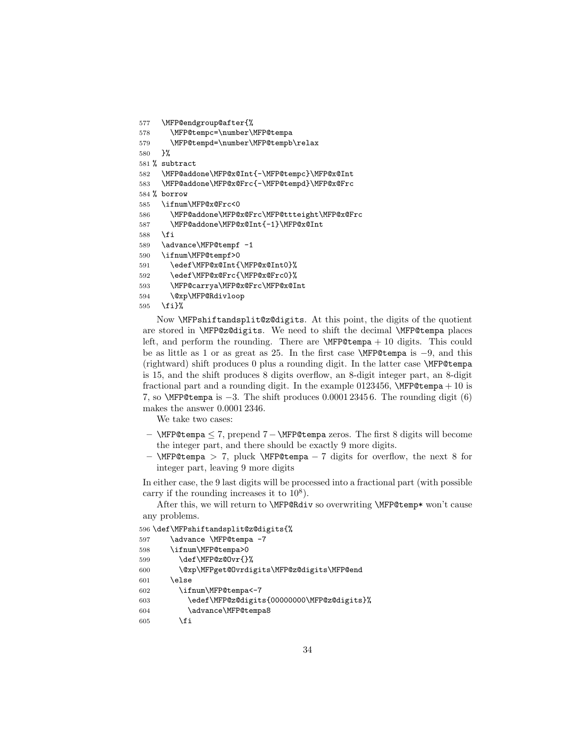```
577 \MFP@endgroup@after{%
578 \MFP@tempc=\number\MFP@tempa
579 \MFP@tempd=\number\MFP@tempb\relax
580 }%
581 % subtract
582 \MFP@addone\MFP@x@Int{-\MFP@tempc}\MFP@x@Int
583 \MFP@addone\MFP@x@Frc{-\MFP@tempd}\MFP@x@Frc
584 % borrow
585 \ifnum\MFP@x@Frc<0
586 \MFP@addone\MFP@x@Frc\MFP@ttteight\MFP@x@Frc
587 \MFP@addone\MFP@x@Int{-1}\MFP@x@Int
588 \fi
589 \advance\MFP@tempf -1
590 \ifnum\MFP@tempf>0
591 \edef\MFP@x@Int{\MFP@x@Int0}%
592 \edef\MFP@x@Frc{\MFP@x@Frc0}%
593 \MFP@carrya\MFP@x@Frc\MFP@x@Int
594 \@xp\MFP@Rdivloop
595 \fi}%
```
Now \MFPshiftandsplit@z@digits. At this point, the digits of the quotient are stored in \MFP@z@digits. We need to shift the decimal \MFP@tempa places left, and perform the rounding. There are \MFP@tempa + 10 digits. This could be as little as 1 or as great as 25. In the first case \MFP@tempa is −9, and this (rightward) shift produces 0 plus a rounding digit. In the latter case \MFP@tempa is 15, and the shift produces 8 digits overflow, an 8-digit integer part, an 8-digit fractional part and a rounding digit. In the example 0123456,  $\MFP@tempa + 10$  is 7, so \MFP@tempa is −3. The shift produces 0.0001 2345 6. The rounding digit (6) makes the answer 0.0001 2346.

We take two cases:

- \MFP@tempa ≤ 7, prepend 7−\MFP@tempa zeros. The first 8 digits will become the integer part, and there should be exactly 9 more digits.
- \MFP@tempa > 7, pluck \MFP@tempa − 7 digits for overflow, the next 8 for integer part, leaving 9 more digits

In either case, the 9 last digits will be processed into a fractional part (with possible carry if the rounding increases it to  $10^8$ ).

After this, we will return to \MFP@Rdiv so overwriting \MFP@temp\* won't cause any problems.

```
596 \def\MFPshiftandsplit@z@digits{%
597 \advance \MFP@tempa -7
598 \ifnum\MFP@tempa>0
599 \def\MFP@z@Ovr{}%
600 \@xp\MFPget@Ovrdigits\MFP@z@digits\MFP@end
601 \else
602 \ifnum\MFP@tempa<-7
603 \edef\MFP@z@digits{00000000\MFP@z@digits}%
604 \advance\MFP@tempa8
605 \fi
```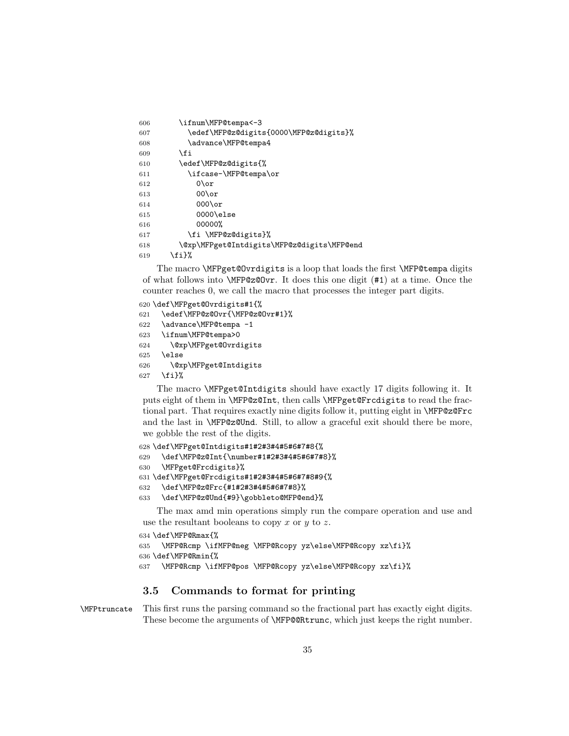```
606 \ifnum\MFP@tempa<-3
607 \edef\MFP@z@digits{0000\MFP@z@digits}%
608 \advance\MFP@tempa4
609 \fi
610 \edef\MFP@z@digits{%
611 \ifcase-\MFP@tempa\or
612 0\or
613 00\or
614 000\or
615 0000\else
616 00000%
617 \fi \MFP@z@digits}%
618 \@xp\MFPget@Intdigits\MFP@z@digits\MFP@end
619 \{f_i\}%
```
The macro \MFPget@Ovrdigits is a loop that loads the first \MFP@tempa digits of what follows into \MFP@z@Ovr. It does this one digit (#1) at a time. Once the counter reaches 0, we call the macro that processes the integer part digits.

```
620 \def\MFPget@Ovrdigits#1{%
621 \edef\MFP@z@Ovr{\MFP@z@Ovr#1}%
622 \advance\MFP@tempa -1
623 \ifnum\MFP@tempa>0
624 \@xp\MFPget@Ovrdigits
625 \else
626 \@xp\MFPget@Intdigits
627 \fi}%
```
The macro \MFPget@Intdigits should have exactly 17 digits following it. It puts eight of them in \MFP@z@Int, then calls \MFPget@Frcdigits to read the fractional part. That requires exactly nine digits follow it, putting eight in \MFP@z@Frc and the last in \MFP@z@Und. Still, to allow a graceful exit should there be more, we gobble the rest of the digits.

```
628 \def\MFPget@Intdigits#1#2#3#4#5#6#7#8{%
629 \def\MFP@z@Int{\number#1#2#3#4#5#6#7#8}%
630 \MFPget@Frcdigits}%
631 \def\MFPget@Frcdigits#1#2#3#4#5#6#7#8#9{%
632 \def\MFP@z@Frc{#1#2#3#4#5#6#7#8}%
633 \def\MFP@z@Und{#9}\gobbleto@MFP@end}%
```
The max amd min operations simply run the compare operation and use and use the resultant booleans to copy x or y to z.

```
634 \def\MFP@Rmax{%
635 \MFP@Rcmp \ifMFP@neg \MFP@Rcopy yz\else\MFP@Rcopy xz\fi}%
636 \def\MFP@Rmin{%
637 \MFP@Rcmp \ifMFP@pos \MFP@Rcopy yz\else\MFP@Rcopy xz\fi}%
```
## 3.5 Commands to format for printing

\MFPtruncate This first runs the parsing command so the fractional part has exactly eight digits. These become the arguments of \MFP@@Rtrunc, which just keeps the right number.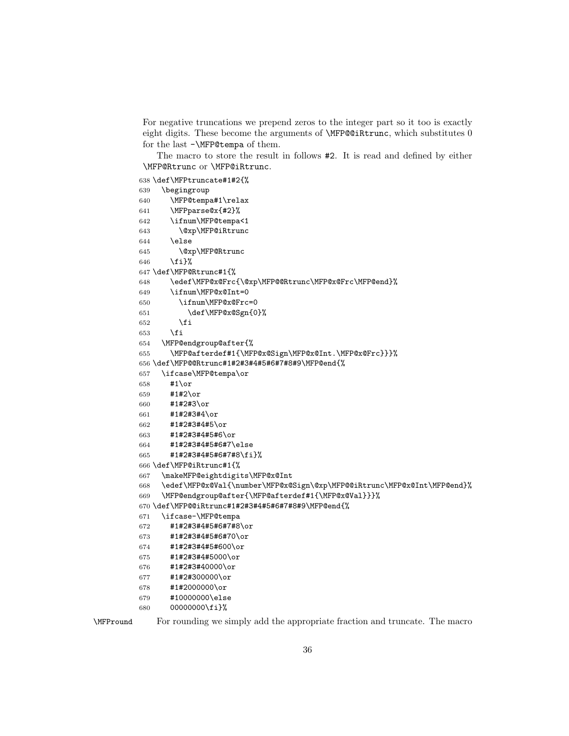For negative truncations we prepend zeros to the integer part so it too is exactly eight digits. These become the arguments of \MFP@@iRtrunc, which substitutes 0 for the last -\MFP@tempa of them.

The macro to store the result in follows #2. It is read and defined by either \MFP@Rtrunc or \MFP@iRtrunc.

```
638 \def\MFPtruncate#1#2{%
```

```
639 \begingroup
640 \MFP@tempa#1\relax
641 \MFPparse@x{#2}%
642 \ifnum\MFP@tempa<1
643 \@xp\MFP@iRtrunc
644 \else
645 \@xp\MFP@Rtrunc
646 \fi}%
647 \def\MFP@Rtrunc#1{%
648 \edef\MFP@x@Frc{\@xp\MFP@@Rtrunc\MFP@x@Frc\MFP@end}%
649 \ifnum\MFP@x@Int=0
650 \ifnum\MFP@x@Frc=0
651 \def\MFP@x@Sgn{0}%
652 \fi
653 \fi
654 \MFP@endgroup@after{%
655 \MFP@afterdef#1{\MFP@x@Sign\MFP@x@Int.\MFP@x@Frc}}}%
656 \def\MFP@@Rtrunc#1#2#3#4#5#6#7#8#9\MFP@end{%
657 \ifcase\MFP@tempa\or
658 #1\or
659 #1#2\or
660 #1#2#3\or
661 #1#2#3#4\or
662 #1#2#3#4#5\or
663 #1#2#3#4#5#6\or
664 #1#2#3#4#5#6#7\else
665 #1#2#3#4#5#6#7#8\fi}%
666 \def\MFP@iRtrunc#1{%
667 \makeMFP@eightdigits\MFP@x@Int
668 \edef\MFP@x@Val{\number\MFP@x@Sign\@xp\MFP@@iRtrunc\MFP@x@Int\MFP@end}%
669 \MFP@endgroup@after{\MFP@afterdef#1{\MFP@x@Val}}}%
670 \def\MFP@@iRtrunc#1#2#3#4#5#6#7#8#9\MFP@end{%
671 \ifcase-\MFP@tempa
672 #1#2#3#4#5#6#7#8\or
673 #1#2#3#4#5#6#70\or
674 #1#2#3#4#5#600\or
675 #1#2#3#4#5000\or
676 #1#2#3#40000\or
677 #1#2#300000\or
678 #1#2000000\or
679 #10000000\else
680 00000000\fi}%
```
\MFPround For rounding we simply add the appropriate fraction and truncate. The macro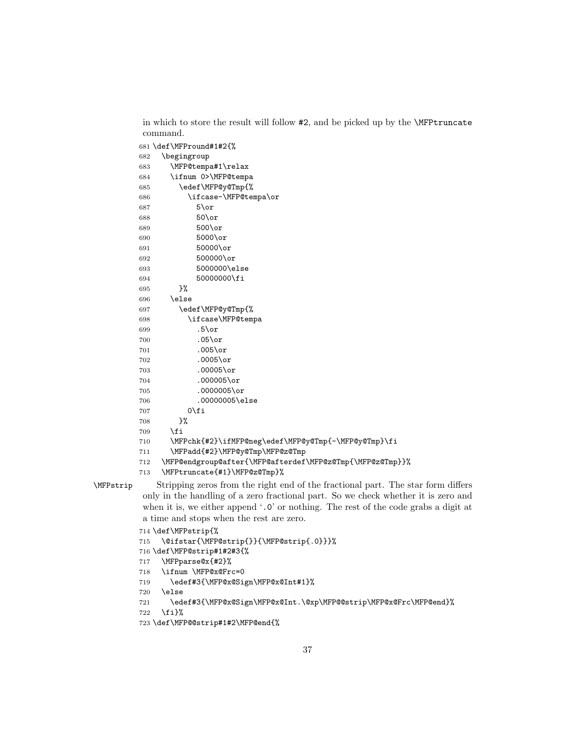in which to store the result will follow #2, and be picked up by the \MFPtruncate command.

```
681 \def\MFPround#1#2{%
         682 \begingroup
         683 \MFP@tempa#1\relax
         684 \ifnum 0>\MFP@tempa
         685 \edef\MFP@y@Tmp{%
         686 \ifcase-\MFP@tempa\or
         687 5\or
         688 50\or
         689 500\or
         690 5000\or
         691 50000\or
         692 500000\or
         693 5000000\else
         694 50000000\fi
         695 }%
         696 \else
         697 \edef\MFP@y@Tmp{%
         698 \ifcase\MFP@tempa
         699 .5\or
         700 .05\or
         701 .005\or
         702 .0005\or
         703 .00005\or
         704 .000005\or
         705 .0000005\or
         706 .00000005\else
         707 0\fi
         708 }%
         709 \fi
         710 \MFPchk{#2}\ifMFP@neg\edef\MFP@y@Tmp{-\MFP@y@Tmp}\fi
         711 \MFPadd{#2}\MFP@y@Tmp\MFP@z@Tmp
         712 \MFP@endgroup@after{\MFP@afterdef\MFP@z@Tmp{\MFP@z@Tmp}}%
         713 \MFPtruncate{#1}\MFP@z@Tmp}%
\MFPstrip Stripping zeros from the right end of the fractional part. The star form differs
         only in the handling of a zero fractional part. So we check whether it is zero and
         when it is, we either append '.0' or nothing. The rest of the code grabs a digit at
         a time and stops when the rest are zero.
         714 \def\MFPstrip{%
         715 \@ifstar{\MFP@strip{}}{\MFP@strip{.0}}}%
         716 \def\MFP@strip#1#2#3{%
         717 \MFPparse@x{#2}%
         718 \ifnum \MFP@x@Frc=0
         719 \edef#3{\MFP@x@Sign\MFP@x@Int#1}%
         720 \else
         721 \edef#3{\MFP@x@Sign\MFP@x@Int.\@xp\MFP@@strip\MFP@x@Frc\MFP@end}%
         722 \fi}%
         723 \def\MFP@@strip#1#2\MFP@end{%
```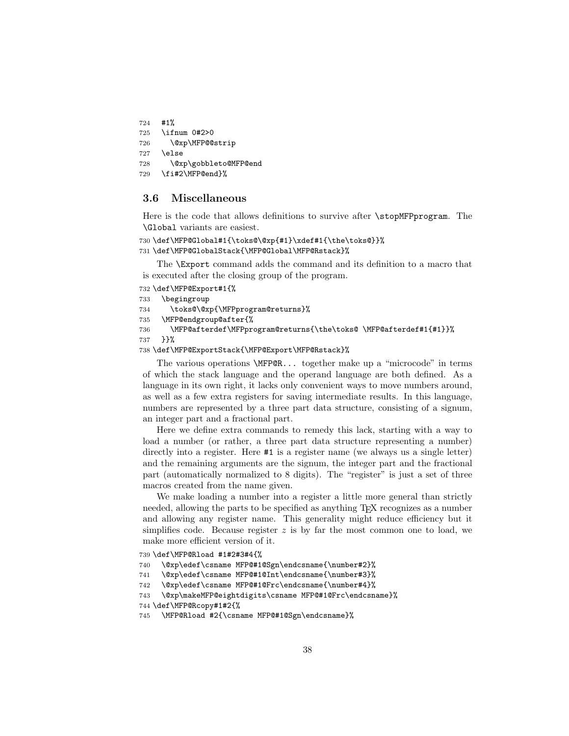```
724 #1%
725 \ifnum 0#2>0
726 \@xp\MFP@@strip
727 \else
728 \@xp\gobbleto@MFP@end
729 \fi#2\MFP@end}%
```
#### 3.6 Miscellaneous

Here is the code that allows definitions to survive after \stopMFPprogram. The \Global variants are easiest.

```
730 \def\MFP@Global#1{\toks@\@xp{#1}\xdef#1{\the\toks@}}%
731 \def\MFP@GlobalStack{\MFP@Global\MFP@Rstack}%
```
The \Export command adds the command and its definition to a macro that is executed after the closing group of the program.

```
732 \def\MFP@Export#1{%
```

```
733 \begingroup
```

```
734 \toks@\@xp{\MFPprogram@returns}%
```

```
735 \MFP@endgroup@after{%
```
736 \MFP@afterdef\MFPprogram@returns{\the\toks@ \MFP@afterdef#1{#1}}%

```
737 }}%
```

```
738 \def\MFP@ExportStack{\MFP@Export\MFP@Rstack}%
```
The various operations \MFP@R... together make up a "microcode" in terms of which the stack language and the operand language are both defined. As a language in its own right, it lacks only convenient ways to move numbers around, as well as a few extra registers for saving intermediate results. In this language, numbers are represented by a three part data structure, consisting of a signum, an integer part and a fractional part.

Here we define extra commands to remedy this lack, starting with a way to load a number (or rather, a three part data structure representing a number) directly into a register. Here  $#1$  is a register name (we always us a single letter) and the remaining arguments are the signum, the integer part and the fractional part (automatically normalized to 8 digits). The "register" is just a set of three macros created from the name given.

We make loading a number into a register a little more general than strictly needed, allowing the parts to be specified as anything TEX recognizes as a number and allowing any register name. This generality might reduce efficiency but it simplifies code. Because register  $z$  is by far the most common one to load, we make more efficient version of it.

```
739 \def\MFP@Rload #1#2#3#4{%
```

```
740 \@xp\edef\csname MFP@#1@Sgn\endcsname{\number#2}%
```

```
741 \@xp\edef\csname MFP@#1@Int\endcsname{\number#3}%
```

```
742 \@xp\edef\csname MFP@#1@Frc\endcsname{\number#4}%
```

```
743 \@xp\makeMFP@eightdigits\csname MFP@#1@Frc\endcsname}%
```

```
744 \def\MFP@Rcopy#1#2{%
```

```
745 \MFP@Rload #2{\csname MFP@#1@Sgn\endcsname}%
```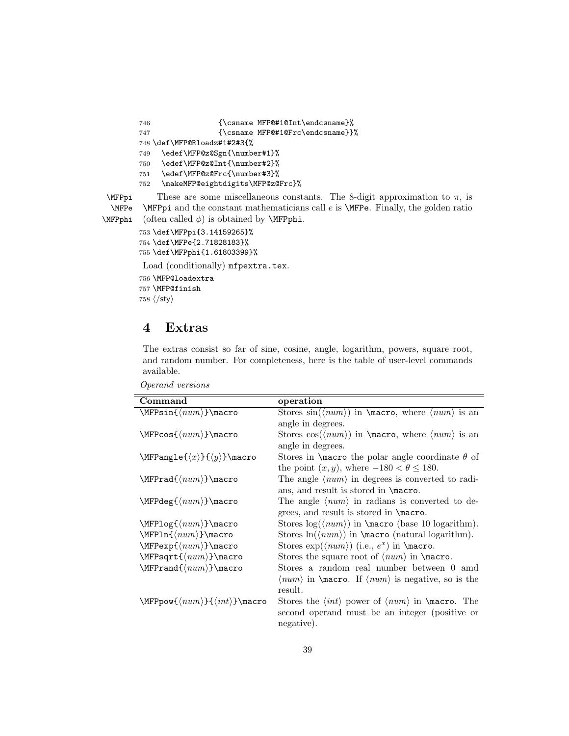```
746 {\csname MFP@#1@Int\endcsname}%
       747 {\csname MFP@#1@Frc\endcsname}}%
       748 \def\MFP@Rloadz#1#2#3{%
       749 \edef\MFP@z@Sgn{\number#1}%
       750 \edef\MFP@z@Int{\number#2}%
       751 \edef\MFP@z@Frc{\number#3}%
       752 \makeMFP@eightdigits\MFP@z@Frc}%
\text{MFPpi} These are some miscellaneous constants. The 8-digit approximation to \pi, is
 \MFPe \MFPpi and the constant mathematicians call e is \MFPe. Finally, the golden ratio
\MFPphi (often called \phi) is obtained by \MFPphi.
```

```
753 \def\MFPpi{3.14159265}%
754 \def\MFPe{2.71828183}%
755 \def\MFPphi{1.61803399}%
Load (conditionally) mfpextra.tex.
756 \MFP@loadextra
757 \MFP@finish
```
758  $\langle$ /sty $\rangle$ 

## 4 Extras

The extras consist so far of sine, cosine, angle, logarithm, powers, square root, and random number. For completeness, here is the table of user-level commands available.

| Command                                                   | operation                                                                                    |
|-----------------------------------------------------------|----------------------------------------------------------------------------------------------|
| $\MFP\sin{\langle num \rangle}$ macro                     | Stores $sin(\langle num \rangle)$ in $\text{trace}, \text{where } \langle num \rangle$ is an |
|                                                           | angle in degrees.                                                                            |
| $\MFPcos({num})\$                                         | Stores $cos(\langle num \rangle)$ in $\text{macro, where } \langle num \rangle$ is an        |
|                                                           | angle in degrees.                                                                            |
| $\MFPangle({x}) {\{(y)\}}\n$ macro                        | Stores in $\text{t}$ hacro the polar angle coordinate $\theta$ of                            |
|                                                           | the point $(x, y)$ , where $-180 < \theta \le 180$ .                                         |
| $\MFPrad\{\langle num \rangle\}$ macro                    | The angle $\langle num \rangle$ in degrees is converted to radi-                             |
|                                                           | ans, and result is stored in \macro.                                                         |
| $\MFPdeg({num})\$                                         | The angle $\langle num \rangle$ in radians is converted to de-                               |
|                                                           | grees, and result is stored in \macro.                                                       |
| $\MFPlog({num})\$ macro                                   | Stores $\log(\langle num \rangle)$ in $\text{base 10 logarithm}$ .                           |
| $\MFPln({num})\$ acro                                     | Stores $\ln(\langle num \rangle)$ in $\text{normal logarithm}$ .                             |
| $\MFPexp({num})\text{macro}$                              | Stores $\exp(\langle num \rangle)$ (i.e., $e^x$ ) in $\text{macro.}$                         |
| $\MFPsqrt{\langle num \rangle}$ macro                     | Stores the square root of $\langle num \rangle$ in $\text{macro.}$                           |
| $\MFPrand{num}\max$                                       | Stores a random real number between 0 amd                                                    |
|                                                           | $\langle num \rangle$ in <b>\macro</b> . If $\langle num \rangle$ is negative, so is the     |
|                                                           | result.                                                                                      |
| $\MFPpow{\langle num \rangle}{\langle int \rangle}$ macro | Stores the $\langle int \rangle$ power of $\langle num \rangle$ in $\langle m \rangle$ . The |
|                                                           | second operand must be an integer (positive or                                               |
|                                                           | negative).                                                                                   |

Operand versions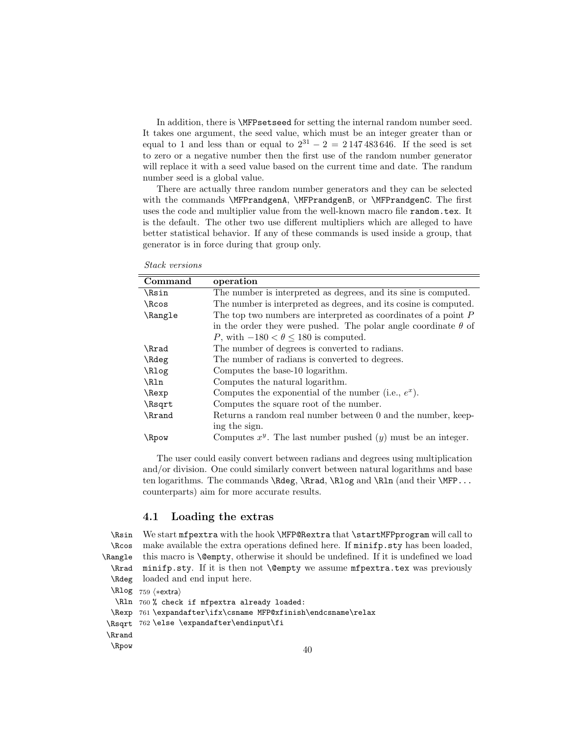In addition, there is \MFPsetseed for setting the internal random number seed. It takes one argument, the seed value, which must be an integer greater than or equal to 1 and less than or equal to  $2^{31} - 2 = 2147483646$ . If the seed is set to zero or a negative number then the first use of the random number generator will replace it with a seed value based on the current time and date. The randum number seed is a global value.

There are actually three random number generators and they can be selected with the commands \MFPrandgenA, \MFPrandgenB, or \MFPrandgenC. The first uses the code and multiplier value from the well-known macro file random.tex. It is the default. The other two use different multipliers which are alleged to have better statistical behavior. If any of these commands is used inside a group, that generator is in force during that group only.

Stack versions

| Command      | operation                                                             |  |
|--------------|-----------------------------------------------------------------------|--|
| <b>\Rsin</b> | The number is interpreted as degrees, and its sine is computed.       |  |
| \Rcos        | The number is interpreted as degrees, and its cosine is computed.     |  |
| \Rangle      | The top two numbers are interpreted as coordinates of a point $P$     |  |
|              | in the order they were pushed. The polar angle coordinate $\theta$ of |  |
|              | P, with $-180 < \theta \le 180$ is computed.                          |  |
| \Rrad        | The number of degrees is converted to radians.                        |  |
| \Rdeg        | The number of radians is converted to degrees.                        |  |
| \Rlog        | Computes the base-10 logarithm.                                       |  |
| \R1n         | Computes the natural logarithm.                                       |  |
| \Rexp        | Computes the exponential of the number (i.e., $e^x$ ).                |  |
| \Rsqrt       | Computes the square root of the number.                               |  |
| \Rrand       | Returns a random real number between 0 and the number, keep-          |  |
|              | ing the sign.                                                         |  |
| \Rpow        | Computes $x^y$ . The last number pushed $(y)$ must be an integer.     |  |

The user could easily convert between radians and degrees using multiplication and/or division. One could similarly convert between natural logarithms and base ten logarithms. The commands **\Rdeg, \Rrad, \Rlog** and **\Rln** (and their **\MFP...** counterparts) aim for more accurate results.

#### 4.1 Loading the extras

\Rsin We start mfpextra with the hook \MFP@Rextra that \startMFPprogram will call to \Rcos \Rangle \Rrad \Rdeg make available the extra operations defined here. If minifp.sty has been loaded, this macro is **\@empty**, otherwise it should be undefined. If it is undefined we load minifp.sty. If it is then not \@empty we assume mfpextra.tex was previously loaded and end input here.

\Rlog 759 (\*extra)

```
\Rln
760 % check if mfpextra already loaded:
 \Rexp
761 \expandafter\ifx\csname MFP@xfinish\endcsname\relax
\Rsqrt
762 \else \expandafter\endinput\fi
\Rrand
\Rpow
```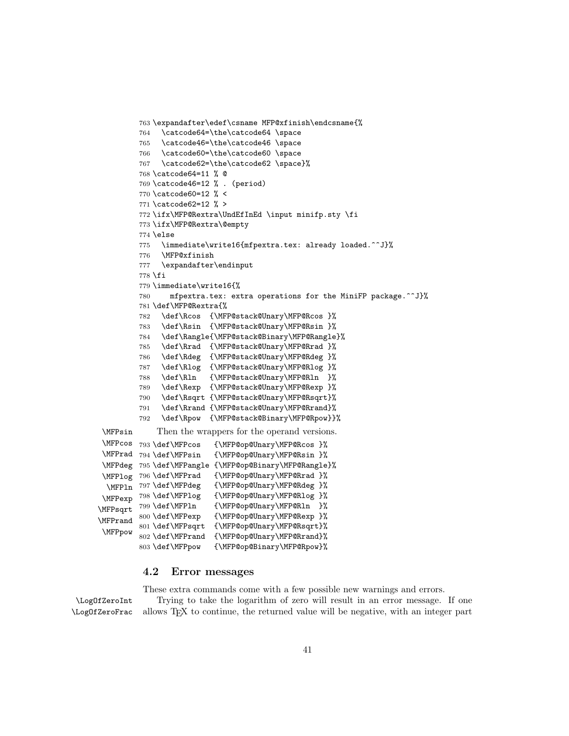```
763 \expandafter\edef\csname MFP@xfinish\endcsname{%
         764 \catcode64=\the\catcode64 \space
         765 \catcode46=\the\catcode46 \space
         766 \catcode60=\the\catcode60 \space
         767 \catcode62=\the\catcode62 \space}%
         768 \catcode64=11 % @
         769 \catcode46=12 % . (period)
         770 \catcode60=12 % <
         771 \catcode62=12 % >
         772 \ifx\MFP@Rextra\UndEfInEd \input minifp.sty \fi
         773 \ifx\MFP@Rextra\@empty
         774 \else
         775 \immediate\write16{mfpextra.tex: already loaded.^^J}%
         776 \MFP@xfinish
         777 \expandafter\endinput
         778 \fi
         779 \immediate\write16{%
         780 mfpextra.tex: extra operations for the MiniFP package.^^J}%
         781 \def\MFP@Rextra{%
         782 \def\Rcos {\MFP@stack@Unary\MFP@Rcos }%
         783 \def\Rsin {\MFP@stack@Unary\MFP@Rsin }%
         784 \def\Rangle{\MFP@stack@Binary\MFP@Rangle}%
         785 \def\Rrad {\MFP@stack@Unary\MFP@Rrad }%
         786 \def\Rdeg {\MFP@stack@Unary\MFP@Rdeg }%
         787 \def\Rlog {\MFP@stack@Unary\MFP@Rlog }%
         788 \def\Rln {\MFP@stack@Unary\MFP@Rln }%
         789 \def\Rexp {\MFP@stack@Unary\MFP@Rexp }%
         790 \def\Rsqrt {\MFP@stack@Unary\MFP@Rsqrt}%
         791 \def\Rrand {\MFP@stack@Unary\MFP@Rrand}%
         792 \def\Rpow {\MFP@stack@Binary\MFP@Rpow}}%
 \MFPsin Then the wrappers for the operand versions.
 \MFPcos 793 \def\MFPcos
 \MFPrad 794 \def\MFPsin
 \MFPdeg
795 \def\MFPangle {\MFP@op@Binary\MFP@Rangle}%
 \MFPlog 796 \def\MFPrad
 \MFPln 797 \def\MFPdeg
\MFPexp 798 \def\MFPlog
\MFPsqrt 799 \def\MFPln
\MFPrand
\MFPpow
                           793 \def\MFPcos {\MFP@op@Unary\MFP@Rcos }%
                           794 \def\MFPsin {\MFP@op@Unary\MFP@Rsin }%
                           {\MFP@op@Unary\MFP@Rrad }%
                           797 \def\MFPdeg {\MFP@op@Unary\MFP@Rdeg }%
                           798 \def\MFPlog {\MFP@op@Unary\MFP@Rlog }%
                           799 \def\MFPln {\MFP@op@Unary\MFP@Rln }%
         800 \def\MFPexp {\MFP@op@Unary\MFP@Rexp }%
         801 \def\MFPsqrt {\MFP@op@Unary\MFP@Rsqrt}%
         802 \def\MFPrand {\MFP@op@Unary\MFP@Rrand}%
         803 \def\MFPpow {\MFP@op@Binary\MFP@Rpow}%
```
#### 4.2 Error messages

These extra commands come with a few possible new warnings and errors.

\LogOfZeroInt Trying to take the logarithm of zero will result in an error message. If one \LogOfZeroFrac allows TEX to continue, the returned value will be negative, with an integer part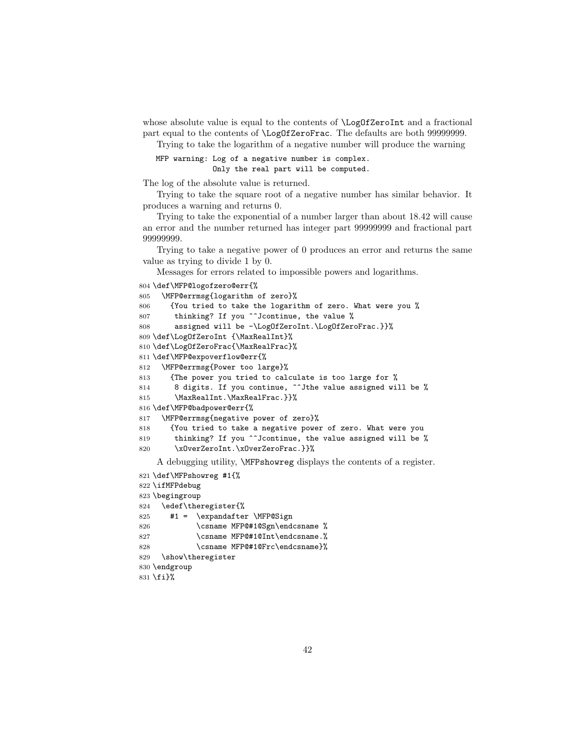whose absolute value is equal to the contents of  $\LogOfZeroInt$  and a fractional part equal to the contents of \LogOfZeroFrac. The defaults are both 99999999.

Trying to take the logarithm of a negative number will produce the warning

```
MFP warning: Log of a negative number is complex.
             Only the real part will be computed.
```
The log of the absolute value is returned.

Trying to take the square root of a negative number has similar behavior. It produces a warning and returns 0.

Trying to take the exponential of a number larger than about 18.42 will cause an error and the number returned has integer part 99999999 and fractional part 99999999.

Trying to take a negative power of 0 produces an error and returns the same

```
value as trying to divide 1 by 0.
    Messages for errors related to impossible powers and logarithms.
804 \def\MFP@logofzero@err{%
805 \MFP@errmsg{logarithm of zero}%
806 {You tried to take the logarithm of zero. What were you %
807 thinking? If you ^^Jcontinue, the value %
808 assigned will be -\LogOfZeroInt.\LogOfZeroFrac.}}%
809 \def\LogOfZeroInt {\MaxRealInt}%
810 \def\LogOfZeroFrac{\MaxRealFrac}%
811 \def\MFP@expoverflow@err{%
812 \MFP@errmsg{Power too large}%
813 {The power you tried to calculate is too large for %
814 8 digits. If you continue, \hat{\phantom{a}} of the value assigned will be %
815 \MaxRealInt.\MaxRealFrac.}}%
816 \def\MFP@badpower@err{%
817 \MFP@errmsg{negative power of zero}%
818 {You tried to take a negative power of zero. What were you
819 thinking? If you ^^Jcontinue, the value assigned will be %
820 \xOverZeroInt.\xOverZeroFrac.}}%
    A debugging utility, \MFPshowreg displays the contents of a register.
821 \def\MFPshowreg #1{%
822 \ifMFPdebug
823 \begingroup
```

```
824 \edef\theregister{%
825 #1 = \expandafter \MFP@Sign
826 \csname MFP@#1@Sgn\endcsname %
827 \csname MFP@#1@Int\endcsname.%
828 \csname MFP@#1@Frc\endcsname}%
829 \show\theregister
830 \endgroup
```

```
831 \fi}%
```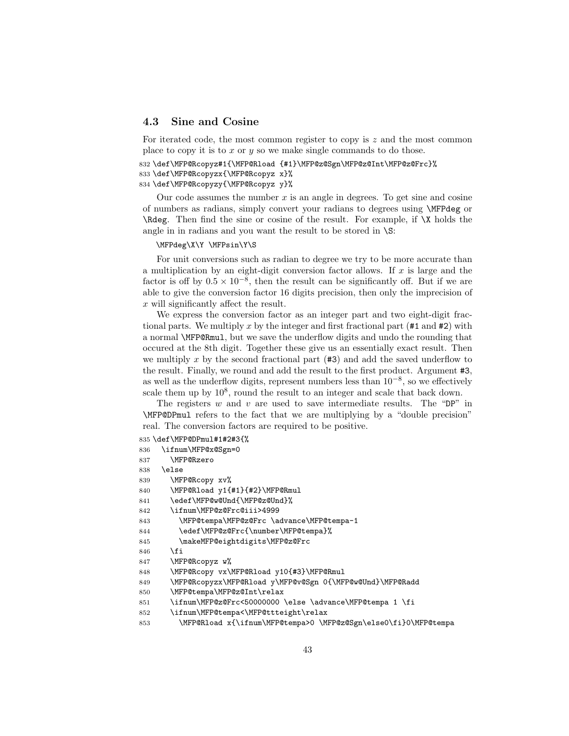#### 4.3 Sine and Cosine

For iterated code, the most common register to copy is  $z$  and the most common place to copy it is to  $x$  or  $y$  so we make single commands to do those.

```
832 \def\MFP@Rcopyz#1{\MFP@Rload {#1}\MFP@z@Sgn\MFP@z@Int\MFP@z@Frc}%
833 \def\MFP@Rcopyzx{\MFP@Rcopyz x}%
834 \def\MFP@Rcopyzy{\MFP@Rcopyz y}%
```
Our code assumes the number  $x$  is an angle in degrees. To get sine and cosine of numbers as radians, simply convert your radians to degrees using \MFPdeg or \Rdeg. Then find the sine or cosine of the result. For example, if \X holds the angle in in radians and you want the result to be stored in  $\S$ :

#### \MFPdeg\X\Y \MFPsin\Y\S

For unit conversions such as radian to degree we try to be more accurate than a multiplication by an eight-digit conversion factor allows. If  $x$  is large and the factor is off by  $0.5 \times 10^{-8}$ , then the result can be significantly off. But if we are able to give the conversion factor 16 digits precision, then only the imprecision of x will significantly affect the result.

We express the conversion factor as an integer part and two eight-digit fractional parts. We multiply x by the integer and first fractional part  $(#1 \text{ and } #2)$  with a normal \MFP@Rmul, but we save the underflow digits and undo the rounding that occured at the 8th digit. Together these give us an essentially exact result. Then we multiply x by the second fractional part  $(43)$  and add the saved underflow to the result. Finally, we round and add the result to the first product. Argument #3, as well as the underflow digits, represent numbers less than 10<sup>−</sup><sup>8</sup> , so we effectively scale them up by  $10^8$ , round the result to an integer and scale that back down.

The registers  $w$  and  $v$  are used to save intermediate results. The "DP" in \MFP@DPmul refers to the fact that we are multiplying by a "double precision" real. The conversion factors are required to be positive.

```
835 \def\MFP@DPmul#1#2#3{%
836 \ifnum\MFP@x@Sgn=0
837 \MFP@Rzero
838 \else
839 \MFP@Rcopy xv%
840 \MFP@Rload y1{#1}{#2}\MFP@Rmul
841 \edef\MFP@w@Und{\MFP@z@Und}%
842 \ifnum\MFP@z@Frc@iii>4999
843 \MFP@tempa\MFP@z@Frc \advance\MFP@tempa-1
844 \edef\MFP@z@Frc{\number\MFP@tempa}%
845 \makeMFP@eightdigits\MFP@z@Frc
846 \fi
847 \MFP@Rcopyz w%
848 \MFP@Rcopy vx\MFP@Rload y10{#3}\MFP@Rmul
849 \MFP@Rcopyzx\MFP@Rload y\MFP@v@Sgn 0{\MFP@w@Und}\MFP@Radd
850 \MFP@tempa\MFP@z@Int\relax
851 \ifnum\MFP@z@Frc<50000000 \else \advance\MFP@tempa 1 \fi
852 \ifnum\MFP@tempa<\MFP@ttteight\relax
853 \MFP@Rload x{\ifnum\MFP@tempa>0 \MFP@z@Sgn\else0\fi}0\MFP@tempa
```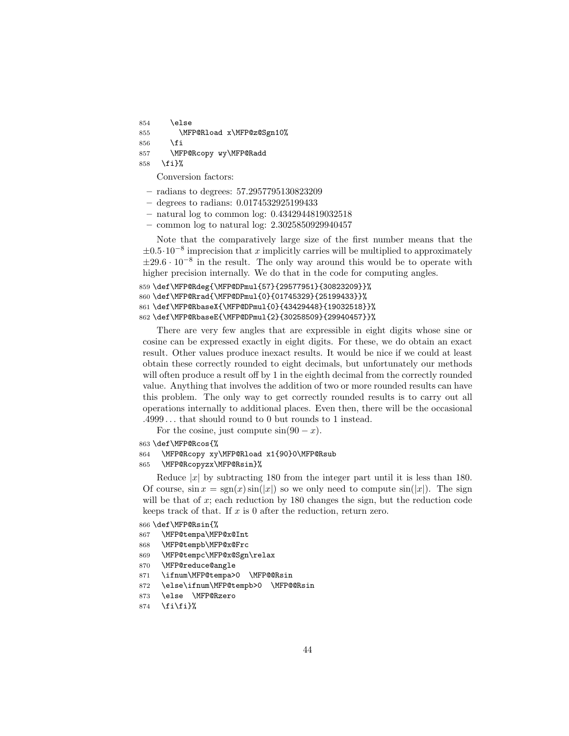854 \else 855 \MFP@Rload x\MFP@z@Sgn10% 856 \fi 857 \MFP@Rcopy wy\MFP@Radd 858 \fi}%

Conversion factors:

- radians to degrees: 57.2957795130823209
- degrees to radians: 0.0174532925199433
- natural log to common log: 0.4342944819032518
- common log to natural log: 2.3025850929940457

Note that the comparatively large size of the first number means that the  $\pm 0.5 \cdot 10^{-8}$  imprecision that x implicitly carries will be multiplied to approximately  $\pm 29.6 \cdot 10^{-8}$  in the result. The only way around this would be to operate with higher precision internally. We do that in the code for computing angles.

```
859 \def\MFP@Rdeg{\MFP@DPmul{57}{29577951}{30823209}}%
860 \def\MFP@Rrad{\MFP@DPmul{0}{01745329}{25199433}}%
861 \def\MFP@RbaseX{\MFP@DPmul{0}{43429448}{19032518}}%
862 \def\MFP@RbaseE{\MFP@DPmul{2}{30258509}{29940457}}%
```
There are very few angles that are expressible in eight digits whose sine or cosine can be expressed exactly in eight digits. For these, we do obtain an exact result. Other values produce inexact results. It would be nice if we could at least obtain these correctly rounded to eight decimals, but unfortunately our methods will often produce a result off by 1 in the eighth decimal from the correctly rounded value. Anything that involves the addition of two or more rounded results can have this problem. The only way to get correctly rounded results is to carry out all operations internally to additional places. Even then, there will be the occasional .4999 . . . that should round to 0 but rounds to 1 instead.

For the cosine, just compute  $sin(90 - x)$ .

863 \def\MFP@Rcos{%

```
864 \MFP@Rcopy xy\MFP@Rload x1{90}0\MFP@Rsub
```
865 \MFP@Rcopyzx\MFP@Rsin}%

Reduce  $|x|$  by subtracting 180 from the integer part until it is less than 180. Of course,  $\sin x = \text{sgn}(x) \sin(|x|)$  so we only need to compute  $\sin(|x|)$ . The sign will be that of  $x$ ; each reduction by 180 changes the sign, but the reduction code keeps track of that. If  $x$  is 0 after the reduction, return zero.

```
866 \def\MFP@Rsin{%
```
- 867 \MFP@tempa\MFP@x@Int
- 868 \MFP@tempb\MFP@x@Frc
- 869 \MFP@tempc\MFP@x@Sgn\relax
- 870 \MFP@reduce@angle
- 871 \ifnum\MFP@tempa>0 \MFP@@Rsin
- 872 \else\ifnum\MFP@tempb>0 \MFP@@Rsin
- 873 \else \MFP@Rzero
- $874$  \fi\fi}%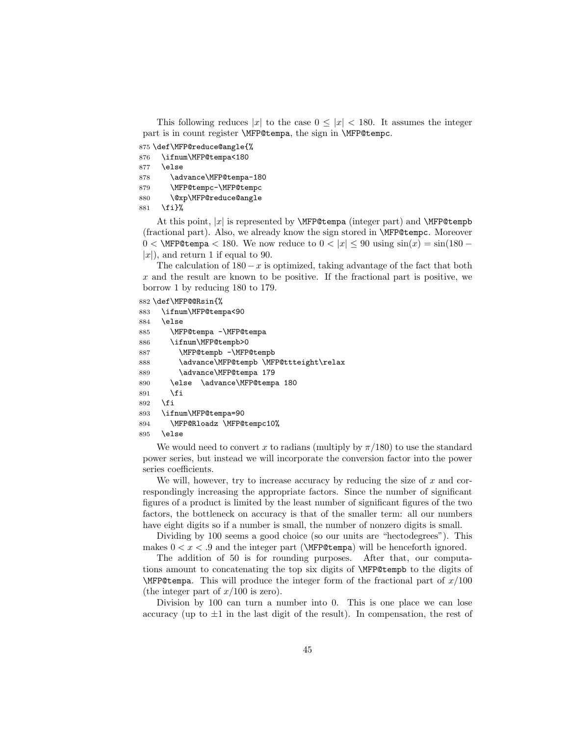This following reduces |x| to the case  $0 \leq |x| < 180$ . It assumes the integer part is in count register \MFP@tempa, the sign in \MFP@tempc.

875 \def\MFP@reduce@angle{%

876 \ifnum\MFP@tempa<180 877 \else

878 \advance\MFP@tempa-180

879 \MFP@tempc-\MFP@tempc

880 \@xp\MFP@reduce@angle

881 \fi}%

At this point,  $|x|$  is represented by **\MFP@tempa** (integer part) and **\MFP@tempb** (fractional part). Also, we already know the sign stored in \MFP@tempc. Moreover 0 < \MFP@tempa < 180. We now reduce to  $0 < |x| \le 90$  using  $\sin(x) = \sin(180 |x|$ , and return 1 if equal to 90.

The calculation of  $180 - x$  is optimized, taking advantage of the fact that both x and the result are known to be positive. If the fractional part is positive, we borrow 1 by reducing 180 to 179.

882 \def\MFP@@Rsin{%

```
883 \ifnum\MFP@tempa<90
884 \else
885 \MFP@tempa -\MFP@tempa
886 \ifnum\MFP@tempb>0
887 \MFP@tempb -\MFP@tempb
888 \advance\MFP@tempb \MFP@ttteight\relax
889 \advance\MFP@tempa 179
890 \else \advance\MFP@tempa 180
891 \fi
892 \fi
893 \ifnum\MFP@tempa=90
894 \MFP@Rloadz \MFP@tempc10%
895 \else
```
We would need to convert x to radians (multiply by  $\pi/180$ ) to use the standard power series, but instead we will incorporate the conversion factor into the power series coefficients.

We will, however, try to increase accuracy by reducing the size of  $x$  and correspondingly increasing the appropriate factors. Since the number of significant figures of a product is limited by the least number of significant figures of the two factors, the bottleneck on accuracy is that of the smaller term: all our numbers have eight digits so if a number is small, the number of nonzero digits is small.

Dividing by 100 seems a good choice (so our units are "hectodegrees"). This makes  $0 < x < .9$  and the integer part ( $\MFP@tempa$ ) will be henceforth ignored.

The addition of 50 is for rounding purposes. After that, our computations amount to concatenating the top six digits of \MFP@tempb to the digits of  $\MFP@tempa$ . This will produce the integer form of the fractional part of  $x/100$ (the integer part of  $x/100$  is zero).

Division by 100 can turn a number into 0. This is one place we can lose accuracy (up to  $\pm 1$  in the last digit of the result). In compensation, the rest of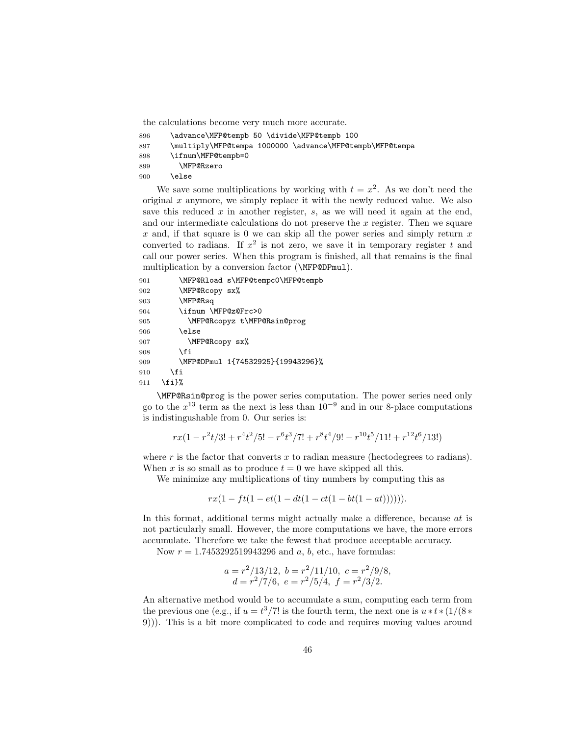the calculations become very much more accurate.

- 896 \advance\MFP@tempb 50 \divide\MFP@tempb 100
- 897 \multiply\MFP@tempa 1000000 \advance\MFP@tempb\MFP@tempa
- 898 \ifnum\MFP@tempb=0
- 899 \MFP@Rzero
- 900 \else

We save some multiplications by working with  $t = x^2$ . As we don't need the original  $x$  anymore, we simply replace it with the newly reduced value. We also save this reduced  $x$  in another register,  $s$ , as we will need it again at the end, and our intermediate calculations do not preserve the x register. Then we square  $x$  and, if that square is 0 we can skip all the power series and simply return  $x$ converted to radians. If  $x^2$  is not zero, we save it in temporary register t and call our power series. When this program is finished, all that remains is the final multiplication by a conversion factor (\MFP@DPmul).

```
901 \MFP@Rload s\MFP@tempc0\MFP@tempb
902 \MFP@Rcopy sx%
903 \MFP@Rsq
904 \ifnum \MFP@z@Frc>0
905 \MFP@Rcopyz t\MFP@Rsin@prog
906 \else
907 \MFP@Rcopy sx%
908 \fi
909 \MFP@DPmul 1{74532925}{19943296}%
910 \fi
911 \fi}%
```
\MFP@Rsin@prog is the power series computation. The power series need only go to the  $x^{13}$  term as the next is less than  $10^{-9}$  and in our 8-place computations is indistingushable from 0. Our series is:

$$
rx(1 - r^2t/3! + r^4t^2/5! - r^6t^3/7! + r^8t^4/9! - r^{10}t^5/11! + r^{12}t^6/13!)
$$

where  $r$  is the factor that converts  $x$  to radian measure (hectodegrees to radians). When x is so small as to produce  $t = 0$  we have skipped all this.

We minimize any multiplications of tiny numbers by computing this as

 $rx(1 - ft(1 - et(1 - dt(1 - ct(1 - bt(1 - at)))))).$ 

In this format, additional terms might actually make a difference, because at is not particularly small. However, the more computations we have, the more errors accumulate. Therefore we take the fewest that produce acceptable accuracy.

Now  $r = 1.7453292519943296$  and  $a, b, etc.,$  have formulas:

$$
a = r^2/13/12
$$
,  $b = r^2/11/10$ ,  $c = r^2/9/8$ ,  
\n $d = r^2/7/6$ ,  $e = r^2/5/4$ ,  $f = r^2/3/2$ .

An alternative method would be to accumulate a sum, computing each term from the previous one (e.g., if  $u = t^3/7!$  is the fourth term, the next one is  $u * t * (1/(8 *$ 9))). This is a bit more complicated to code and requires moving values around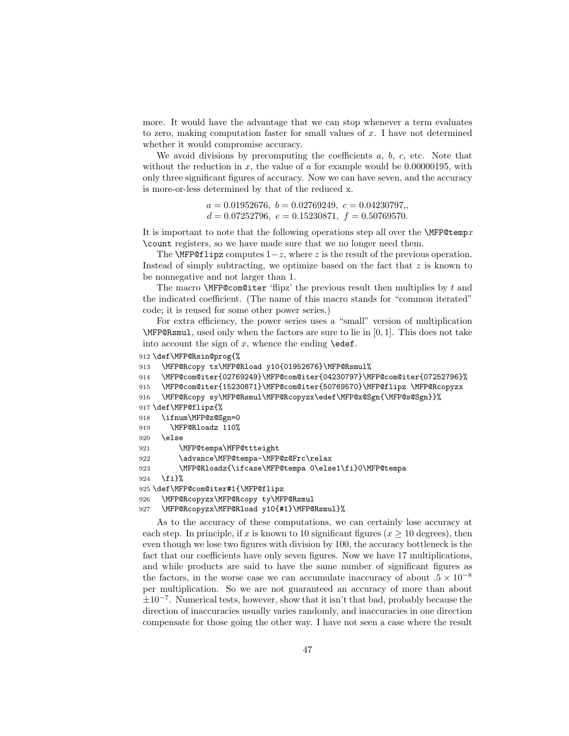more. It would have the advantage that we can stop whenever a term evaluates to zero, making computation faster for small values of  $x$ . I have not determined whether it would compromise accuracy.

We avoid divisions by precomputing the coefficients  $a, b, c$ , etc. Note that without the reduction in x, the value of a for example would be  $0.00000195$ , with only three significant figures of accuracy. Now we can have seven, and the accuracy is more-or-less determined by that of the reduced x.

> $a = 0.01952676, b = 0.02769249, c = 0.04230797,$  $d = 0.07252796, e = 0.15230871, f = 0.50769570.$

It is important to note that the following operations step all over the  $\M{FP@temp}x$ \count registers, so we have made sure that we no longer need them.

The  $\text{MFP@flipz}$  computes  $1-z$ , where z is the result of the previous operation. Instead of simply subtracting, we optimize based on the fact that  $z$  is known to be nonnegative and not larger than 1.

The macro  $\M{FP@com@iter'flipz'}$  the previous result then multiplies by t and the indicated coefficient. (The name of this macro stands for "common iterated" code; it is reused for some other power series.)

For extra efficiency, the power series uses a "small" version of multiplication \MFP@Rsmul, used only when the factors are sure to lie in [0, 1]. This does not take into account the sign of  $x$ , whence the ending  $\text{def.}$ 

```
912 \def\MFP@Rsin@prog{%
```

```
913 \MFP@Rcopy tx\MFP@Rload y10{01952676}\MFP@Rsmul%
```
914 \MFP@com@iter{02769249}\MFP@com@iter{04230797}\MFP@com@iter{07252796}%

915 \MFP@com@iter{15230871}\MFP@com@iter{50769570}\MFP@flipz \MFP@Rcopyzx

```
916 \MFP@Rcopy sy\MFP@Rsmul\MFP@Rcopyzx\edef\MFP@x@Sgn{\MFP@s@Sgn}}%
```

```
917 \def\MFP@flipz{%
```

```
918 \ifnum\MFP@z@Sgn=0
```

```
919 \MFP@Rloadz 110%
```
920 \else

```
921 \MFP@tempa\MFP@ttteight
```
922 \advance\MFP@tempa-\MFP@z@Frc\relax

```
923 \MFP@Rloadz{\ifcase\MFP@tempa 0\else1\fi}0\MFP@tempa
```

```
924 \fi}%
```

```
925 \def\MFP@com@iter#1{\MFP@flipz
```
926 \MFP@Rcopyzx\MFP@Rcopy ty\MFP@Rsmul

```
927 \MFP@Rcopyzx\MFP@Rload y10{#1}\MFP@Rsmul}%
```
As to the accuracy of these computations, we can certainly lose accuracy at each step. In principle, if x is known to 10 significant figures ( $x \ge 10$  degrees), then even though we lose two figures with division by 100, the accuracy bottleneck is the fact that our coefficients have only seven figures. Now we have 17 multiplications, and while products are said to have the same number of significant figures as the factors, in the worse case we can accumulate inaccuracy of about  $.5 \times 10^{-8}$ per multiplication. So we are not guaranteed an accuracy of more than about ±10<sup>−</sup><sup>7</sup> . Numerical tests, however, show that it isn't that bad, probably because the direction of inaccuracies usually varies randomly, and inaccuracies in one direction compensate for those going the other way. I have not seen a case where the result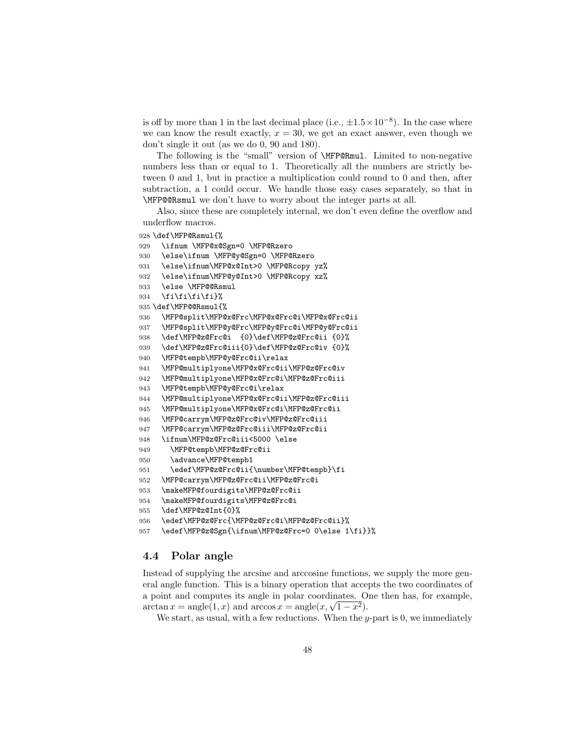is off by more than 1 in the last decimal place (i.e.,  $\pm 1.5 \times 10^{-8}$ ). In the case where we can know the result exactly,  $x = 30$ , we get an exact answer, even though we don't single it out (as we do 0, 90 and 180).

The following is the "small" version of \MFP@Rmul. Limited to non-negative numbers less than or equal to 1. Theoretically all the numbers are strictly between 0 and 1, but in practice a multiplication could round to 0 and then, after subtraction, a 1 could occur. We handle those easy cases separately, so that in \MFP@@Rsmul we don't have to worry about the integer parts at all.

Also, since these are completely internal, we don't even define the overflow and underflow macros.

\def\MFP@Rsmul{%

```
929 \ifnum \MFP@x@Sgn=0 \MFP@Rzero
930 \else\ifnum \MFP@y@Sgn=0 \MFP@Rzero
931 \else\ifnum\MFP@x@Int>0 \MFP@Rcopy yz%
932 \else\ifnum\MFP@y@Int>0 \MFP@Rcopy xz%
933 \else \MFP@@Rsmul
934 \fi\fi\fi\fi}%
935 \def\MFP@@Rsmul{%
936 \MFP@split\MFP@x@Frc\MFP@x@Frc@i\MFP@x@Frc@ii
937 \MFP@split\MFP@y@Frc\MFP@y@Frc@i\MFP@y@Frc@ii
938 \def\MFP@z@Frc@i {0}\def\MFP@z@Frc@ii {0}%
939 \def\MFP@z@Frc@iii{0}\def\MFP@z@Frc@iv {0}%
940 \MFP@tempb\MFP@y@Frc@ii\relax
941 \MFP@multiplyone\MFP@x@Frc@ii\MFP@z@Frc@iv
942 \MFP@multiplyone\MFP@x@Frc@i\MFP@z@Frc@iii
943 \MFP@tempb\MFP@y@Frc@i\relax
944 \MFP@multiplyone\MFP@x@Frc@ii\MFP@z@Frc@iii
945 \MFP@multiplyone\MFP@x@Frc@i\MFP@z@Frc@ii
946 \MFP@carrym\MFP@z@Frc@iv\MFP@z@Frc@iii
947 \MFP@carrym\MFP@z@Frc@iii\MFP@z@Frc@ii
948 \ifnum\MFP@z@Frc@iii<5000 \else
949 \MFP@tempb\MFP@z@Frc@ii
950 \advance\MFP@tempb1
951 \edef\MFP@z@Frc@ii{\number\MFP@tempb}\fi
952 \MFP@carrym\MFP@z@Frc@ii\MFP@z@Frc@i
953 \makeMFP@fourdigits\MFP@z@Frc@ii
954 \makeMFP@fourdigits\MFP@z@Frc@i
955 \def\MFP@z@Int{0}%
956 \edef\MFP@z@Frc{\MFP@z@Frc@i\MFP@z@Frc@ii}%
957 \edef\MFP@z@Sgn{\ifnum\MFP@z@Frc=0 0\else 1\fi}}%
```
#### 4.4 Polar angle

Instead of supplying the arcsine and arccosine functions, we supply the more general angle function. This is a binary operation that accepts the two coordinates of a point and computes its angle in polar coordinates. One then has, for example, a point and computes its angle in polar coordinates. O<br>arctan  $x = \text{angle}(1, x)$  and arccos  $x = \text{angle}(x, \sqrt{1-x^2})$ .

We start, as usual, with a few reductions. When the  $y$ -part is 0, we immediately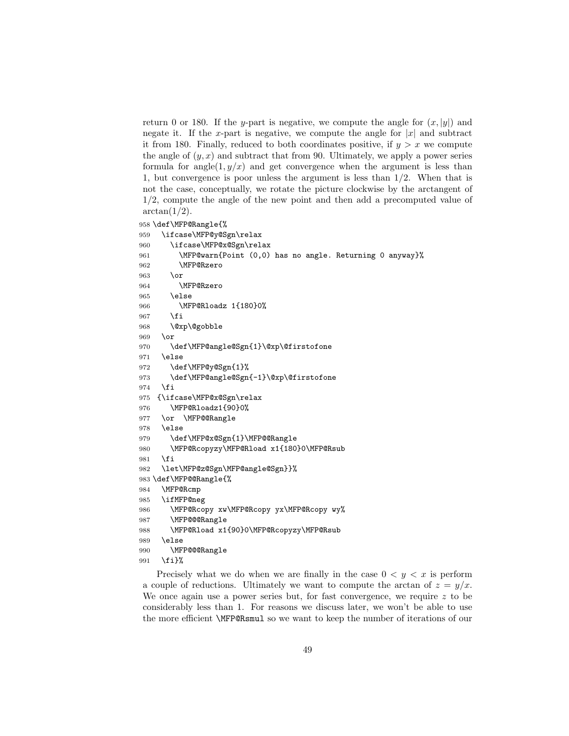return 0 or 180. If the y-part is negative, we compute the angle for  $(x, |y|)$  and negate it. If the x-part is negative, we compute the angle for  $|x|$  and subtract it from 180. Finally, reduced to both coordinates positive, if  $y > x$  we compute the angle of  $(y, x)$  and subtract that from 90. Ultimately, we apply a power series formula for angle( $1, y/x$ ) and get convergence when the argument is less than 1, but convergence is poor unless the argument is less than 1/2. When that is not the case, conceptually, we rotate the picture clockwise by the arctangent of /2, compute the angle of the new point and then add a precomputed value of  $arctan(1/2)$ .

```
958 \def\MFP@Rangle{%
959 \ifcase\MFP@y@Sgn\relax
960 \ifcase\MFP@x@Sgn\relax
961 \MFP@warn{Point (0,0) has no angle. Returning 0 anyway}%
962 \MFP@Rzero
963 \overline{\phantom{a}}964 \MFP@Rzero
965 \else
966 \MFP@Rloadz 1{180}0%
967 \fi
968 \@xp\@gobble
969 \or
970 \def\MFP@angle@Sgn{1}\@xp\@firstofone
971 \else
972 \def\MFP@y@Sgn{1}%
973 \def\MFP@angle@Sgn{-1}\@xp\@firstofone
974 \fi
975 {\ifcase\MFP@x@Sgn\relax
976 \MFP@Rloadz1{90}0%
977 \or \MFP@@Rangle
978 \else
979 \def\MFP@x@Sgn{1}\MFP@@Rangle
980 \MFP@Rcopyzy\MFP@Rload x1{180}0\MFP@Rsub
981 \fi
982 \let\MFP@z@Sgn\MFP@angle@Sgn}}%
983 \def\MFP@@Rangle{%
984 \MFP@Rcmp
985 \ifMFP@neg
986 \MFP@Rcopy xw\MFP@Rcopy yx\MFP@Rcopy wy%
987 \MFP@@@Rangle
988 \MFP@Rload x1{90}0\MFP@Rcopyzy\MFP@Rsub
989 \else
990 \MFP@@@Rangle
991 \fi}%
```
Precisely what we do when we are finally in the case  $0 \lt y \lt x$  is perform a couple of reductions. Ultimately we want to compute the arctan of  $z = y/x$ . We once again use a power series but, for fast convergence, we require  $z$  to be considerably less than 1. For reasons we discuss later, we won't be able to use the more efficient \MFP@Rsmul so we want to keep the number of iterations of our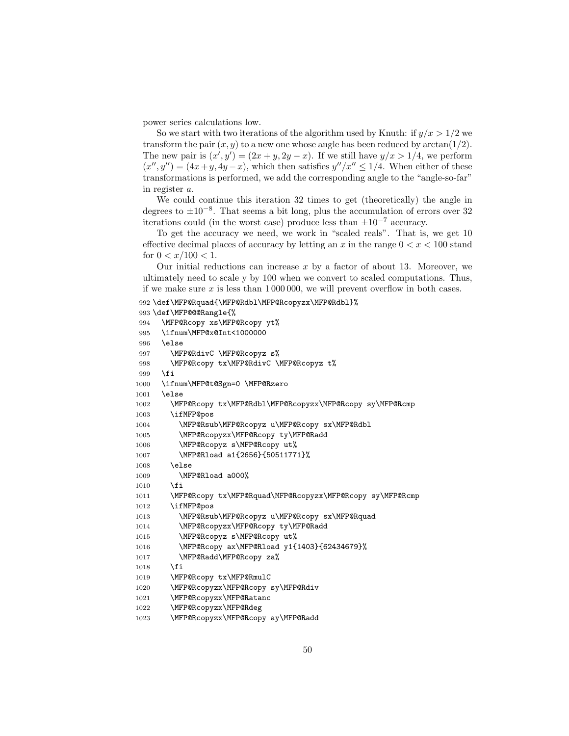power series calculations low.

So we start with two iterations of the algorithm used by Knuth: if  $y/x > 1/2$  we transform the pair  $(x, y)$  to a new one whose angle has been reduced by  $\arctan(1/2)$ . The new pair is  $(x', y') = (2x + y, 2y - x)$ . If we still have  $y/x > 1/4$ , we perform  $(x'', y'') = (4x + y, 4y - x)$ , which then satisfies  $y''/x'' \le 1/4$ . When either of these transformations is performed, we add the corresponding angle to the "angle-so-far" in register a.

We could continue this iteration 32 times to get (theoretically) the angle in degrees to  $\pm 10^{-8}$ . That seems a bit long, plus the accumulation of errors over 32 iterations could (in the worst case) produce less than  $\pm 10^{-7}$  accuracy.

To get the accuracy we need, we work in "scaled reals". That is, we get 10 effective decimal places of accuracy by letting an x in the range  $0 < x < 100$  stand for  $0 < x/100 < 1$ .

Our initial reductions can increase  $x$  by a factor of about 13. Moreover, we ultimately need to scale y by 100 when we convert to scaled computations. Thus, if we make sure x is less than 1 000 000, we will prevent overflow in both cases.

```
992 \def\MFP@Rquad{\MFP@Rdbl\MFP@Rcopyzx\MFP@Rdbl}%
```

```
993 \def\MFP@@@Rangle{%
994 \MFP@Rcopy xs\MFP@Rcopy yt%
995 \ifnum\MFP@x@Int<1000000
996 \else
997 \MFP@RdivC \MFP@Rcopyz s%
998 \MFP@Rcopy tx\MFP@RdivC \MFP@Rcopyz t%
999 \fi
1000 \ifnum\MFP@t@Sgn=0 \MFP@Rzero
1001 \else
1002 \MFP@Rcopy tx\MFP@Rdbl\MFP@Rcopyzx\MFP@Rcopy sy\MFP@Rcmp
1003 \ifMFP@pos
1004 \MFP@Rsub\MFP@Rcopyz u\MFP@Rcopy sx\MFP@Rdbl
1005 \MFP@Rcopyzx\MFP@Rcopy ty\MFP@Radd
1006 \MFP@Rcopyz s\MFP@Rcopy ut%
1007 \MFP@Rload a1{2656}{50511771}%
1008 \else
1009 \MFP@Rload a000%
1010 \fi
1011 \MFP@Rcopy tx\MFP@Rquad\MFP@Rcopyzx\MFP@Rcopy sy\MFP@Rcmp
1012 \ifMFP@pos
1013 \MFP@Rsub\MFP@Rcopyz u\MFP@Rcopy sx\MFP@Rquad
1014 \MFP@Rcopyzx\MFP@Rcopy ty\MFP@Radd
1015 \MFP@Rcopyz s\MFP@Rcopy ut%
1016 \MFP@Rcopy ax\MFP@Rload y1{1403}{62434679}%
1017 \MFP@Radd\MFP@Rcopy za%
1018 \fi
1019 \MFP@Rcopy tx\MFP@RmulC
1020 \MFP@Rcopyzx\MFP@Rcopy sy\MFP@Rdiv
1021 \MFP@Rcopyzx\MFP@Ratanc
1022 \MFP@Rcopyzx\MFP@Rdeg
1023 \MFP@Rcopyzx\MFP@Rcopy ay\MFP@Radd
```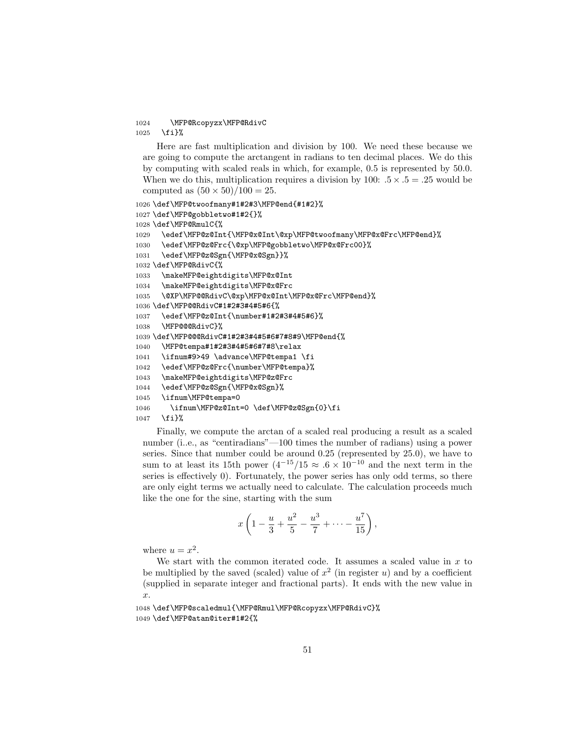#### 1024 \MFP@Rcopyzx\MFP@RdivC 1025 \fi}%

Here are fast multiplication and division by 100. We need these because we are going to compute the arctangent in radians to ten decimal places. We do this by computing with scaled reals in which, for example, 0.5 is represented by 50.0. When we do this, multiplication requires a division by 100:  $.5 \times .5 = .25$  would be computed as  $(50 \times 50)/100 = 25$ .

```
1026 \def\MFP@twoofmany#1#2#3\MFP@end{#1#2}%
1027 \def\MFP@gobbletwo#1#2{}%
1028 \def\MFP@RmulC{%
1029 \edef\MFP@z@Int{\MFP@x@Int\@xp\MFP@twoofmany\MFP@x@Frc\MFP@end}%
1030 \edef\MFP@z@Frc{\@xp\MFP@gobbletwo\MFP@x@Frc00}%
1031 \edef\MFP@z@Sgn{\MFP@x@Sgn}}%
1032 \def\MFP@RdivC{%
1033 \makeMFP@eightdigits\MFP@x@Int
1034 \makeMFP@eightdigits\MFP@x@Frc
1035 \@XP\MFP@@RdivC\@xp\MFP@x@Int\MFP@x@Frc\MFP@end}%
1036 \def\MFP@@RdivC#1#2#3#4#5#6{%
1037 \edef\MFP@z@Int{\number#1#2#3#4#5#6}%
1038 \MFP@@@RdivC}%
1039 \def\MFP@@@RdivC#1#2#3#4#5#6#7#8#9\MFP@end{%
1040 \MFP@tempa#1#2#3#4#5#6#7#8\relax
1041 \ifnum#9>49 \advance\MFP@tempa1 \fi
1042 \edef\MFP@z@Frc{\number\MFP@tempa}%
1043 \makeMFP@eightdigits\MFP@z@Frc
1044 \edef\MFP@z@Sgn{\MFP@x@Sgn}%
1045 \ifnum\MFP@tempa=0
1046 \ifnum\MFP@z@Int=0 \def\MFP@z@Sgn{0}\fi
1047 \fi}%
```
Finally, we compute the arctan of a scaled real producing a result as a scaled number (i..e., as "centiradians"—100 times the number of radians) using a power series. Since that number could be around 0.25 (represented by 25.0), we have to sum to at least its 15th power  $(4^{-15}/15 \approx .6 \times 10^{-10})$  and the next term in the series is effectively 0). Fortunately, the power series has only odd terms, so there are only eight terms we actually need to calculate. The calculation proceeds much like the one for the sine, starting with the sum

$$
x\left(1-\frac{u}{3}+\frac{u^2}{5}-\frac{u^3}{7}+\cdots-\frac{u^7}{15}\right),\right
$$

where  $u = x^2$ .

We start with the common iterated code. It assumes a scaled value in  $x$  to be multiplied by the saved (scaled) value of  $x^2$  (in register u) and by a coefficient (supplied in separate integer and fractional parts). It ends with the new value in x.

```
1048 \def\MFP@scaledmul{\MFP@Rmul\MFP@Rcopyzx\MFP@RdivC}%
1049 \def\MFP@atan@iter#1#2{%
```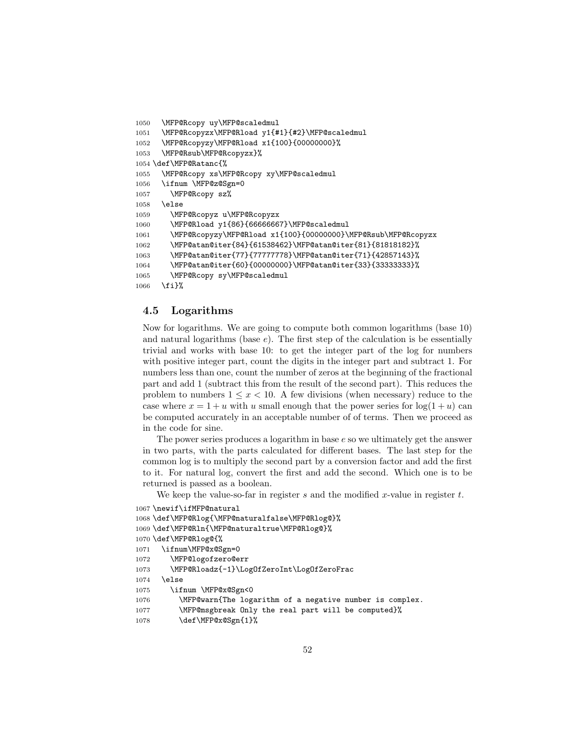```
1050 \MFP@Rcopy uy\MFP@scaledmul
1051 \MFP@Rcopyzx\MFP@Rload y1{#1}{#2}\MFP@scaledmul
1052 \MFP@Rcopyzy\MFP@Rload x1{100}{00000000}%
1053 \MFP@Rsub\MFP@Rcopyzx}%
1054 \def\MFP@Ratanc{%
1055 \MFP@Rcopy xs\MFP@Rcopy xy\MFP@scaledmul
1056 \ifnum \MFP@z@Sgn=0
1057 \MFP@Rcopy sz%
1058 \else
1059 \MFP@Rcopyz u\MFP@Rcopyzx
1060 \MFP@Rload y1{86}{66666667}\MFP@scaledmul
1061 \MFP@Rcopyzy\MFP@Rload x1{100}{00000000}\MFP@Rsub\MFP@Rcopyzx
1062 \MFP@atan@iter{84}{61538462}\MFP@atan@iter{81}{81818182}%
1063 \MFP@atan@iter{77}{77777778}\MFP@atan@iter{71}{42857143}%
1064 \MFP@atan@iter{60}{00000000}\MFP@atan@iter{33}{33333333}%
1065 \MFP@Rcopy sy\MFP@scaledmul
1066 \fi}%
```
#### 4.5 Logarithms

Now for logarithms. We are going to compute both common logarithms (base 10) and natural logarithms (base  $e$ ). The first step of the calculation is be essentially trivial and works with base 10: to get the integer part of the log for numbers with positive integer part, count the digits in the integer part and subtract 1. For numbers less than one, count the number of zeros at the beginning of the fractional part and add 1 (subtract this from the result of the second part). This reduces the problem to numbers  $1 \leq x \leq 10$ . A few divisions (when necessary) reduce to the case where  $x = 1 + u$  with u small enough that the power series for  $log(1 + u)$  can be computed accurately in an acceptable number of of terms. Then we proceed as in the code for sine.

The power series produces a logarithm in base  $e$  so we ultimately get the answer in two parts, with the parts calculated for different bases. The last step for the common log is to multiply the second part by a conversion factor and add the first to it. For natural log, convert the first and add the second. Which one is to be returned is passed as a boolean.

We keep the value-so-far in register  $s$  and the modified x-value in register  $t$ .

```
1067 \newif\ifMFP@natural
1068 \def\MFP@Rlog{\MFP@naturalfalse\MFP@Rlog@}%
1069 \def\MFP@Rln{\MFP@naturaltrue\MFP@Rlog@}%
1070 \def\MFP@Rlog@{%
1071 \ifnum\MFP@x@Sgn=0
1072 \MFP@logofzero@err
1073 \MFP@Rloadz{-1}\LogOfZeroInt\LogOfZeroFrac
1074 \else
1075 \ifnum \MFP@x@Sgn<0
1076 \MFP@warn{The logarithm of a negative number is complex.
1077 \MFP@msgbreak Only the real part will be computed}%
1078 \def\MFP@x@Sgn{1}%
```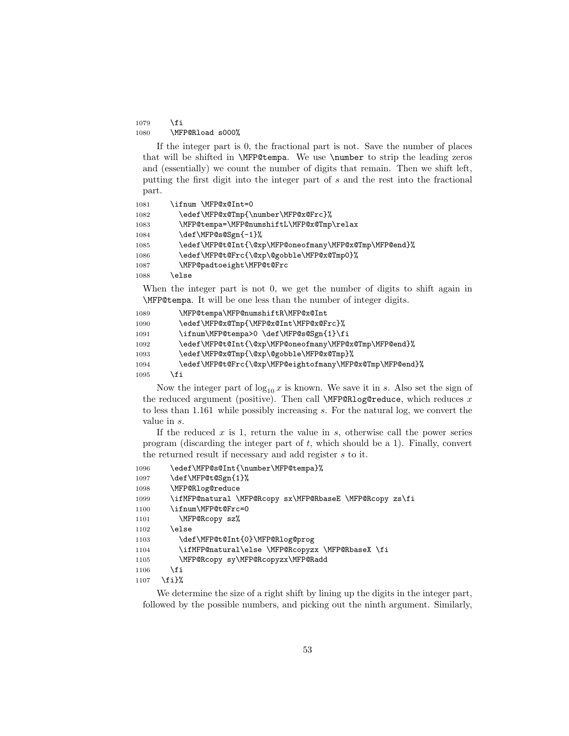$1079$  \fi 1080 \MFP@Rload s000%

If the integer part is 0, the fractional part is not. Save the number of places that will be shifted in \MFP@tempa. We use \number to strip the leading zeros and (essentially) we count the number of digits that remain. Then we shift left, putting the first digit into the integer part of s and the rest into the fractional part.

```
1081 \ifnum \MFP@x@Int=0
1082 \edef\MFP@x@Tmp{\number\MFP@x@Frc}%
1083 \MFP@tempa=\MFP@numshiftL\MFP@x@Tmp\relax
1084 \def\MFP@s@Sgn{-1}%
1085 \edef\MFP@t@Int{\@xp\MFP@oneofmany\MFP@x@Tmp\MFP@end}%
1086 \edef\MFP@t@Frc{\@xp\@gobble\MFP@x@Tmp0}%
1087 \MFP@padtoeight\MFP@t@Frc
1088 \else
```
When the integer part is not 0, we get the number of digits to shift again in \MFP@tempa. It will be one less than the number of integer digits.

```
1089 \MFP@tempa\MFP@numshiftR\MFP@x@Int
1090 \edef\MFP@x@Tmp{\MFP@x@Int\MFP@x@Frc}%
1091 \ifnum\MFP@tempa>0 \def\MFP@s@Sgn{1}\fi
1092 \edef\MFP@t@Int{\@xp\MFP@oneofmany\MFP@x@Tmp\MFP@end}%
1093 \edef\MFP@x@Tmp{\@xp\@gobble\MFP@x@Tmp}%
1094 \edef\MFP@t@Frc{\@xp\MFP@eightofmany\MFP@x@Tmp\MFP@end}%
1095 \fi
```
Now the integer part of  $\log_{10} x$  is known. We save it in s. Also set the sign of the reduced argument (positive). Then call  $\MFP@Rlog@reduce$ , which reduces x to less than 1.161 while possibly increasing s. For the natural log, we convert the value in s.

If the reduced  $x$  is 1, return the value in  $s$ , otherwise call the power series program (discarding the integer part of  $t$ , which should be a 1). Finally, convert the returned result if necessary and add register s to it.

```
1096 \edef\MFP@s@Int{\number\MFP@tempa}%
1097 \def\MFP@t@Sgn{1}%
1098 \MFP@Rlog@reduce
1099 \ifMFP@natural \MFP@Rcopy sx\MFP@RbaseE \MFP@Rcopy zs\fi
1100 \ifnum\MFP@t@Frc=0
1101 \MFP@Rcopy sz%
1102 \else
1103 \def\MFP@t@Int{0}\MFP@Rlog@prog
1104 \ifMFP@natural\else \MFP@Rcopyzx \MFP@RbaseX \fi
1105 \MFP@Rcopy sy\MFP@Rcopyzx\MFP@Radd
1106 \fi
1107 \fi}%
```
We determine the size of a right shift by lining up the digits in the integer part, followed by the possible numbers, and picking out the ninth argument. Similarly,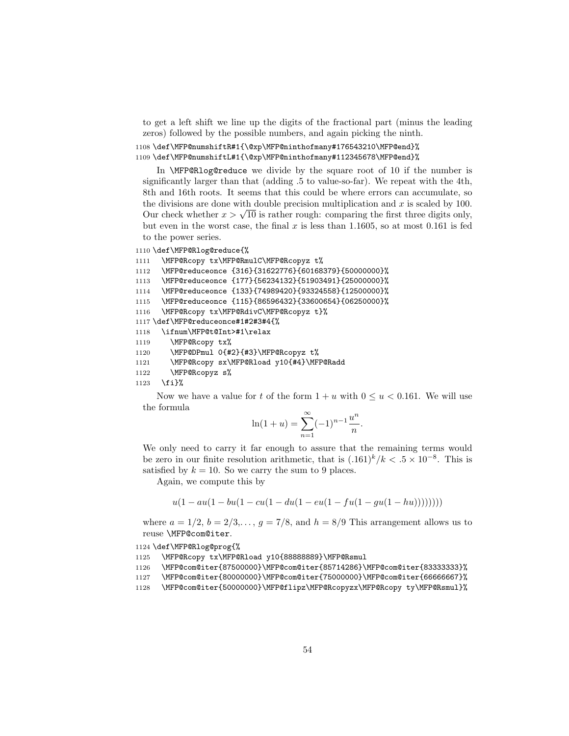to get a left shift we line up the digits of the fractional part (minus the leading zeros) followed by the possible numbers, and again picking the ninth.

```
1108 \def\MFP@numshiftR#1{\@xp\MFP@ninthofmany#176543210\MFP@end}%
1109 \def\MFP@numshiftL#1{\@xp\MFP@ninthofmany#112345678\MFP@end}%
```
In \MFP@Rlog@reduce we divide by the square root of 10 if the number is significantly larger than that (adding .5 to value-so-far). We repeat with the 4th, 8th and 16th roots. It seems that this could be where errors can accumulate, so the divisions are done with double precision multiplication and  $x$  is scaled by 100. the divisions are done with double precision multiplication and x is scaled by 100.<br>Our check whether  $x > \sqrt{10}$  is rather rough: comparing the first three digits only, but even in the worst case, the final x is less than 1.1605, so at most 0.161 is fed to the power series.

```
1110 \def\MFP@Rlog@reduce{%
```

```
1111 \MFP@Rcopy tx\MFP@RmulC\MFP@Rcopyz t%
1112 \MFP@reduceonce {316}{31622776}{60168379}{50000000}%
1113 \MFP@reduceonce {177}{56234132}{51903491}{25000000}%
1114 \MFP@reduceonce {133}{74989420}{93324558}{12500000}%
1115 \MFP@reduceonce {115}{86596432}{33600654}{06250000}%
1116 \MFP@Rcopy tx\MFP@RdivC\MFP@Rcopyz t}%
1117 \def\MFP@reduceonce#1#2#3#4{%
1118 \ifnum\MFP@t@Int>#1\relax
1119 \MFP@Rcopy tx%
1120 \MFP@DPmul 0{#2}{#3}\MFP@Rcopyz t%
1121 \MFP@Rcopy sx\MFP@Rload y10{#4}\MFP@Radd
1122 \MFP@Rcopyz s%
```
1123 \fi}%

Now we have a value for t of the form  $1 + u$  with  $0 \le u < 0.161$ . We will use the formula

$$
\ln(1+u) = \sum_{n=1}^{\infty} (-1)^{n-1} \frac{u^n}{n}.
$$

We only need to carry it far enough to assure that the remaining terms would be zero in our finite resolution arithmetic, that is  $(.161)^k/k < .5 \times 10^{-8}$ . This is satisfied by  $k = 10$ . So we carry the sum to 9 places.

Again, we compute this by

$$
u(1-au(1-bu(1-cu(1-du(1-eu(1-fu(1-gu(1-hu)))))))))
$$

where  $a = 1/2$ ,  $b = 2/3, \ldots$ ,  $g = 7/8$ , and  $h = 8/9$  This arrangement allows us to reuse \MFP@com@iter.

1124 \def\MFP@Rlog@prog{%

```
1125 \MFP@Rcopy tx\MFP@Rload y10{88888889}\MFP@Rsmul
```
1126 \MFP@com@iter{87500000}\MFP@com@iter{85714286}\MFP@com@iter{83333333}%

```
1127 \MFP@com@iter{80000000}\MFP@com@iter{75000000}\MFP@com@iter{66666667}%
```

```
1128 \MFP@com@iter{50000000}\MFP@flipz\MFP@Rcopyzx\MFP@Rcopy ty\MFP@Rsmul}%
```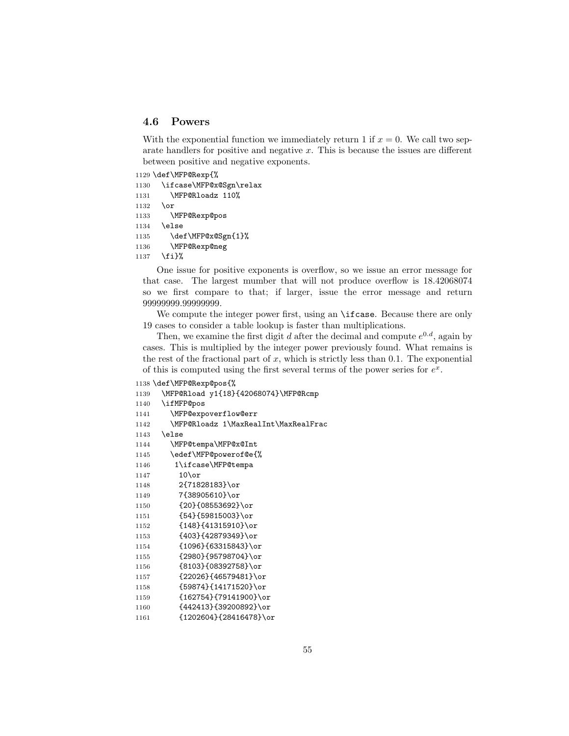## 4.6 Powers

With the exponential function we immediately return 1 if  $x = 0$ . We call two separate handlers for positive and negative  $x$ . This is because the issues are different between positive and negative exponents.

```
1129 \def\MFP@Rexp{%
1130 \ifcase\MFP@x@Sgn\relax
1131 \MFP@Rloadz 110%
1132 \or
1133 \MFP@Rexp@pos
1134 \else
1135 \def\MFP@x@Sgn{1}%
1136 \MFP@Rexp@neg
1137 \fi}%
```
One issue for positive exponents is overflow, so we issue an error message for that case. The largest mumber that will not produce overflow is 18.42068074 so we first compare to that; if larger, issue the error message and return .99999999.

We compute the integer power first, using an **\ifcase**. Because there are only 19 cases to consider a table lookup is faster than multiplications.

Then, we examine the first digit d after the decimal and compute  $e^{0.d}$ , again by cases. This is multiplied by the integer power previously found. What remains is the rest of the fractional part of x, which is strictly less than 0.1. The exponential of this is computed using the first several terms of the power series for  $e^x$ .

```
1138 \def\MFP@Rexp@pos{%
1139 \MFP@Rload y1{18}{42068074}\MFP@Rcmp
1140 \ifMFP@pos
1141 \MFP@expoverflow@err
1142 \MFP@Rloadz 1\MaxRealInt\MaxRealFrac
1143 \else
1144 \MFP@tempa\MFP@x@Int
1145 \edef\MFP@powerof@e{%
1146 1\ifcase\MFP@tempa
1147 10\or
1148 2{71828183}\or
1149 7{38905610}\or
1150 {20}{08553692}\or
1151 {54}{59815003}\or
1152 {148}{41315910}\or
1153 {403}{42879349}\or
1154 {1096}{63315843}\or
1155 {2980}{95798704}\or
1156 {8103}{08392758}\or
1157 {22026}{46579481}\or
1158 {59874}{14171520}\or
1159 {162754}{79141900}\or
1160 {442413}{39200892}\or
1161 {1202604}{28416478}\or
```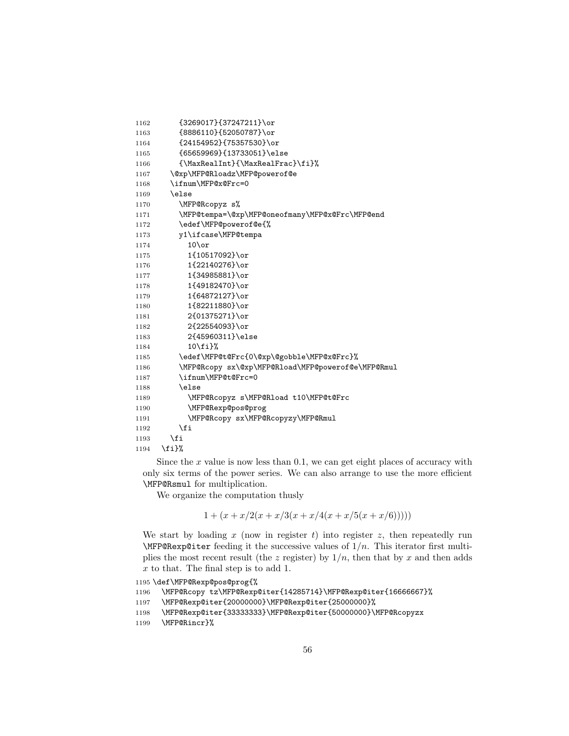```
1162 {3269017}{37247211}\or
1163 {8886110}{52050787}\or
1164 {24154952}{75357530}\or
1165 {65659969}{13733051}\else
1166 {\MaxRealInt}{\MaxRealFrac}\fi}%
1167 \@xp\MFP@Rloadz\MFP@powerof@e
1168 \ifnum\MFP@x@Frc=0
1169 \else
1170 \MFP@Rcopyz s%
1171 \MFP@tempa=\@xp\MFP@oneofmany\MFP@x@Frc\MFP@end
1172 \edef\MFP@powerof@e{%
1173 y1\ifcase\MFP@tempa
1174 10\or
1175 1{10517092}\or
1176 1{22140276}\or
1177 1{34985881}\or
1178 1{49182470}\or
1179 1{64872127}\or
1180 1{82211880}\or
1181 2{01375271}\or
1182 2{22554093}\or
1183 2{45960311}\else
1184 10\fi}%
1185 \edef\MFP@t@Frc{0\@xp\@gobble\MFP@x@Frc}%
1186 \MFP@Rcopy sx\@xp\MFP@Rload\MFP@powerof@e\MFP@Rmul
1187 \ifnum\MFP@t@Frc=0
1188 \else
1189 \MFP@Rcopyz s\MFP@Rload t10\MFP@t@Frc
1190 \MFP@Rexp@pos@prog
1191 \MFP@Rcopy sx\MFP@Rcopyzy\MFP@Rmul
1192 \fi
1193 \overrightarrow{fi}1194 \fi}%
```
Since the  $x$  value is now less than 0.1, we can get eight places of accuracy with only six terms of the power series. We can also arrange to use the more efficient \MFP@Rsmul for multiplication.

We organize the computation thusly

$$
1 + (x + x/2(x + x/3(x + x/4(x + x/5(x + x/6))))
$$

We start by loading x (now in register t) into register z, then repeatedly run  $\MFP@Rexp@iter$  feeding it the successive values of  $1/n$ . This iterator first multiplies the most recent result (the z register) by  $1/n$ , then that by x and then adds x to that. The final step is to add 1.

```
1195 \def\MFP@Rexp@pos@prog{%
1196 \MFP@Rcopy tz\MFP@Rexp@iter{14285714}\MFP@Rexp@iter{16666667}%
1197 \MFP@Rexp@iter{20000000}\MFP@Rexp@iter{25000000}%
1198 \MFP@Rexp@iter{33333333}\MFP@Rexp@iter{50000000}\MFP@Rcopyzx
```

```
1199 \MFP@Rincr}%
```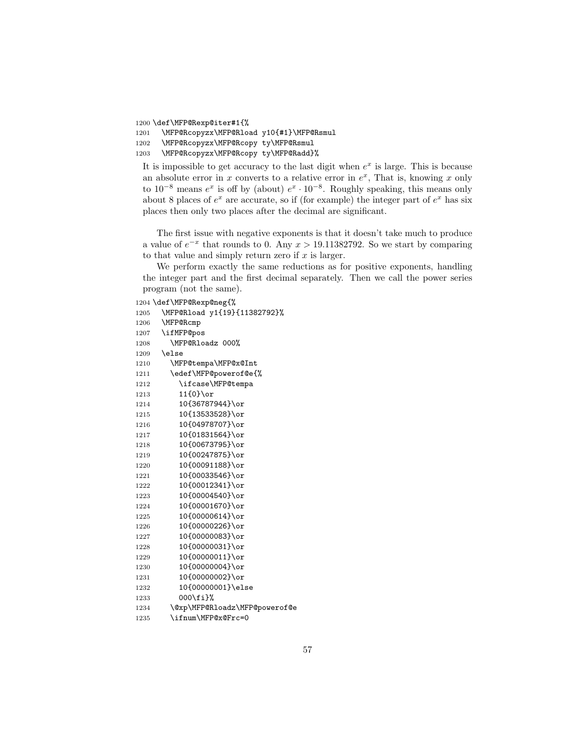```
1200 \def\MFP@Rexp@iter#1{%
```

```
1201 \MFP@Rcopyzx\MFP@Rload y10{#1}\MFP@Rsmul
```

```
1202 \MFP@Rcopyzx\MFP@Rcopy ty\MFP@Rsmul
```

```
1203 \MFP@Rcopyzx\MFP@Rcopy ty\MFP@Radd}%
```
It is impossible to get accuracy to the last digit when  $e^x$  is large. This is because an absolute error in x converts to a relative error in  $e^x$ , That is, knowing x only to  $10^{-8}$  means  $e^x$  is off by (about)  $e^x \cdot 10^{-8}$ . Roughly speaking, this means only about 8 places of  $e^x$  are accurate, so if (for example) the integer part of  $e^x$  has six places then only two places after the decimal are significant.

The first issue with negative exponents is that it doesn't take much to produce a value of  $e^{-x}$  that rounds to 0. Any  $x > 19.11382792$ . So we start by comparing to that value and simply return zero if  $x$  is larger.

We perform exactly the same reductions as for positive exponents, handling the integer part and the first decimal separately. Then we call the power series program (not the same).

\def\MFP@Rexp@neg{%

```
1205 \MFP@Rload y1{19}{11382792}%
1206 \MFP@Rcmp
1207 \ifMFP@pos
1208 \MFP@Rloadz 000%
1209 \else
1210 \MFP@tempa\MFP@x@Int
1211 \edef\MFP@powerof@e{%
1212 \ifcase\MFP@tempa
1213 11{0}\or
1214 10{36787944}\or
1215 10{13533528}\or
1216 10{04978707}\or
1217 10{01831564}\or
1218 10{00673795}\or
1219 10{00247875}\or
1220 10{00091188}\or
1221 10{00033546}\or
1222 10{00012341}\or
1223 10{00004540}\or
1224 10{00001670}\or
1225 10{00000614}\or
1226 10{00000226}\or
1227 10{00000083}\or
1228 10{00000031}\or
1229 10{00000011}\or
1230 10{00000004}\or
1231 10{00000002}\or
1232 10{00000001}\else
1233 000\fi}%
1234 \@xp\MFP@Rloadz\MFP@powerof@e
1235 \ifnum\MFP@x@Frc=0
```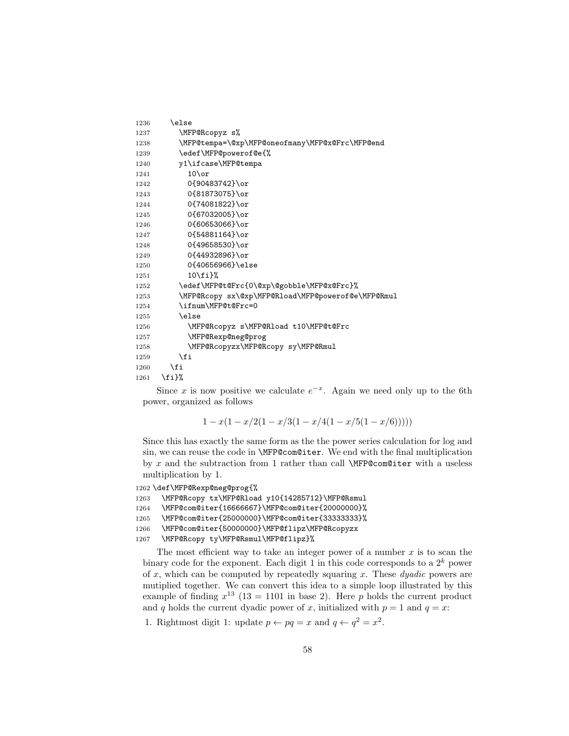```
1236 \else
1237 \MFP@Rcopyz s%
1238 \MFP@tempa=\@xp\MFP@oneofmany\MFP@x@Frc\MFP@end
1239 \edef\MFP@powerof@e{%
1240 y1\ifcase\MFP@tempa
1241 10\or
1242 0{90483742}\or
1243 0{81873075}\or
1244 0{74081822}\or
1245 0{67032005}\or
1246 0{60653066}\or
1247 0{54881164}\or
1248 0{49658530}\or
1249 0{44932896}\or
1250 0{40656966}\else
1251 10\{f_i\}%
1252 \edef\MFP@t@Frc{0\@xp\@gobble\MFP@x@Frc}%
1253 \MFP@Rcopy sx\@xp\MFP@Rload\MFP@powerof@e\MFP@Rmul
1254 \ifnum\MFP@t@Frc=0
1255 \else
1256 \MFP@Rcopyz s\MFP@Rload t10\MFP@t@Frc
1257 \MFP@Rexp@neg@prog
1258 \MFP@Rcopyzx\MFP@Rcopy sy\MFP@Rmul
1259 \setminusfi
1260 \fi
1261 \fi}%
```
Since x is now positive we calculate  $e^{-x}$ . Again we need only up to the 6th power, organized as follows

 $1 - x(1 - x/2(1 - x/3(1 - x/4(1 - x/5(1 - x/6))))))$ 

Since this has exactly the same form as the the power series calculation for log and sin, we can reuse the code in \MFP@com@iter. We end with the final multiplication by x and the subtraction from 1 rather than call  $\MFP@com@iter$  with a useless multiplication by 1.

```
1262 \def\MFP@Rexp@neg@prog{%
1263 \MFP@Rcopy tx\MFP@Rload y10{14285712}\MFP@Rsmul
1264 \MFP@com@iter{16666667}\MFP@com@iter{20000000}%
1265 \MFP@com@iter{25000000}\MFP@com@iter{33333333}%
1266 \MFP@com@iter{50000000}\MFP@flipz\MFP@Rcopyzx
1267 \MFP@Rcopy ty\MFP@Rsmul\MFP@flipz}%
```
The most efficient way to take an integer power of a number  $x$  is to scan the binary code for the exponent. Each digit 1 in this code corresponds to a  $2^k$  power of x, which can be computed by repeatedly squaring x. These *duadic* powers are mutiplied together. We can convert this idea to a simple loop illustrated by this example of finding  $x^{13}$  (13 = 1101 in base 2). Here p holds the current product and q holds the current dyadic power of x, initialized with  $p = 1$  and  $q = x$ :

1. Rightmost digit 1: update  $p \leftarrow pq = x$  and  $q \leftarrow q^2 = x^2$ .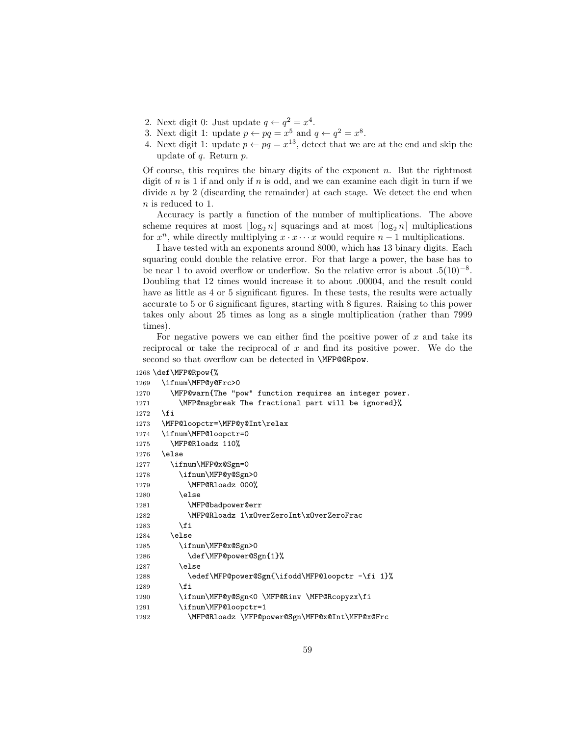- 2. Next digit 0: Just update  $q \leftarrow q^2 = x^4$ .
- 3. Next digit 1: update  $p \leftarrow pq = x^5$  and  $q \leftarrow q^2 = x^8$ .
- 4. Next digit 1: update  $p \leftarrow pq = x^{13}$ , detect that we are at the end and skip the update of  $q$ . Return  $p$ .

Of course, this requires the binary digits of the exponent  $n$ . But the rightmost digit of n is 1 if and only if n is odd, and we can examine each digit in turn if we divide  $n$  by 2 (discarding the remainder) at each stage. We detect the end when n is reduced to 1.

Accuracy is partly a function of the number of multiplications. The above scheme requires at most  $\lfloor \log_2 n \rfloor$  squarings and at most  $\lfloor \log_2 n \rfloor$  multiplications for  $x^n$ , while directly multiplying  $x \cdot x \cdots x$  would require  $n-1$  multiplications.

I have tested with an exponents around 8000, which has 13 binary digits. Each squaring could double the relative error. For that large a power, the base has to be near 1 to avoid overflow or underflow. So the relative error is about  $.5(10)^{-8}$ . Doubling that 12 times would increase it to about .00004, and the result could have as little as 4 or 5 significant figures. In these tests, the results were actually accurate to 5 or 6 significant figures, starting with 8 figures. Raising to this power takes only about 25 times as long as a single multiplication (rather than 7999 times).

For negative powers we can either find the positive power of  $x$  and take its reciprocal or take the reciprocal of  $x$  and find its positive power. We do the second so that overflow can be detected in **\MFP@@Rpow.** 

```
1268 \def\MFP@Rpow{%
```

```
1269 \ifnum\MFP@y@Frc>0
1270 \MFP@warn{The "pow" function requires an integer power.
1271 \MFP@msgbreak The fractional part will be ignored}%
1272 \fi
1273 \MFP@loopctr=\MFP@y@Int\relax
1274 \ifnum\MFP@loopctr=0
1275 \MFP@Rloadz 110%
1276 \else
1277 \ifnum\MFP@x@Sgn=0
1278 \ifnum\MFP@y@Sgn>0
1279 \MFP@Rloadz 000%
1280 \else
1281 \MFP@badpower@err
1282 \MFP@Rloadz 1\xOverZeroInt\xOverZeroFrac
1283 \overrightarrow{fi}1284 \else
1285 \ifnum\MFP@x@Sgn>0
1286 \def\MFP@power@Sgn{1}%
1287 \else
1288 \edef\MFP@power@Sgn{\ifodd\MFP@loopctr -\fi 1}%
1289 \setminusfi
1290 \ifnum\MFP@y@Sgn<0 \MFP@Rinv \MFP@Rcopyzx\fi
1291 \ifnum\MFP@loopctr=1
1292 \MFP@Rloadz \MFP@power@Sgn\MFP@x@Int\MFP@x@Frc
```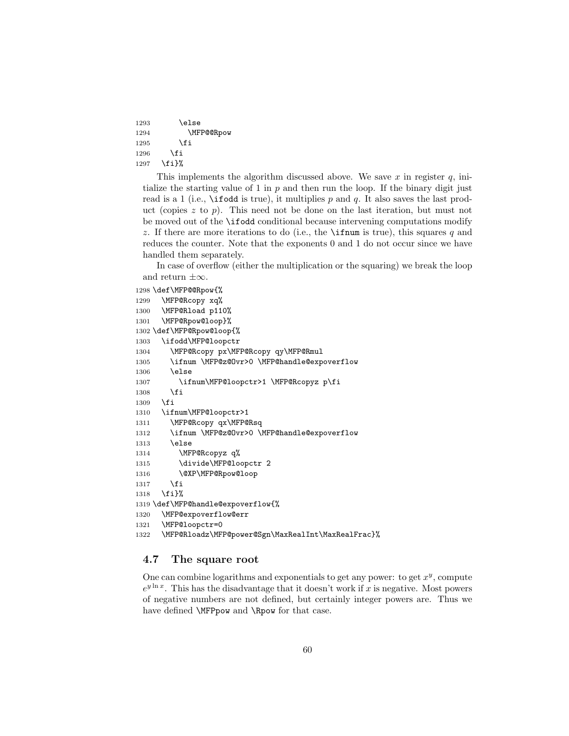```
1293 \else
1294 \MFP@@Rpow
1295 \setminusfi
1296 \fi
1297 \fi}%
```
This implements the algorithm discussed above. We save x in register  $q$ , intialize the starting value of 1 in  $p$  and then run the loop. If the binary digit just read is a 1 (i.e.,  $\iota$  if odd is true), it multiplies p and q. It also saves the last product (copies  $z$  to  $p$ ). This need not be done on the last iteration, but must not be moved out of the \ifodd conditional because intervening computations modify z. If there are more iterations to do (i.e., the **\iffeld** if true), this squares q and reduces the counter. Note that the exponents 0 and 1 do not occur since we have handled them separately.

In case of overflow (either the multiplication or the squaring) we break the loop and return  $\pm\infty$ .

```
1298 \def\MFP@@Rpow{%
1299 \MFP@Rcopy xq%
1300 \MFP@Rload p110%
1301 \MFP@Rpow@loop}%
1302 \def\MFP@Rpow@loop{%
1303 \ifodd\MFP@loopctr
1304 \MFP@Rcopy px\MFP@Rcopy qy\MFP@Rmul
1305 \ifnum \MFP@z@Ovr>0 \MFP@handle@expoverflow
1306 \else
1307 \ifnum\MFP@loopctr>1 \MFP@Rcopyz p\fi
1308 \fi
1309 \fi
1310 \ifnum\MFP@loopctr>1
1311 \MFP@Rcopy qx\MFP@Rsq
1312 \ifnum \MFP@z@Ovr>0 \MFP@handle@expoverflow
1313 \else
1314 \MFP@Rcopyz q%
1315 \divide\MFP@loopctr 2
1316 \@XP\MFP@Rpow@loop
1317 \fi
1318 \fi}%
1319 \def\MFP@handle@expoverflow{%
1320 \MFP@expoverflow@err
1321 \MFP@loopctr=0
1322 \MFP@Rloadz\MFP@power@Sgn\MaxRealInt\MaxRealFrac}%
```
#### 4.7 The square root

One can combine logarithms and exponentials to get any power: to get  $x^y$ , compute  $e^{y \ln x}$ . This has the disadvantage that it doesn't work if x is negative. Most powers of negative numbers are not defined, but certainly integer powers are. Thus we have defined **\MFPpow** and **\Rpow** for that case.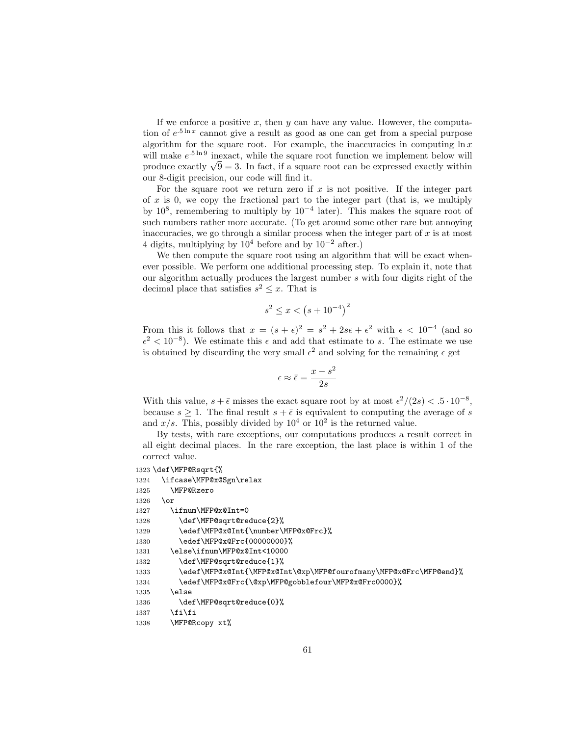If we enforce a positive  $x$ , then  $y$  can have any value. However, the computation of  $e^{.5 \ln x}$  cannot give a result as good as one can get from a special purpose algorithm for the square root. For example, the inaccuracies in computing  $\ln x$ will make  $e^{-5 \ln 9}$  inexact, while the square root function we implement below will will make  $e^{i\omega x}$  inexact, while the square root function we implement below will<br>produce exactly  $\sqrt{9} = 3$ . In fact, if a square root can be expressed exactly within our 8-digit precision, our code will find it.

For the square root we return zero if  $x$  is not positive. If the integer part of  $x$  is 0, we copy the fractional part to the integer part (that is, we multiply by  $10^8$ , remembering to multiply by  $10^{-4}$  later). This makes the square root of such numbers rather more accurate. (To get around some other rare but annoying inaccuracies, we go through a similar process when the integer part of  $x$  is at most 4 digits, multiplying by  $10^4$  before and by  $10^{-2}$  after.)

We then compute the square root using an algorithm that will be exact whenever possible. We perform one additional processing step. To explain it, note that our algorithm actually produces the largest number s with four digits right of the decimal place that satisfies  $s^2 \leq x$ . That is

$$
s^2 \le x < \left(s + 10^{-4}\right)^2
$$

From this it follows that  $x = (s + \epsilon)^2 = s^2 + 2s\epsilon + \epsilon^2$  with  $\epsilon < 10^{-4}$  (and so  $\epsilon^2 < 10^{-8}$ ). We estimate this  $\epsilon$  and add that estimate to s. The estimate we use is obtained by discarding the very small  $\epsilon^2$  and solving for the remaining  $\epsilon$  get

$$
\epsilon \approx \bar{\epsilon} = \frac{x - s^2}{2s}
$$

With this value,  $s + \bar{\epsilon}$  misses the exact square root by at most  $\epsilon^2/(2s) < .5 \cdot 10^{-8}$ , because  $s \geq 1$ . The final result  $s + \bar{\epsilon}$  is equivalent to computing the average of s and  $x/s$ . This, possibly divided by  $10^4$  or  $10^2$  is the returned value.

By tests, with rare exceptions, our computations produces a result correct in all eight decimal places. In the rare exception, the last place is within 1 of the correct value.

```
1323 \def\MFP@Rsqrt{%
1324 \ifcase\MFP@x@Sgn\relax
1325 \MFP@Rzero
1326 \or
1327 \ifnum\MFP@x@Int=0
1328 \def\MFP@sqrt@reduce{2}%
1329 \edef\MFP@x@Int{\number\MFP@x@Frc}%
1330 \edef\MFP@x@Frc{00000000}%
1331 \else\ifnum\MFP@x@Int<10000
1332 \def\MFP@sqrt@reduce{1}%
1333 \edef\MFP@x@Int{\MFP@x@Int\@xp\MFP@fourofmany\MFP@x@Frc\MFP@end}%
1334 \edef\MFP@x@Frc{\@xp\MFP@gobblefour\MFP@x@Frc0000}%
1335 \else
1336 \def\MFP@sqrt@reduce{0}%
1337 \fi\fi
1338 \MFP@Rcopy xt%
```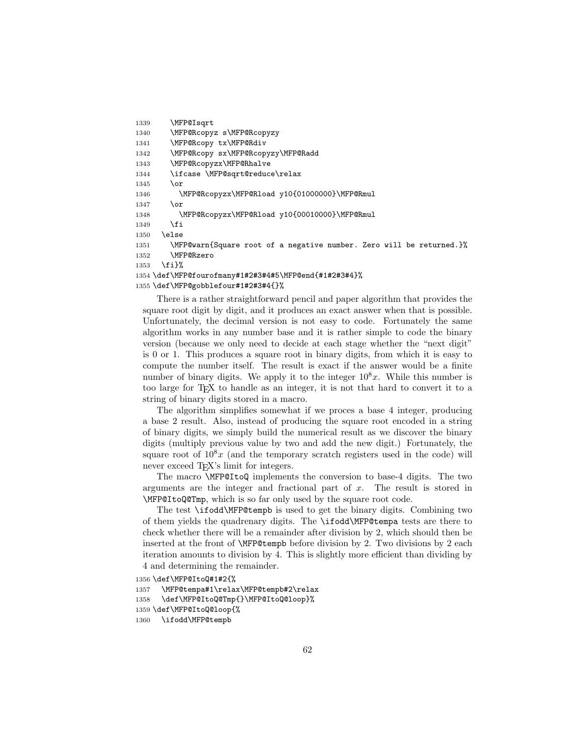```
1339 \MFP@Isqrt
1340 \MFP@Rcopyz s\MFP@Rcopyzy
1341 \MFP@Rcopy tx\MFP@Rdiv
1342 \MFP@Rcopy sx\MFP@Rcopyzy\MFP@Radd
1343 \MFP@Rcopyzx\MFP@Rhalve
1344 \ifcase \MFP@sqrt@reduce\relax
1345 \qquad \text{or}1346 \MFP@Rcopyzx\MFP@Rload y10{01000000}\MFP@Rmul
1347 \or
1348 \MFP@Rcopyzx\MFP@Rload y10{00010000}\MFP@Rmul
1349 \fi
1350 \else
1351 \MFP@warn{Square root of a negative number. Zero will be returned.}%
1352 \MFP@Rzero
1353 \fi}%
1354 \def\MFP@fourofmany#1#2#3#4#5\MFP@end{#1#2#3#4}%
1355 \def\MFP@gobblefour#1#2#3#4{}%
```
There is a rather straightforward pencil and paper algorithm that provides the square root digit by digit, and it produces an exact answer when that is possible. Unfortunately, the decimal version is not easy to code. Fortunately the same algorithm works in any number base and it is rather simple to code the binary version (because we only need to decide at each stage whether the "next digit" is 0 or 1. This produces a square root in binary digits, from which it is easy to compute the number itself. The result is exact if the answer would be a finite number of binary digits. We apply it to the integer  $10^8x$ . While this number is too large for T<sub>E</sub>X to handle as an integer, it is not that hard to convert it to a string of binary digits stored in a macro.

The algorithm simplifies somewhat if we proces a base 4 integer, producing a base 2 result. Also, instead of producing the square root encoded in a string of binary digits, we simply build the numerical result as we discover the binary digits (multiply previous value by two and add the new digit.) Fortunately, the square root of  $10^8x$  (and the temporary scratch registers used in the code) will never exceed T<sub>EX</sub>'s limit for integers.

The macro \MFP@ItoQ implements the conversion to base-4 digits. The two arguments are the integer and fractional part of  $x$ . The result is stored in \MFP@ItoQ@Tmp, which is so far only used by the square root code.

The test \ifodd\MFP@tempb is used to get the binary digits. Combining two of them yields the quadrenary digits. The \ifodd\MFP@tempa tests are there to check whether there will be a remainder after division by 2, which should then be inserted at the front of \MFP@tempb before division by 2. Two divisions by 2 each iteration amounts to division by 4. This is slightly more efficient than dividing by 4 and determining the remainder.

1356 \def\MFP@ItoQ#1#2{%

```
1357 \MFP@tempa#1\relax\MFP@tempb#2\relax
```

```
1358 \def\MFP@ItoQ@Tmp{}\MFP@ItoQ@loop}%
```

```
1359 \def\MFP@ItoQ@loop{%
```

```
1360 \ifodd\MFP@tempb
```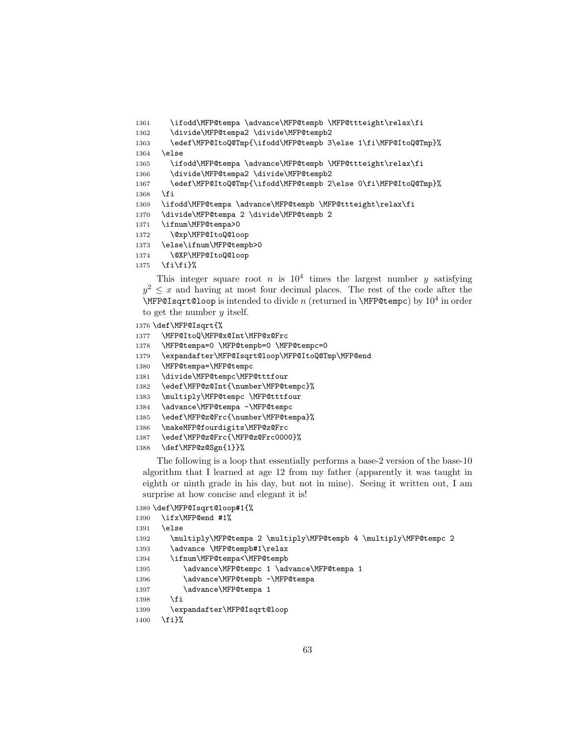```
1361 \ifodd\MFP@tempa \advance\MFP@tempb \MFP@ttteight\relax\fi
```
\divide\MFP@tempa2 \divide\MFP@tempb2

```
1363 \edef\MFP@ItoQ@Tmp{\ifodd\MFP@tempb 3\else 1\fi\MFP@ItoQ@Tmp}%
```
\else

\ifodd\MFP@tempa \advance\MFP@tempb \MFP@ttteight\relax\fi

\divide\MFP@tempa2 \divide\MFP@tempb2

\edef\MFP@ItoQ@Tmp{\ifodd\MFP@tempb 2\else 0\fi\MFP@ItoQ@Tmp}%

\fi

\ifodd\MFP@tempa \advance\MFP@tempb \MFP@ttteight\relax\fi

```
1370 \divide\MFP@tempa 2 \divide\MFP@tempb 2
```
- \ifnum\MFP@tempa>0
- \@xp\MFP@ItoQ@loop
- \else\ifnum\MFP@tempb>0
- \@XP\MFP@ItoQ@loop
- \fi\fi}%

This integer square root *n* is  $10^4$  times the largest number *y* satisfying  $y^2 \leq x$  and having at most four decimal places. The rest of the code after the \MFP@Isqrt@loop is intended to divide n (returned in \MFP@tempc) by  $10^4$  in order to get the number  $y$  itself.

```
1376 \def\MFP@Isqrt{%
1377 \MFP@ItoQ\MFP@x@Int\MFP@x@Frc
1378 \MFP@tempa=0 \MFP@tempb=0 \MFP@tempc=0
1379 \expandafter\MFP@Isqrt@loop\MFP@ItoQ@Tmp\MFP@end
1380 \MFP@tempa=\MFP@tempc
1381 \divide\MFP@tempc\MFP@tttfour
1382 \edef\MFP@z@Int{\number\MFP@tempc}%
1383 \multiply\MFP@tempc \MFP@tttfour
1384 \advance\MFP@tempa -\MFP@tempc
1385 \edef\MFP@z@Frc{\number\MFP@tempa}%
1386 \makeMFP@fourdigits\MFP@z@Frc
1387 \edef\MFP@z@Frc{\MFP@z@Frc0000}%
1388 \def\MFP@z@Sgn{1}}%
```
The following is a loop that essentially performs a base-2 version of the base-10 algorithm that I learned at age 12 from my father (apparently it was taught in eighth or ninth grade in his day, but not in mine). Seeing it written out, I am surprise at how concise and elegant it is!

```
1389 \def\MFP@Isqrt@loop#1{%
1390 \ifx\MFP@end #1%
1391 \else
1392 \multiply\MFP@tempa 2 \multiply\MFP@tempb 4 \multiply\MFP@tempc 2
1393 \advance \MFP@tempb#1\relax
1394 \ifnum\MFP@tempa<\MFP@tempb
1395 \advance\MFP@tempc 1 \advance\MFP@tempa 1
1396 \advance\MFP@tempb -\MFP@tempa
1397 \advance\MFP@tempa 1
1398 \fi
1399 \expandafter\MFP@Isqrt@loop
1400 \fi}%
```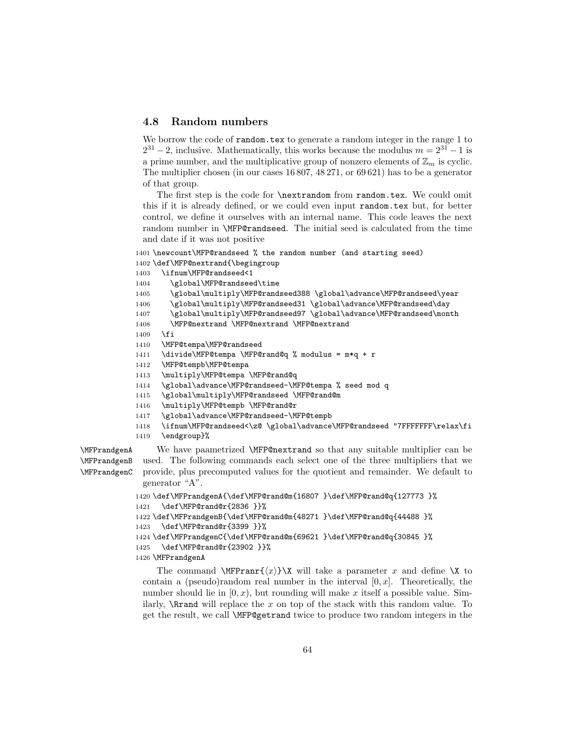#### 4.8 Random numbers

We borrow the code of random.tex to generate a random integer in the range 1 to  $2^{31} - 2$ , inclusive. Mathematically, this works because the modulus  $m = 2^{31} - 1$  is a prime number, and the multiplicative group of nonzero elements of  $\mathbb{Z}_m$  is cyclic. The multiplier chosen (in our cases 16 807, 48 271, or 69 621) has to be a generator of that group.

The first step is the code for **\nextrandom** from random.tex. We could omit this if it is already defined, or we could even input random.tex but, for better control, we define it ourselves with an internal name. This code leaves the next random number in \MFP@randseed. The initial seed is calculated from the time and date if it was not positive

```
1401 \newcount\MFP@randseed % the random number (and starting seed)
1402 \def\MFP@nextrand{\begingroup
```

```
1403 \ifnum\MFP@randseed<1
1404 \global\MFP@randseed\time
1405 \global\multiply\MFP@randseed388 \global\advance\MFP@randseed\year
1406 \global\multiply\MFP@randseed31 \global\advance\MFP@randseed\day
1407 \global\multiply\MFP@randseed97 \global\advance\MFP@randseed\month
1408 \MFP@nextrand \MFP@nextrand \MFP@nextrand
1409 \fi
1410 \MFP@tempa\MFP@randseed
1411 \divide\MFP@tempa \MFP@rand@q % modulus = m*q + r
1412 \MFP@tempb\MFP@tempa
1413 \multiply\MFP@tempa \MFP@rand@q
1414 \global\advance\MFP@randseed-\MFP@tempa % seed mod q
1415 \global\multiply\MFP@randseed \MFP@rand@m
1416 \multiply\MFP@tempb \MFP@rand@r
1417 \global\advance\MFP@randseed-\MFP@tempb
1418 \ifnum\MFP@randseed<\z@ \global\advance\MFP@randseed "7FFFFFFF\relax\fi
1419 \endgroup}%
```
\MFPrandgenB \MFPrandgenC

\MFPrandgenA We have paametrized \MFP@nextrand so that any suitable multiplier can be used. The following commands each select one of the three multipliers that we provide, plus precomputed values for the quotient and remainder. We default to generator "A".

```
1420 \def\MFPrandgenA{\def\MFP@rand@m{16807 }\def\MFP@rand@q{127773 }%
1421 \def\MFP@rand@r{2836 }}%
1422 \def\MFPrandgenB{\def\MFP@rand@m{48271 }\def\MFP@rand@q{44488 }%
1423 \def\MFP@rand@r{3399 }}%
1424 \def\MFPrandgenC{\def\MFP@rand@m{69621 }\def\MFP@rand@q{30845 }%
```

```
1425 \def\MFP@rand@r{23902 }}%
```
1426 \MFPrandgenA

The command **\MFPranr{** $\langle x \rangle$ **}\X** will take a parameter x and define \X to contain a (pseudo)random real number in the interval  $[0, x]$ . Theoretically, the number should lie in  $[0, x)$ , but rounding will make x itself a possible value. Similarly,  $\R$ rand will replace the x on top of the stack with this random value. To get the result, we call \MFP@getrand twice to produce two random integers in the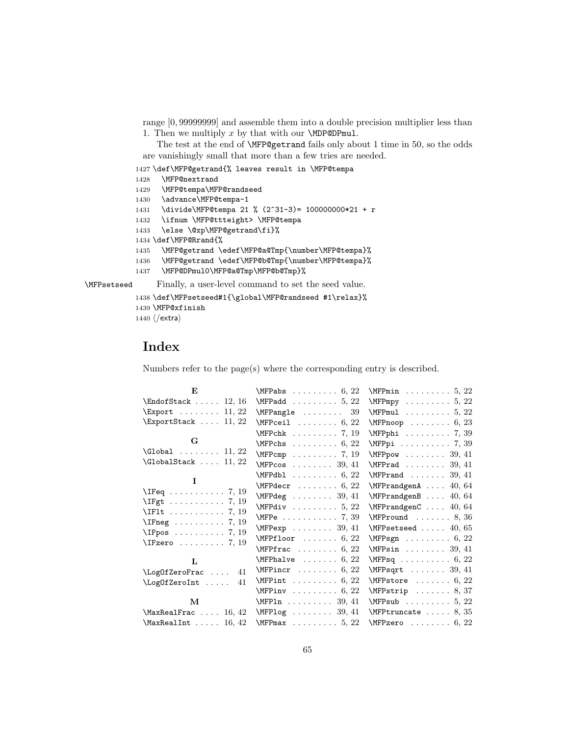range [0, 99999999] and assemble them into a double precision multiplier less than 1. Then we multiply  $x$  by that with our  $\MDP@DPmul$ .

The test at the end of \MFP@getrand fails only about 1 time in 50, so the odds are vanishingly small that more than a few tries are needed.

1427 \def\MFP@getrand{% leaves result in \MFP@tempa

```
1428 \MFP@nextrand
1429 \MFP@tempa\MFP@randseed
1430 \advance\MFP@tempa-1
1431 \divide\MFP@tempa 21 % (2^31-3)= 100000000*21 + r
1432 \ifnum \MFP@ttteight> \MFP@tempa
1433 \else \@xp\MFP@getrand\fi}%
1434 \def\MFP@Rrand{%
1435 \MFP@getrand \edef\MFP@a@Tmp{\number\MFP@tempa}%
1436 \MFP@getrand \edef\MFP@b@Tmp{\number\MFP@tempa}%
1437 \MFP@DPmul0\MFP@a@Tmp\MFP@b@Tmp}%
```
\MFPsetseed Finally, a user-level command to set the seed value.

```
1438 \def\MFPsetseed#1{\global\MFP@randseed #1\relax}%
1439 \MFP@xfinish
1440 \langle/extra\rangle
```
## Index

Numbers refer to the page(s) where the corresponding entry is described.

| $\mathbf{E}$ and $\mathbf{E}$                                                                                                                                                                                                                                                                                                                                                                                                            | \MFPabs $\dots \dots 6, 22$                          | $\text{MFPmin}$ 5, 22                    |
|------------------------------------------------------------------------------------------------------------------------------------------------------------------------------------------------------------------------------------------------------------------------------------------------------------------------------------------------------------------------------------------------------------------------------------------|------------------------------------------------------|------------------------------------------|
| $\Theta$ Stack  12, 16                                                                                                                                                                                                                                                                                                                                                                                                                   | $\MFPadd \ldots \ldots 5, 22$                        | $\N$ FPmpy 5, 22                         |
| $\text{Export} \dots \dots \quad 11, 22$                                                                                                                                                                                                                                                                                                                                                                                                 | $\MFPangle$ 39                                       | $\text{MFPmul} \dots \dots \dots 5, 22$  |
| $\text{ExportStack} \dots 11, 22$                                                                                                                                                                                                                                                                                                                                                                                                        | $\text{MFPceil} \dots \dots \dots \dots \dots \dots$ | $\MFPnoop \ldots 6, 23$                  |
|                                                                                                                                                                                                                                                                                                                                                                                                                                          | $\MFPchk$ 7, 19                                      | \MFPphi  7, 39                           |
| $\mathbf G$                                                                                                                                                                                                                                                                                                                                                                                                                              | $\text{MFPchs} \dots \dots \dots \dots 6, 22$        | \MFPpi 7, 39                             |
| $\Gamma \ldots \ldots \quad 11, 22$                                                                                                                                                                                                                                                                                                                                                                                                      | $\MFPcmp \ldots \ldots \ldots 7, 19$                 | $\text{MFPpow} \dots \dots \dots 39, 41$ |
| $\Gamma$ 11, 22                                                                                                                                                                                                                                                                                                                                                                                                                          | $\NFPcos \ldots 39, 41$                              | $\MFPrad$ 39, 41                         |
|                                                                                                                                                                                                                                                                                                                                                                                                                                          | $\text{MFPdbl} \ldots \ldots \ldots 6, 22$           | $MFPrand \ldots \ldots 39, 41$           |
| $\bf{I}$                                                                                                                                                                                                                                                                                                                                                                                                                                 | $\NFPdecr$ 6, 22                                     | $\MFPrandgenA \ldots 40, 64$             |
| $\Gamma$ = $(19)$                                                                                                                                                                                                                                                                                                                                                                                                                        | $\MFPdeg$ 39, 41                                     | $\MFPrandgenB \ldots 40, 64$             |
| $\left\{\text{IFgt} \dots \dots \dots \quad 7, 19\right\}$                                                                                                                                                                                                                                                                                                                                                                               | $\MFPdiv \ldots \ldots 5, 22$                        | $\MFPrandgenC \ldots 40, 64$             |
| $\Pi$ : 7, 19                                                                                                                                                                                                                                                                                                                                                                                                                            | $\text{MFPe}$ 7, 39                                  | $MFPround \ldots 8, 36$                  |
|                                                                                                                                                                                                                                                                                                                                                                                                                                          | $\NFPexp \ldots \ldots 39, 41$                       | $\NFPsetseed \ldots 40,65$               |
| $\Gamma$ , $\Gamma$ , $\Gamma$ , $\Gamma$ , $\Gamma$ , $\Gamma$ , $\Gamma$ , $\Gamma$ , $\Gamma$ , $\Gamma$ , $\Gamma$ , $\Gamma$ , $\Gamma$ , $\Gamma$ , $\Gamma$ , $\Gamma$ , $\Gamma$ , $\Gamma$ , $\Gamma$ , $\Gamma$ , $\Gamma$ , $\Gamma$ , $\Gamma$ , $\Gamma$ , $\Gamma$ , $\Gamma$ , $\Gamma$ , $\Gamma$ , $\Gamma$ , $\Gamma$ , $\Gamma$ , $\Gamma$ , $\Gamma$ , $\Gamma$ , $\Gamma$ , $\Gamma$ , $\Gamma$ ,<br>$\Gamma$ 7, 19 | $\MFPfloor \ldots \ldots 6, 22$                      | $\MFPsgn \ldots \ldots 6, 22$            |
|                                                                                                                                                                                                                                                                                                                                                                                                                                          | $\NFPfrac \ldots 6, 22$                              | $MFPsin$ 39, 41                          |
| $\mathbf{L}$                                                                                                                                                                                                                                                                                                                                                                                                                             | $\MFP$ halve  6, 22                                  | $MFPsq \ldots \ldots \ldots 6, 22$       |
| \LogOfZeroFrac  41                                                                                                                                                                                                                                                                                                                                                                                                                       | $\text{MFPincr} \ldots \ldots 6, 22$                 | $MFPsqrt \ldots \ldots 39, 41$           |
| $\log 0$ fZeroInt<br>41                                                                                                                                                                                                                                                                                                                                                                                                                  | $\text{MFPint}$ 6, 22                                | $MFPstore$ 6, 22                         |
|                                                                                                                                                                                                                                                                                                                                                                                                                                          | $\NFPinv$ 6, 22                                      | $MFPstrip$ 8, 37                         |
| $\mathbf M$                                                                                                                                                                                                                                                                                                                                                                                                                              | $\text{MFPin} \ldots \ldots \quad 39,41$             | $MFPsub$ 5, 22                           |
| $\text{MaxRealFrac} \dots 16, 42$                                                                                                                                                                                                                                                                                                                                                                                                        | $\MFPlog$ 39, 41                                     | $\M$ FPtruncate  8, 35                   |
| $\text{MaxRealInt} \dots 16, 42$                                                                                                                                                                                                                                                                                                                                                                                                         | $MFPmax$ 5, 22                                       | $\text{MFPzero} \dots \dots \ 6, 22$     |